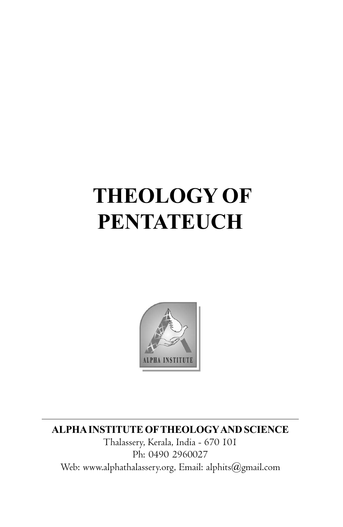# **THEOLOGY OF PENTATEUCH**



**ALPHA INSTITUTE OFTHEOLOGYAND SCIENCE**

Thalassery, Kerala, India - 670 101 Ph: 0490 2960027 Web: www.alphathalassery.org, Email: alphits@gmail.com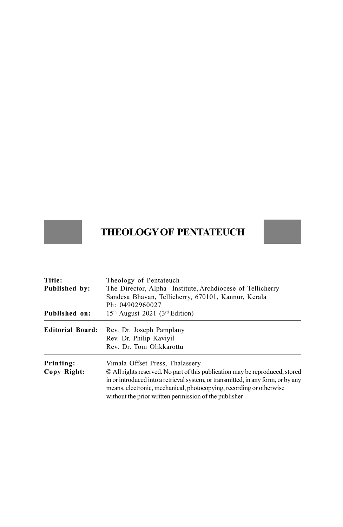# **THEOLOGY OF PENTATEUCH**

| Title:                  | Theology of Pentateuch                                                                                                                                                                                           |  |
|-------------------------|------------------------------------------------------------------------------------------------------------------------------------------------------------------------------------------------------------------|--|
| Published by:           | The Director, Alpha Institute, Archdiocese of Tellicherry                                                                                                                                                        |  |
|                         | Sandesa Bhavan, Tellicherry, 670101, Kannur, Kerala                                                                                                                                                              |  |
|                         | Ph: 04902960027                                                                                                                                                                                                  |  |
| Published on:           | 15 <sup>th</sup> August 2021 (3 <sup>rd</sup> Edition)                                                                                                                                                           |  |
| <b>Editorial Board:</b> | Rev. Dr. Joseph Pamplany                                                                                                                                                                                         |  |
|                         | Rev. Dr. Philip Kaviyil                                                                                                                                                                                          |  |
|                         | Rev. Dr. Tom Olikkarottu                                                                                                                                                                                         |  |
| Printing:               | Vimala Offset Press, Thalassery                                                                                                                                                                                  |  |
| Copy Right:             | © All rights reserved. No part of this publication may be reproduced, stored                                                                                                                                     |  |
|                         | in or introduced into a retrieval system, or transmitted, in any form, or by any<br>means, electronic, mechanical, photocopying, recording or otherwise<br>without the prior written permission of the publisher |  |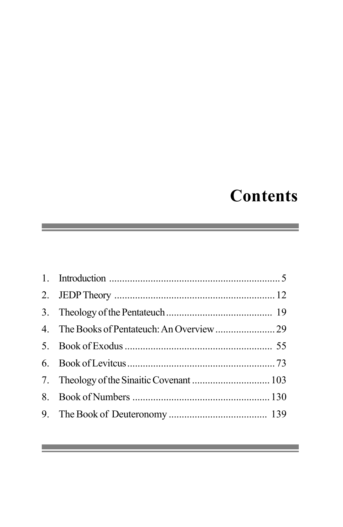# **Contents**

 $\mathcal{L}(\mathcal{L}(\mathcal{L}))$  and the set of  $\mathcal{L}(\mathcal{L})$  and  $\mathcal{L}(\mathcal{L})$  and  $\mathcal{L}(\mathcal{L})$  and  $\mathcal{L}(\mathcal{L})$ 

and the control of the control of the control of the control of the control of the control of the control of the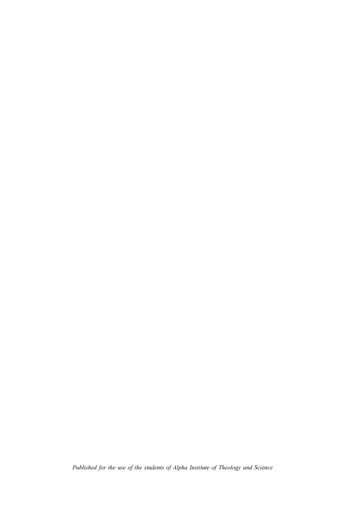*Published for the use of the students of Alpha Institute of Theology and Science*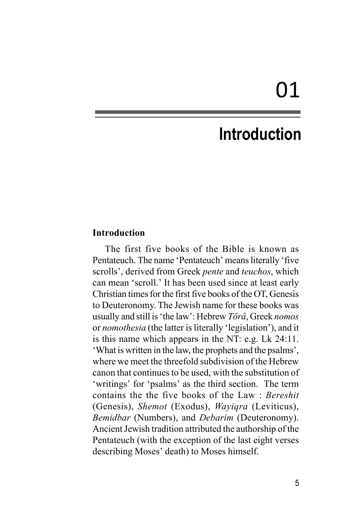# **Introduction**

#### **Introduction**

The first five books of the Bible is known as Pentateuch. The name 'Pentateuch' means literally 'five scrolls', derived from Greek *pente* and *teuchos*, which can mean 'scroll.' It has been used since at least early Christian times for the first five books of the OT, Genesis to Deuteronomy. The Jewish name for these books was usually and still is 'the law': Hebrew *Tôrâ*, Greek *nomos* or *nomothesia* (the latter is literally 'legislation'), and it is this name which appears in the NT: e.g. Lk 24:11. 'What is written in the law, the prophets and the psalms', where we meet the threefold subdivision of the Hebrew canon that continues to be used, with the substitution of 'writings' for 'psalms' as the third section. The term contains the the five books of the Law : *Bereshit* (Genesis), *Shemot* (Exodus), *Wayiqra* (Leviticus), *Bemidbar* (Numbers), and *Debarim* (Deuteronomy). Ancient Jewish tradition attributed the authorship of the Pentateuch (with the exception of the last eight verses describing Moses' death) to Moses himself.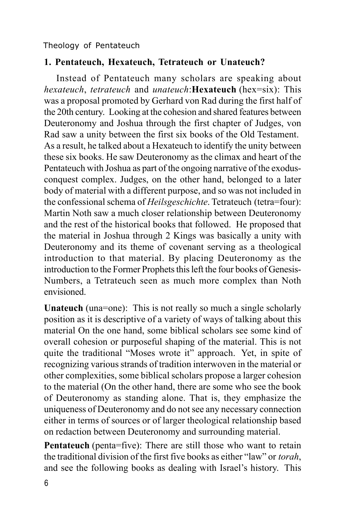# **1. Pentateuch, Hexateuch, Tetrateuch or Unateuch?**

Instead of Pentateuch many scholars are speaking about *hexateuch*, *tetrateuch* and *unateuch*:**Hexateuch** (hex=six): This was a proposal promoted by Gerhard von Rad during the first half of the 20th century. Looking at the cohesion and shared features between Deuteronomy and Joshua through the first chapter of Judges, von Rad saw a unity between the first six books of the Old Testament. As a result, he talked about a Hexateuch to identify the unity between these six books. He saw Deuteronomy as the climax and heart of the Pentateuch with Joshua as part of the ongoing narrative of the exodusconquest complex. Judges, on the other hand, belonged to a later body of material with a different purpose, and so was not included in the confessional schema of *Heilsgeschichte*. Tetrateuch (tetra=four): Martin Noth saw a much closer relationship between Deuteronomy and the rest of the historical books that followed. He proposed that the material in Joshua through 2 Kings was basically a unity with Deuteronomy and its theme of covenant serving as a theological introduction to that material. By placing Deuteronomy as the introduction to the Former Prophets this left the four books of Genesis-Numbers, a Tetrateuch seen as much more complex than Noth envisioned.

**Unateuch** (una=one): This is not really so much a single scholarly position as it is descriptive of a variety of ways of talking about this material On the one hand, some biblical scholars see some kind of overall cohesion or purposeful shaping of the material. This is not quite the traditional "Moses wrote it" approach. Yet, in spite of recognizing various strands of tradition interwoven in the material or other complexities, some biblical scholars propose a larger cohesion to the material (On the other hand, there are some who see the book of Deuteronomy as standing alone. That is, they emphasize the uniqueness of Deuteronomy and do not see any necessary connection either in terms of sources or of larger theological relationship based on redaction between Deuteronomy and surrounding material.

**Pentateuch** (penta=five): There are still those who want to retain the traditional division of the first five books as either "law" or *torah*, and see the following books as dealing with Israel's history. This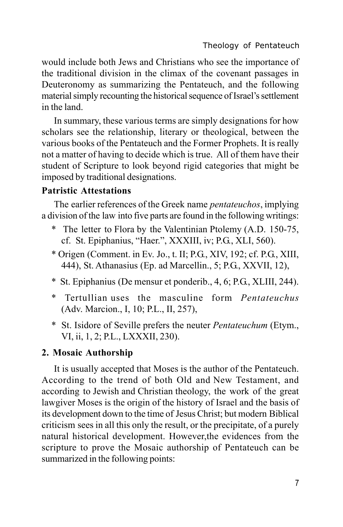would include both Jews and Christians who see the importance of the traditional division in the climax of the covenant passages in Deuteronomy as summarizing the Pentateuch, and the following material simply recounting the historical sequence of Israel's settlement in the land.

In summary, these various terms are simply designations for how scholars see the relationship, literary or theological, between the various books of the Pentateuch and the Former Prophets. It is really not a matter of having to decide which is true. All of them have their student of Scripture to look beyond rigid categories that might be imposed by traditional designations.

# **Patristic Attestations**

The earlier references of the Greek name *pentateuchos*, implying a division of the law into five parts are found in the following writings:

- \* The letter to Flora by the Valentinian Ptolemy (A.D. 150-75, cf. St. Epiphanius, "Haer.", XXXIII, iv; P.G., XLI, 560).
- \* Origen (Comment. in Ev. Jo., t. II; P.G., XIV, 192; cf. P.G., XIII, 444), St. Athanasius (Ep. ad Marcellin., 5; P.G., XXVII, 12),
- \* St. Epiphanius (De mensur et ponderib., 4, 6; P.G., XLIII, 244).
- \* Tertullian uses the masculine form *Pentateuchus* (Adv. Marcion., I, 10; P.L., II, 257),
- \* St. Isidore of Seville prefers the neuter *Pentateuchum* (Etym., VI, ii, 1, 2; P.L., LXXXII, 230).

### **2. Mosaic Authorship**

It is usually accepted that Moses is the author of the Pentateuch. According to the trend of both Old and New Testament, and according to Jewish and Christian theology, the work of the great lawgiver Moses is the origin of the history of Israel and the basis of its development down to the time of Jesus Christ; but modern Biblical criticism sees in all this only the result, or the precipitate, of a purely natural historical development. However,the evidences from the scripture to prove the Mosaic authorship of Pentateuch can be summarized in the following points: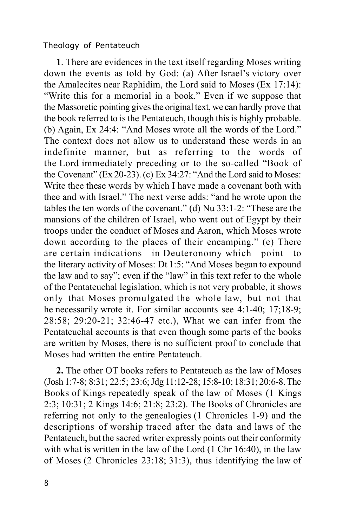**1**. There are evidences in the text itself regarding Moses writing down the events as told by God: (a) After Israel's victory over the Amalecites near Raphidim, the Lord said to Moses (Ex 17:14): "Write this for a memorial in a book." Even if we suppose that the Massoretic pointing gives the original text, we can hardly prove that the book referred to is the Pentateuch, though this is highly probable. (b) Again, Ex 24:4: "And Moses wrote all the words of the Lord." The context does not allow us to understand these words in an indefinite manner, but as referring to the words of the Lord immediately preceding or to the so-called "Book of the Covenant" (Ex 20-23). (c) Ex 34:27: "And the Lord said to Moses: Write thee these words by which I have made a covenant both with thee and with Israel." The next verse adds: "and he wrote upon the tables the ten words of the covenant." (d) Nu 33:1-2: "These are the mansions of the children of Israel, who went out of Egypt by their troops under the conduct of Moses and Aaron, which Moses wrote down according to the places of their encamping." (e) There are certain indications in Deuteronomy which point the literary activity of Moses: Dt 1:5: "And Moses began to expound the law and to say"; even if the "law" in this text refer to the whole of the Pentateuchal legislation, which is not very probable, it shows only that Moses promulgated the whole law, but not that he necessarily wrote it. For similar accounts see 4:1-40; 17;18-9; 28:58; 29:20-21; 32:46-47 etc.), What we can infer from the Pentateuchal accounts is that even though some parts of the books are written by Moses, there is no sufficient proof to conclude that Moses had written the entire Pentateuch.

**2.** The other OT books refers to Pentateuch as the law of Moses (Josh 1:7-8; 8:31; 22:5; 23:6; Jdg 11:12-28; 15:8-10; 18:31; 20:6-8. The Books of Kings repeatedly speak of the law of Moses (1 Kings 2:3; 10:31; 2 Kings 14:6; 21:8; 23:2). The Books of Chronicles are referring not only to the genealogies (1 Chronicles 1-9) and the descriptions of worship traced after the data and laws of the Pentateuch, but the sacred writer expressly points out their conformity with what is written in the law of the Lord (1 Chr 16:40), in the law of Moses (2 Chronicles 23:18; 31:3), thus identifying the law of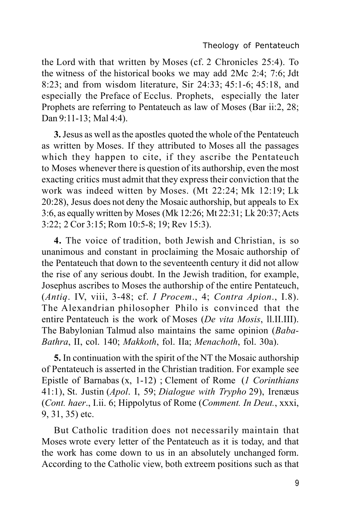the Lord with that written by Moses (cf. 2 Chronicles 25:4). To the witness of the historical books we may add 2Mc 2:4; 7:6; Jdt 8:23; and from wisdom literature, Sir 24:33; 45:1-6; 45:18, and especially the Preface of Ecclus. Prophets, especially the later Prophets are referring to Pentateuch as law of Moses (Bar ii:2, 28; Dan 9:11-13; Mal 4:4).

**3.** Jesus as well as the apostles quoted the whole of the Pentateuch as written by Moses. If they attributed to Moses all the passages which they happen to cite, if they ascribe the Pentateuch to Moses whenever there is question of its authorship, even the most exacting critics must admit that they express their conviction that the work was indeed witten by Moses. (Mt 22:24; Mk 12:19; Lk 20:28), Jesus does not deny the Mosaic authorship, but appeals to Ex 3:6, as equally written by Moses (Mk 12:26; Mt 22:31; Lk 20:37; Acts 3:22; 2 Cor 3:15; Rom 10:5-8; 19; Rev 15:3).

**4.** The voice of tradition, both Jewish and Christian, is so unanimous and constant in proclaiming the Mosaic authorship of the Pentateuch that down to the seventeenth century it did not allow the rise of any serious doubt. In the Jewish tradition, for example, Josephus ascribes to Moses the authorship of the entire Pentateuch, (*Antiq*. IV, viii, 3-48; cf. *I Procem*., 4; *Contra Apion*., I.8). The Alexandrian philosopher Philo is convinced that the entire Pentateuch is the work of Moses (*De vita Mosis*, ll.II.III). The Babylonian Talmud also maintains the same opinion (*Baba-Bathra*, II, col. 140; *Makkoth*, fol. IIa; *Menachoth*, fol. 30a).

**5.** In continuation with the spirit of the NT the Mosaic authorship of Pentateuch is asserted in the Christian tradition. For example see Epistle of Barnabas (x, 1-12) ; Clement of Rome (*1 Corinthians* 41:1), St. Justin (*Apol*. I, 59; *Dialogue with Trypho* 29), Irenæus (*Cont. haer*., I.ii. 6; Hippolytus of Rome (*Comment. In Deut.*, xxxi, 9, 31, 35) etc.

But Catholic tradition does not necessarily maintain that Moses wrote every letter of the Pentateuch as it is today, and that the work has come down to us in an absolutely unchanged form. According to the Catholic view, both extreem positions such as that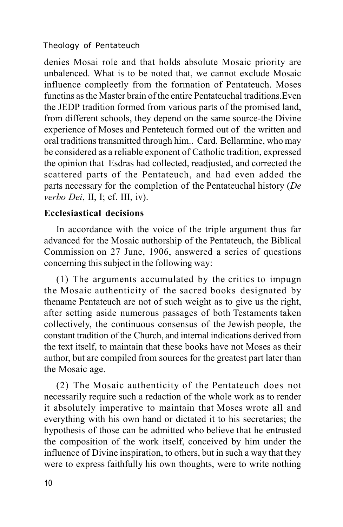denies Mosai role and that holds absolute Mosaic priority are unbalenced. What is to be noted that, we cannot exclude Mosaic influence compleetly from the formation of Pentateuch. Moses functins as the Master brain of the entire Pentateuchal traditions.Even the JEDP tradition formed from various parts of the promised land, from different schools, they depend on the same source-the Divine experience of Moses and Penteteuch formed out of the written and oral traditions transmitted through him.. Card. Bellarmine, who may be considered as a reliable exponent of Catholic tradition, expressed the opinion that Esdras had collected, readjusted, and corrected the scattered parts of the Pentateuch, and had even added the parts necessary for the completion of the Pentateuchal history (*De verbo Dei*, II, I; cf. III, iv).

## **Ecclesiastical decisions**

In accordance with the voice of the triple argument thus far advanced for the Mosaic authorship of the Pentateuch, the Biblical Commission on 27 June, 1906, answered a series of questions concerning this subject in the following way:

(1) The arguments accumulated by the critics to impugn the Mosaic authenticity of the sacred books designated by thename Pentateuch are not of such weight as to give us the right, after setting aside numerous passages of both Testaments taken collectively, the continuous consensus of the Jewish people, the constant tradition of the Church, and internal indications derived from the text itself, to maintain that these books have not Moses as their author, but are compiled from sources for the greatest part later than the Mosaic age.

(2) The Mosaic authenticity of the Pentateuch does not necessarily require such a redaction of the whole work as to render it absolutely imperative to maintain that Moses wrote all and everything with his own hand or dictated it to his secretaries; the hypothesis of those can be admitted who believe that he entrusted the composition of the work itself, conceived by him under the influence of Divine inspiration, to others, but in such a way that they were to express faithfully his own thoughts, were to write nothing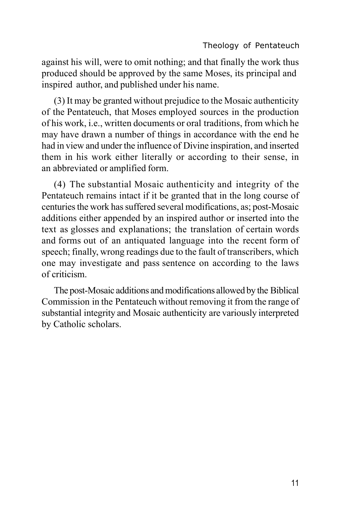against his will, were to omit nothing; and that finally the work thus produced should be approved by the same Moses, its principal and inspired author, and published under his name.

(3) It may be granted without prejudice to the Mosaic authenticity of the Pentateuch, that Moses employed sources in the production of his work, i.e., written documents or oral traditions, from which he may have drawn a number of things in accordance with the end he had in view and under the influence of Divine inspiration, and inserted them in his work either literally or according to their sense, in an abbreviated or amplified form.

(4) The substantial Mosaic authenticity and integrity of the Pentateuch remains intact if it be granted that in the long course of centuries the work has suffered several modifications, as; post-Mosaic additions either appended by an inspired author or inserted into the text as glosses and explanations; the translation of certain words and forms out of an antiquated language into the recent form of speech; finally, wrong readings due to the fault of transcribers, which one may investigate and pass sentence on according to the laws of criticism.

The post-Mosaic additions and modifications allowed by the Biblical Commission in the Pentateuch without removing it from the range of substantial integrity and Mosaic authenticity are variously interpreted by Catholic scholars.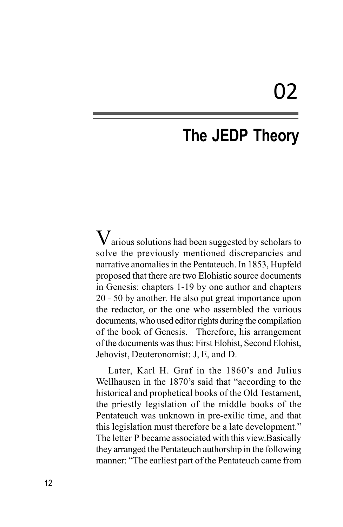# 02

# **The JEDP Theory**

 $V$ arious solutions had been suggested by scholars to solve the previously mentioned discrepancies and narrative anomalies in the Pentateuch. In 1853, Hupfeld proposed that there are two Elohistic source documents in Genesis: chapters 1-19 by one author and chapters 20 - 50 by another. He also put great importance upon the redactor, or the one who assembled the various documents, who used editor rights during the compilation of the book of Genesis. Therefore, his arrangement of the documents was thus: First Elohist, Second Elohist, Jehovist, Deuteronomist: J, E, and D.

Later, Karl H. Graf in the 1860's and Julius Wellhausen in the 1870's said that "according to the historical and prophetical books of the Old Testament, the priestly legislation of the middle books of the Pentateuch was unknown in pre-exilic time, and that this legislation must therefore be a late development." The letter P became associated with this view.Basically they arranged the Pentateuch authorship in the following manner: "The earliest part of the Pentateuch came from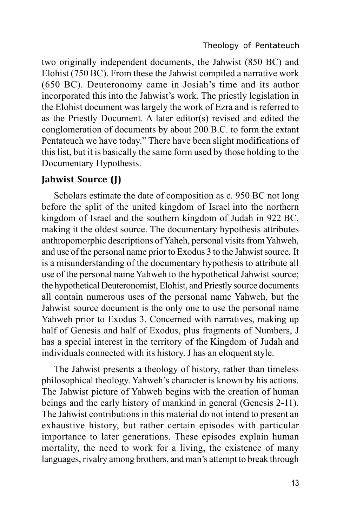two originally independent documents, the Jahwist (850 BC) and Elohist (750 BC). From these the Jahwist compiled a narrative work (650 BC). Deuteronomy came in Josiah's time and its author incorporated this into the Jahwist's work. The priestly legislation in the Elohist document was largely the work of Ezra and is referred to as the Priestly Document. A later editor(s) revised and edited the conglomeration of documents by about 200 B.C. to form the extant Pentateuch we have today." There have been slight modifications of this list, but it is basically the same form used by those holding to the Documentary Hypothesis.

# **Jahwist Source (J)**

Scholars estimate the date of composition as c. 950 BC not long before the split of the united kingdom of Israel into the northern kingdom of Israel and the southern kingdom of Judah in 922 BC, making it the oldest source. The documentary hypothesis attributes anthropomorphic descriptions of Yaheh, personal visits from Yahweh, and use of the personal name prior to Exodus 3 to the Jahwist source. It is a misunderstanding of the documentary hypothesis to attribute all use of the personal name Yahweh to the hypothetical Jahwist source; the hypothetical Deuteronomist, Elohist, and Priestly source documents all contain numerous uses of the personal name Yahweh, but the Jahwist source document is the only one to use the personal name Yahweh prior to Exodus 3. Concerned with narratives, making up half of Genesis and half of Exodus, plus fragments of Numbers, J has a special interest in the territory of the Kingdom of Judah and individuals connected with its history. J has an eloquent style.

The Jahwist presents a theology of history, rather than timeless philosophical theology. Yahweh's character is known by his actions. The Jahwist picture of Yahweh begins with the creation of human beings and the early history of mankind in general (Genesis 2-11). The Jahwist contributions in this material do not intend to present an exhaustive history, but rather certain episodes with particular importance to later generations. These episodes explain human mortality, the need to work for a living, the existence of many languages, rivalry among brothers, and man's attempt to break through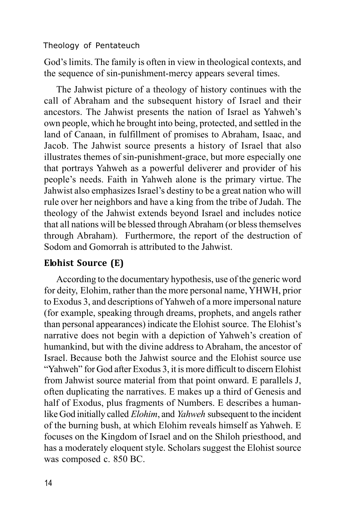God's limits. The family is often in view in theological contexts, and the sequence of sin-punishment-mercy appears several times.

The Jahwist picture of a theology of history continues with the call of Abraham and the subsequent history of Israel and their ancestors. The Jahwist presents the nation of Israel as Yahweh's own people, which he brought into being, protected, and settled in the land of Canaan, in fulfillment of promises to Abraham, Isaac, and Jacob. The Jahwist source presents a history of Israel that also illustrates themes of sin-punishment-grace, but more especially one that portrays Yahweh as a powerful deliverer and provider of his people's needs. Faith in Yahweh alone is the primary virtue. The Jahwist also emphasizes Israel's destiny to be a great nation who will rule over her neighbors and have a king from the tribe of Judah. The theology of the Jahwist extends beyond Israel and includes notice that all nations will be blessed through Abraham (or bless themselves through Abraham). Furthermore, the report of the destruction of Sodom and Gomorrah is attributed to the Jahwist.

## **Elohist Source (E)**

According to the documentary hypothesis, use of the generic word for deity, Elohim, rather than the more personal name, YHWH, prior to Exodus 3, and descriptions of Yahweh of a more impersonal nature (for example, speaking through dreams, prophets, and angels rather than personal appearances) indicate the Elohist source. The Elohist's narrative does not begin with a depiction of Yahweh's creation of humankind, but with the divine address to Abraham, the ancestor of Israel. Because both the Jahwist source and the Elohist source use "Yahweh" for God after Exodus 3, it is more difficult to discern Elohist from Jahwist source material from that point onward. E parallels J, often duplicating the narratives. E makes up a third of Genesis and half of Exodus, plus fragments of Numbers. E describes a humanlike God initially called *Elohim*, and *Yahweh* subsequent to the incident of the burning bush, at which Elohim reveals himself as Yahweh. E focuses on the Kingdom of Israel and on the Shiloh priesthood, and has a moderately eloquent style. Scholars suggest the Elohist source was composed c. 850 BC.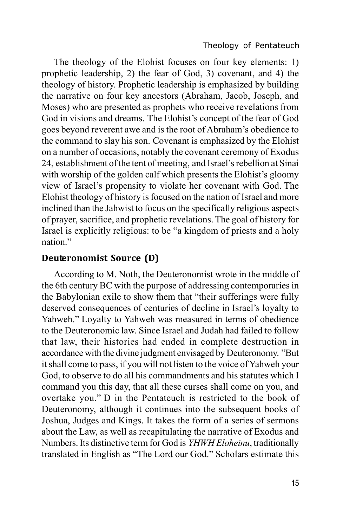The theology of the Elohist focuses on four key elements: 1) prophetic leadership, 2) the fear of God, 3) covenant, and 4) the theology of history. Prophetic leadership is emphasized by building the narrative on four key ancestors (Abraham, Jacob, Joseph, and Moses) who are presented as prophets who receive revelations from God in visions and dreams. The Elohist's concept of the fear of God goes beyond reverent awe and is the root of Abraham's obedience to the command to slay his son. Covenant is emphasized by the Elohist on a number of occasions, notably the covenant ceremony of Exodus 24, establishment of the tent of meeting, and Israel's rebellion at Sinai with worship of the golden calf which presents the Elohist's gloomy view of Israel's propensity to violate her covenant with God. The Elohist theology of history is focused on the nation of Israel and more inclined than the Jahwist to focus on the specifically religious aspects of prayer, sacrifice, and prophetic revelations. The goal of history for Israel is explicitly religious: to be "a kingdom of priests and a holy nation."

## **Deuteronomist Source (D)**

According to M. Noth, the Deuteronomist wrote in the middle of the 6th century BC with the purpose of addressing contemporaries in the Babylonian exile to show them that "their sufferings were fully deserved consequences of centuries of decline in Israel's loyalty to Yahweh." Loyalty to Yahweh was measured in terms of obedience to the Deuteronomic law. Since Israel and Judah had failed to follow that law, their histories had ended in complete destruction in accordance with the divine judgment envisaged by Deuteronomy. "But it shall come to pass, if you will not listen to the voice of Yahweh your God, to observe to do all his commandments and his statutes which I command you this day, that all these curses shall come on you, and overtake you." D in the Pentateuch is restricted to the book of Deuteronomy, although it continues into the subsequent books of Joshua, Judges and Kings. It takes the form of a series of sermons about the Law, as well as recapitulating the narrative of Exodus and Numbers. Its distinctive term for God is *YHWH Eloheinu*, traditionally translated in English as "The Lord our God." Scholars estimate this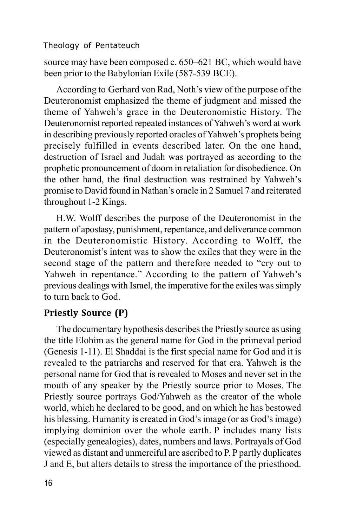source may have been composed c. 650–621 BC, which would have been prior to the Babylonian Exile (587-539 BCE).

According to Gerhard von Rad, Noth's view of the purpose of the Deuteronomist emphasized the theme of judgment and missed the theme of Yahweh's grace in the Deuteronomistic History. The Deuteronomist reported repeated instances of Yahweh's word at work in describing previously reported oracles of Yahweh's prophets being precisely fulfilled in events described later. On the one hand, destruction of Israel and Judah was portrayed as according to the prophetic pronouncement of doom in retaliation for disobedience. On the other hand, the final destruction was restrained by Yahweh's promise to David found in Nathan's oracle in 2 Samuel 7 and reiterated throughout 1-2 Kings.

H.W. Wolff describes the purpose of the Deuteronomist in the pattern of apostasy, punishment, repentance, and deliverance common in the Deuteronomistic History. According to Wolff, the Deuteronomist's intent was to show the exiles that they were in the second stage of the pattern and therefore needed to "cry out to Yahweh in repentance." According to the pattern of Yahweh's previous dealings with Israel, the imperative for the exiles was simply to turn back to God.

### **Priestly Source (P)**

The documentary hypothesis describes the Priestly source as using the title Elohim as the general name for God in the primeval period (Genesis 1-11). El Shaddai is the first special name for God and it is revealed to the patriarchs and reserved for that era. Yahweh is the personal name for God that is revealed to Moses and never set in the mouth of any speaker by the Priestly source prior to Moses. The Priestly source portrays God/Yahweh as the creator of the whole world, which he declared to be good, and on which he has bestowed his blessing. Humanity is created in God's image (or as God's image) implying dominion over the whole earth. P includes many lists (especially genealogies), dates, numbers and laws. Portrayals of God viewed as distant and unmerciful are ascribed to P. P partly duplicates J and E, but alters details to stress the importance of the priesthood.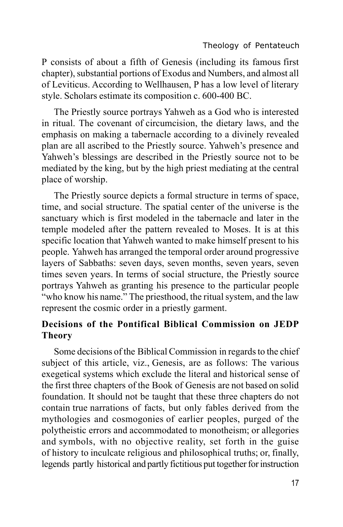P consists of about a fifth of Genesis (including its famous first chapter), substantial portions of Exodus and Numbers, and almost all of Leviticus. According to Wellhausen, P has a low level of literary style. Scholars estimate its composition c. 600-400 BC.

The Priestly source portrays Yahweh as a God who is interested in ritual. The covenant of circumcision, the dietary laws, and the emphasis on making a tabernacle according to a divinely revealed plan are all ascribed to the Priestly source. Yahweh's presence and Yahweh's blessings are described in the Priestly source not to be mediated by the king, but by the high priest mediating at the central place of worship.

The Priestly source depicts a formal structure in terms of space, time, and social structure. The spatial center of the universe is the sanctuary which is first modeled in the tabernacle and later in the temple modeled after the pattern revealed to Moses. It is at this specific location that Yahweh wanted to make himself present to his people. Yahweh has arranged the temporal order around progressive layers of Sabbaths: seven days, seven months, seven years, seven times seven years. In terms of social structure, the Priestly source portrays Yahweh as granting his presence to the particular people "who know his name." The priesthood, the ritual system, and the law represent the cosmic order in a priestly garment.

# **Decisions of the Pontifical Biblical Commission on JEDP Theory**

Some decisions of the Biblical Commission in regards to the chief subject of this article, viz., Genesis, are as follows: The various exegetical systems which exclude the literal and historical sense of the first three chapters of the Book of Genesis are not based on solid foundation. It should not be taught that these three chapters do not contain true narrations of facts, but only fables derived from the mythologies and cosmogonies of earlier peoples, purged of the polytheistic errors and accommodated to monotheism; or allegories and symbols, with no objective reality, set forth in the guise of history to inculcate religious and philosophical truths; or, finally, legends partly historical and partly fictitious put together for instruction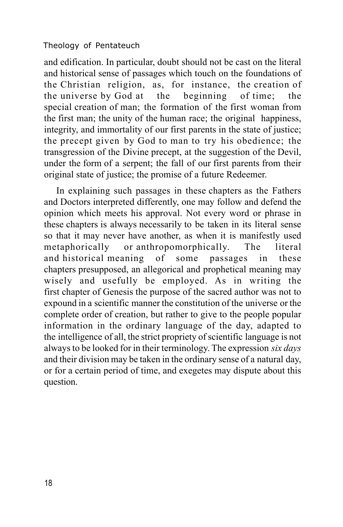and edification. In particular, doubt should not be cast on the literal and historical sense of passages which touch on the foundations of the Christian religion, as, for instance, the creation of the universe by God at the beginning of time; the special creation of man; the formation of the first woman from the first man; the unity of the human race; the original happiness, integrity, and immortality of our first parents in the state of justice; the precept given by God to man to try his obedience; the transgression of the Divine precept, at the suggestion of the Devil, under the form of a serpent; the fall of our first parents from their original state of justice; the promise of a future Redeemer.

In explaining such passages in these chapters as the Fathers and Doctors interpreted differently, one may follow and defend the opinion which meets his approval. Not every word or phrase in these chapters is always necessarily to be taken in its literal sense so that it may never have another, as when it is manifestly used metaphorically or anthropomorphically. The literal and historical meaning of some passages in these chapters presupposed, an allegorical and prophetical meaning may wisely and usefully be employed. As in writing the first chapter of Genesis the purpose of the sacred author was not to expound in a scientific manner the constitution of the universe or the complete order of creation, but rather to give to the people popular information in the ordinary language of the day, adapted to the intelligence of all, the strict propriety of scientific language is not always to be looked for in their terminology. The expression *six days* and their division may be taken in the ordinary sense of a natural day, or for a certain period of time, and exegetes may dispute about this question.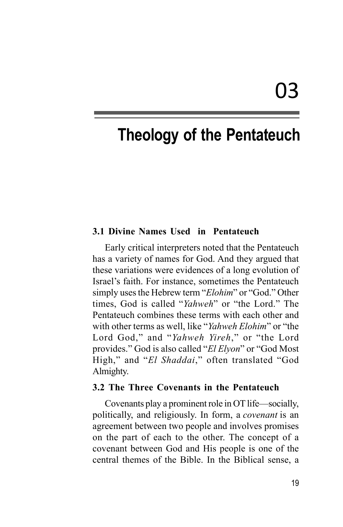#### **3.1 Divine Names Used in Pentateuch**

Early critical interpreters noted that the Pentateuch has a variety of names for God. And they argued that these variations were evidences of a long evolution of Israel's faith. For instance, sometimes the Pentateuch simply uses the Hebrew term "*Elohim*" or "God." Other times, God is called "*Yahweh*" or "the Lord." The Pentateuch combines these terms with each other and with other terms as well, like "*Yahweh Elohim*" or "the Lord God," and "*Yahweh Yireh*," or "the Lord provides." God is also called "*El Elyon*" or "God Most High," and "*El Shaddai*," often translated "God Almighty.

#### **3.2 The Three Covenants in the Pentateuch**

Covenants play a prominent role in OT life—socially, politically, and religiously. In form, a *covenant* is an agreement between two people and involves promises on the part of each to the other. The concept of a covenant between God and His people is one of the central themes of the Bible. In the Biblical sense, a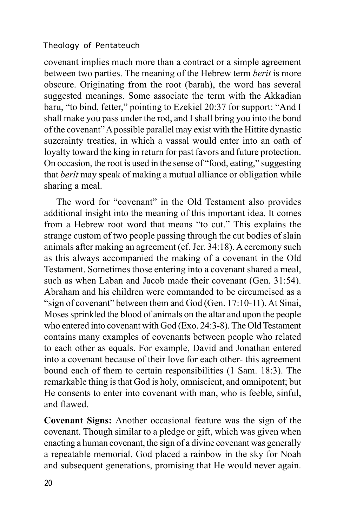covenant implies much more than a contract or a simple agreement between two parties. The meaning of the Hebrew term *berit* is more obscure. Originating from the root (barah), the word has several suggested meanings. Some associate the term with the Akkadian baru, "to bind, fetter," pointing to Ezekiel 20:37 for support: "And I shall make you pass under the rod, and I shall bring you into the bond of the covenant" A possible parallel may exist with the Hittite dynastic suzerainty treaties, in which a vassal would enter into an oath of loyalty toward the king in return for past favors and future protection. On occasion, the root is used in the sense of "food, eating," suggesting that *berît* may speak of making a mutual alliance or obligation while sharing a meal.

The word for "covenant" in the Old Testament also provides additional insight into the meaning of this important idea. It comes from a Hebrew root word that means "to cut." This explains the strange custom of two people passing through the cut bodies of slain animals after making an agreement (cf. Jer. 34:18). A ceremony such as this always accompanied the making of a covenant in the Old Testament. Sometimes those entering into a covenant shared a meal, such as when Laban and Jacob made their covenant (Gen. 31:54). Abraham and his children were commanded to be circumcised as a "sign of covenant" between them and God (Gen. 17:10-11). At Sinai, Moses sprinkled the blood of animals on the altar and upon the people who entered into covenant with God (Exo. 24:3-8). The Old Testament contains many examples of covenants between people who related to each other as equals. For example, David and Jonathan entered into a covenant because of their love for each other- this agreement bound each of them to certain responsibilities (1 Sam. 18:3). The remarkable thing is that God is holy, omniscient, and omnipotent; but He consents to enter into covenant with man, who is feeble, sinful, and flawed.

**Covenant Signs:** Another occasional feature was the sign of the covenant. Though similar to a pledge or gift, which was given when enacting a human covenant, the sign of a divine covenant was generally a repeatable memorial. God placed a rainbow in the sky for Noah and subsequent generations, promising that He would never again.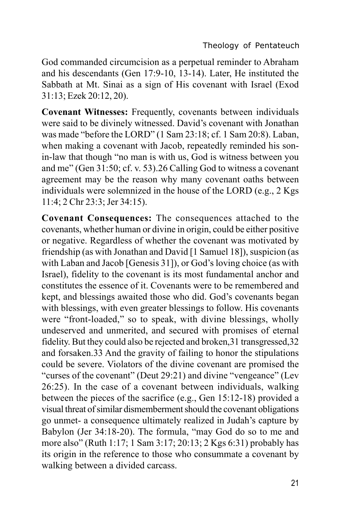God commanded circumcision as a perpetual reminder to Abraham and his descendants (Gen 17:9-10, 13-14). Later, He instituted the Sabbath at Mt. Sinai as a sign of His covenant with Israel (Exod 31:13; Ezek 20:12, 20).

**Covenant Witnesses:** Frequently, covenants between individuals were said to be divinely witnessed. David's covenant with Jonathan was made "before the LORD" (1 Sam 23:18; cf. 1 Sam 20:8). Laban, when making a covenant with Jacob, repeatedly reminded his sonin-law that though "no man is with us, God is witness between you and me" (Gen 31:50; cf. v. 53).26 Calling God to witness a covenant agreement may be the reason why many covenant oaths between individuals were solemnized in the house of the LORD (e.g., 2 Kgs 11:4; 2 Chr 23:3; Jer 34:15).

**Covenant Consequences:** The consequences attached to the covenants, whether human or divine in origin, could be either positive or negative. Regardless of whether the covenant was motivated by friendship (as with Jonathan and David [1 Samuel 18]), suspicion (as with Laban and Jacob [Genesis 31]), or God's loving choice (as with Israel), fidelity to the covenant is its most fundamental anchor and constitutes the essence of it. Covenants were to be remembered and kept, and blessings awaited those who did. God's covenants began with blessings, with even greater blessings to follow. His covenants were "front-loaded," so to speak, with divine blessings, wholly undeserved and unmerited, and secured with promises of eternal fidelity. But they could also be rejected and broken,31 transgressed,32 and forsaken.33 And the gravity of failing to honor the stipulations could be severe. Violators of the divine covenant are promised the "curses of the covenant" (Deut 29:21) and divine "vengeance" (Lev 26:25). In the case of a covenant between individuals, walking between the pieces of the sacrifice (e.g., Gen 15:12-18) provided a visual threat of similar dismemberment should the covenant obligations go unmet- a consequence ultimately realized in Judah's capture by Babylon (Jer 34:18-20). The formula, "may God do so to me and more also" (Ruth 1:17; 1 Sam 3:17; 20:13; 2 Kgs 6:31) probably has its origin in the reference to those who consummate a covenant by walking between a divided carcass.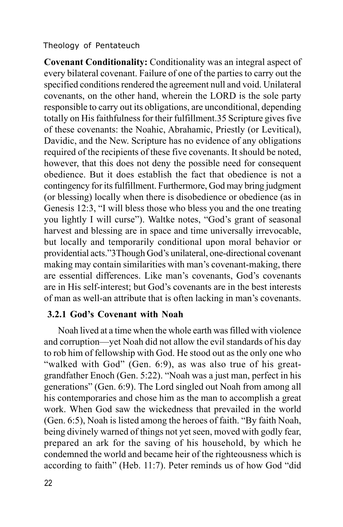**Covenant Conditionality:** Conditionality was an integral aspect of every bilateral covenant. Failure of one of the parties to carry out the specified conditions rendered the agreement null and void. Unilateral covenants, on the other hand, wherein the LORD is the sole party responsible to carry out its obligations, are unconditional, depending totally on His faithfulness for their fulfillment.35 Scripture gives five of these covenants: the Noahic, Abrahamic, Priestly (or Levitical), Davidic, and the New. Scripture has no evidence of any obligations required of the recipients of these five covenants. It should be noted, however, that this does not deny the possible need for consequent obedience. But it does establish the fact that obedience is not a contingency for its fulfillment. Furthermore, God may bring judgment (or blessing) locally when there is disobedience or obedience (as in Genesis 12:3, "I will bless those who bless you and the one treating you lightly I will curse"). Waltke notes, "God's grant of seasonal harvest and blessing are in space and time universally irrevocable, but locally and temporarily conditional upon moral behavior or providential acts."3Though God's unilateral, one-directional covenant making may contain similarities with man's covenant-making, there are essential differences. Like man's covenants, God's covenants are in His self-interest; but God's covenants are in the best interests of man as well-an attribute that is often lacking in man's covenants.

## **3.2.1 God's Covenant with Noah**

 Noah lived at a time when the whole earth was filled with violence and corruption—yet Noah did not allow the evil standards of his day to rob him of fellowship with God. He stood out as the only one who "walked with God" (Gen. 6:9), as was also true of his greatgrandfather Enoch (Gen. 5:22). "Noah was a just man, perfect in his generations" (Gen. 6:9). The Lord singled out Noah from among all his contemporaries and chose him as the man to accomplish a great work. When God saw the wickedness that prevailed in the world (Gen. 6:5), Noah is listed among the heroes of faith. "By faith Noah, being divinely warned of things not yet seen, moved with godly fear, prepared an ark for the saving of his household, by which he condemned the world and became heir of the righteousness which is according to faith" (Heb. 11:7). Peter reminds us of how God "did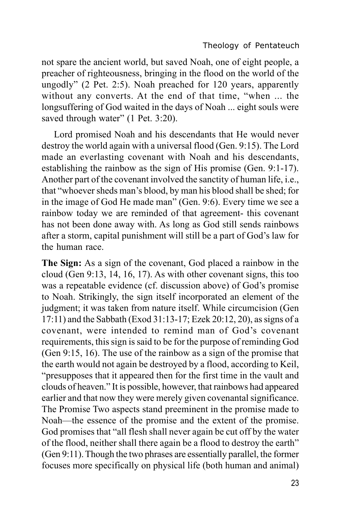not spare the ancient world, but saved Noah, one of eight people, a preacher of righteousness, bringing in the flood on the world of the ungodly" (2 Pet. 2:5). Noah preached for 120 years, apparently without any converts. At the end of that time, "when ... the longsuffering of God waited in the days of Noah ... eight souls were saved through water" (1 Pet. 3:20).

Lord promised Noah and his descendants that He would never destroy the world again with a universal flood (Gen. 9:15). The Lord made an everlasting covenant with Noah and his descendants, establishing the rainbow as the sign of His promise (Gen. 9:1-17). Another part of the covenant involved the sanctity of human life, i.e., that "whoever sheds man's blood, by man his blood shall be shed; for in the image of God He made man" (Gen. 9:6). Every time we see a rainbow today we are reminded of that agreement- this covenant has not been done away with. As long as God still sends rainbows after a storm, capital punishment will still be a part of God's law for the human race.

**The Sign:** As a sign of the covenant, God placed a rainbow in the cloud (Gen 9:13, 14, 16, 17). As with other covenant signs, this too was a repeatable evidence (cf. discussion above) of God's promise to Noah. Strikingly, the sign itself incorporated an element of the judgment; it was taken from nature itself. While circumcision (Gen 17:11) and the Sabbath (Exod 31:13-17; Ezek 20:12, 20), as signs of a covenant, were intended to remind man of God's covenant requirements, this sign is said to be for the purpose of reminding God (Gen 9:15, 16). The use of the rainbow as a sign of the promise that the earth would not again be destroyed by a flood, according to Keil, "presupposes that it appeared then for the first time in the vault and clouds of heaven." It is possible, however, that rainbows had appeared earlier and that now they were merely given covenantal significance. The Promise Two aspects stand preeminent in the promise made to Noah—the essence of the promise and the extent of the promise. God promises that "all flesh shall never again be cut off by the water of the flood, neither shall there again be a flood to destroy the earth" (Gen 9:11). Though the two phrases are essentially parallel, the former focuses more specifically on physical life (both human and animal)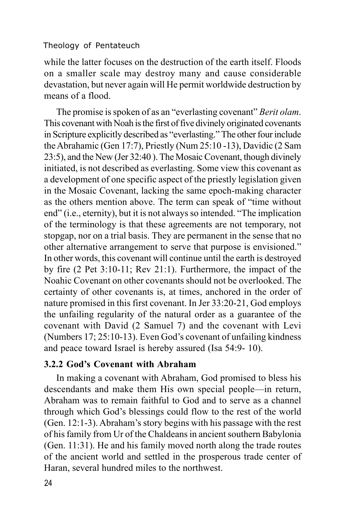while the latter focuses on the destruction of the earth itself. Floods on a smaller scale may destroy many and cause considerable devastation, but never again will He permit worldwide destruction by means of a flood.

The promise is spoken of as an "everlasting covenant" *Berit olam*. This covenant with Noah is the first of five divinely originated covenants in Scripture explicitly described as "everlasting." The other four include the Abrahamic (Gen 17:7), Priestly (Num 25:10 -13), Davidic (2 Sam 23:5), and the New (Jer 32:40 ). The Mosaic Covenant, though divinely initiated, is not described as everlasting. Some view this covenant as a development of one specific aspect of the priestly legislation given in the Mosaic Covenant, lacking the same epoch-making character as the others mention above. The term can speak of "time without end" (i.e., eternity), but it is not always so intended. "The implication of the terminology is that these agreements are not temporary, not stopgap, nor on a trial basis. They are permanent in the sense that no other alternative arrangement to serve that purpose is envisioned." In other words, this covenant will continue until the earth is destroyed by fire (2 Pet 3:10-11; Rev 21:1). Furthermore, the impact of the Noahic Covenant on other covenants should not be overlooked. The certainty of other covenants is, at times, anchored in the order of nature promised in this first covenant. In Jer 33:20-21, God employs the unfailing regularity of the natural order as a guarantee of the covenant with David (2 Samuel 7) and the covenant with Levi (Numbers 17; 25:10-13). Even God's covenant of unfailing kindness and peace toward Israel is hereby assured (Isa 54:9- 10).

## **3.2.2 God's Covenant with Abraham**

In making a covenant with Abraham, God promised to bless his descendants and make them His own special people—in return, Abraham was to remain faithful to God and to serve as a channel through which God's blessings could flow to the rest of the world (Gen. 12:1-3). Abraham's story begins with his passage with the rest of his family from Ur of the Chaldeans in ancient southern Babylonia (Gen. 11:31). He and his family moved north along the trade routes of the ancient world and settled in the prosperous trade center of Haran, several hundred miles to the northwest.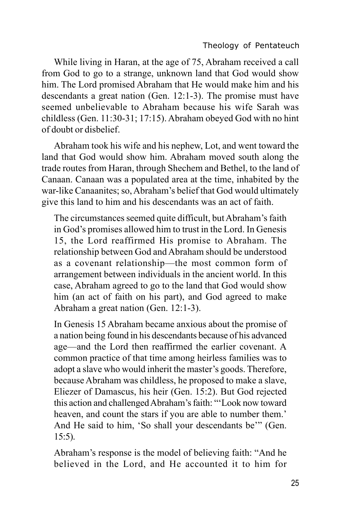While living in Haran, at the age of 75, Abraham received a call from God to go to a strange, unknown land that God would show him. The Lord promised Abraham that He would make him and his descendants a great nation (Gen. 12:1-3). The promise must have seemed unbelievable to Abraham because his wife Sarah was childless (Gen. 11:30-31; 17:15). Abraham obeyed God with no hint of doubt or disbelief.

Abraham took his wife and his nephew, Lot, and went toward the land that God would show him. Abraham moved south along the trade routes from Haran, through Shechem and Bethel, to the land of Canaan. Canaan was a populated area at the time, inhabited by the war-like Canaanites; so, Abraham's belief that God would ultimately give this land to him and his descendants was an act of faith.

The circumstances seemed quite difficult, but Abraham's faith in God's promises allowed him to trust in the Lord. In Genesis 15, the Lord reaffirmed His promise to Abraham. The relationship between God and Abraham should be understood as a covenant relationship—the most common form of arrangement between individuals in the ancient world. In this case, Abraham agreed to go to the land that God would show him (an act of faith on his part), and God agreed to make Abraham a great nation (Gen. 12:1-3).

In Genesis 15 Abraham became anxious about the promise of a nation being found in his descendants because of his advanced age—and the Lord then reaffirmed the earlier covenant. A common practice of that time among heirless families was to adopt a slave who would inherit the master's goods. Therefore, because Abraham was childless, he proposed to make a slave, Eliezer of Damascus, his heir (Gen. 15:2). But God rejected this action and challenged Abraham's faith: "'Look now toward heaven, and count the stars if you are able to number them.' And He said to him, 'So shall your descendants be'" (Gen. 15:5).

Abraham's response is the model of believing faith: "And he believed in the Lord, and He accounted it to him for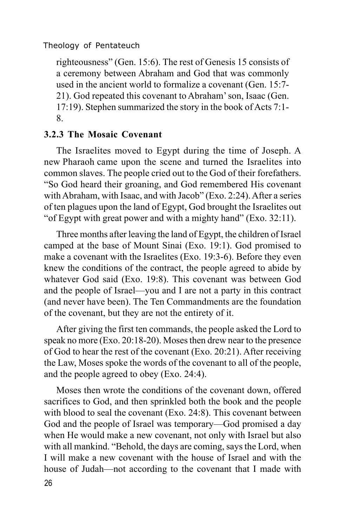righteousness" (Gen. 15:6). The rest of Genesis 15 consists of a ceremony between Abraham and God that was commonly used in the ancient world to formalize a covenant (Gen. 15:7- 21). God repeated this covenant to Abraham' son, Isaac (Gen. 17:19). Stephen summarized the story in the book of Acts 7:1- 8.

#### **3.2.3 The Mosaic Covenant**

The Israelites moved to Egypt during the time of Joseph. A new Pharaoh came upon the scene and turned the Israelites into common slaves. The people cried out to the God of their forefathers. "So God heard their groaning, and God remembered His covenant with Abraham, with Isaac, and with Jacob" (Exo. 2:24). After a series of ten plagues upon the land of Egypt, God brought the Israelites out "of Egypt with great power and with a mighty hand" (Exo. 32:11).

Three months after leaving the land of Egypt, the children of Israel camped at the base of Mount Sinai (Exo. 19:1). God promised to make a covenant with the Israelites (Exo. 19:3-6). Before they even knew the conditions of the contract, the people agreed to abide by whatever God said (Exo. 19:8). This covenant was between God and the people of Israel—you and I are not a party in this contract (and never have been). The Ten Commandments are the foundation of the covenant, but they are not the entirety of it.

After giving the first ten commands, the people asked the Lord to speak no more (Exo. 20:18-20). Moses then drew near to the presence of God to hear the rest of the covenant (Exo. 20:21). After receiving the Law, Moses spoke the words of the covenant to all of the people, and the people agreed to obey (Exo. 24:4).

Moses then wrote the conditions of the covenant down, offered sacrifices to God, and then sprinkled both the book and the people with blood to seal the covenant (Exo. 24:8). This covenant between God and the people of Israel was temporary—God promised a day when He would make a new covenant, not only with Israel but also with all mankind. "Behold, the days are coming, says the Lord, when I will make a new covenant with the house of Israel and with the house of Judah—not according to the covenant that I made with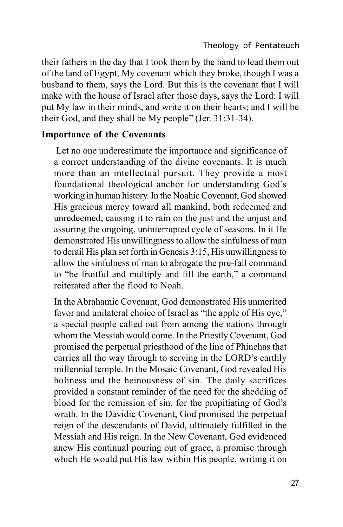their fathers in the day that I took them by the hand to lead them out of the land of Egypt, My covenant which they broke, though I was a husband to them, says the Lord. But this is the covenant that I will make with the house of Israel after those days, says the Lord: I will put My law in their minds, and write it on their hearts; and I will be their God, and they shall be My people" (Jer. 31:31-34).

#### **Importance of the Covenants**

 Let no one underestimate the importance and significance of a correct understanding of the divine covenants. It is much more than an intellectual pursuit. They provide a most foundational theological anchor for understanding God's working in human history. In the Noahic Covenant, God showed His gracious mercy toward all mankind, both redeemed and unredeemed, causing it to rain on the just and the unjust and assuring the ongoing, uninterrupted cycle of seasons. In it He demonstrated His unwillingness to allow the sinfulness of man to derail His plan set forth in Genesis 3:15, His unwillingness to allow the sinfulness of man to abrogate the pre-fall command to "be fruitful and multiply and fill the earth," a command reiterated after the flood to Noah.

In the Abrahamic Covenant, God demonstrated His unmerited favor and unilateral choice of Israel as "the apple of His eye," a special people called out from among the nations through whom the Messiah would come. In the Priestly Covenant, God promised the perpetual priesthood of the line of Phinehas that carries all the way through to serving in the LORD's earthly millennial temple. In the Mosaic Covenant, God revealed His holiness and the heinousness of sin. The daily sacrifices provided a constant reminder of the need for the shedding of blood for the remission of sin, for the propitiating of God's wrath. In the Davidic Covenant, God promised the perpetual reign of the descendants of David, ultimately fulfilled in the Messiah and His reign. In the New Covenant, God evidenced anew His continual pouring out of grace, a promise through which He would put His law within His people, writing it on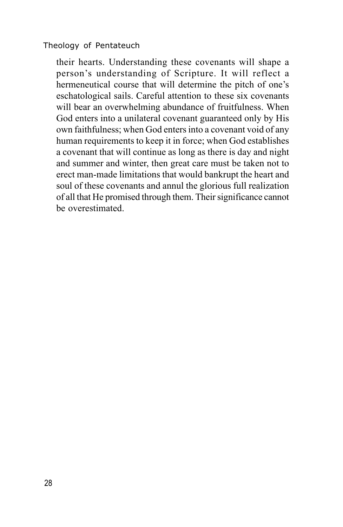their hearts. Understanding these covenants will shape a person's understanding of Scripture. It will reflect a hermeneutical course that will determine the pitch of one's eschatological sails. Careful attention to these six covenants will bear an overwhelming abundance of fruitfulness. When God enters into a unilateral covenant guaranteed only by His own faithfulness; when God enters into a covenant void of any human requirements to keep it in force; when God establishes a covenant that will continue as long as there is day and night and summer and winter, then great care must be taken not to erect man-made limitations that would bankrupt the heart and soul of these covenants and annul the glorious full realization of all that He promised through them. Their significance cannot be overestimated.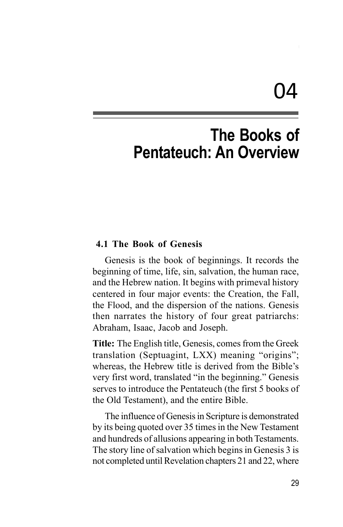# 04

# **The Books of Pentateuch: An Overview**

#### **4.1 The Book of Genesis**

Genesis is the book of beginnings. It records the beginning of time, life, sin, salvation, the human race, and the Hebrew nation. It begins with primeval history centered in four major events: the Creation, the Fall, the Flood, and the dispersion of the nations. Genesis then narrates the history of four great patriarchs: Abraham, Isaac, Jacob and Joseph.

**Title:** The English title, Genesis, comes from the Greek translation (Septuagint, LXX) meaning "origins"; whereas, the Hebrew title is derived from the Bible's very first word, translated "in the beginning." Genesis serves to introduce the Pentateuch (the first 5 books of the Old Testament), and the entire Bible.

The influence of Genesis in Scripture is demonstrated by its being quoted over 35 times in the New Testament and hundreds of allusions appearing in both Testaments. The story line of salvation which begins in Genesis 3 is not completed until Revelation chapters 21 and 22, where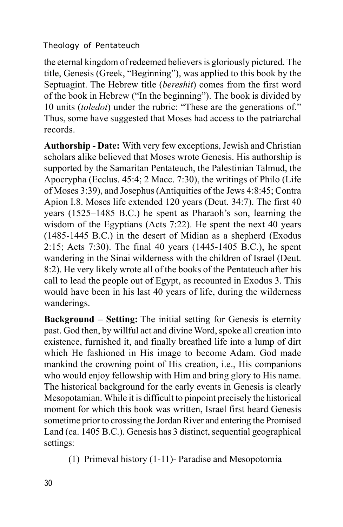the eternal kingdom of redeemed believers is gloriously pictured. The title, Genesis (Greek, "Beginning"), was applied to this book by the Septuagint. The Hebrew title (*bereshit*) comes from the first word of the book in Hebrew ("In the beginning"). The book is divided by 10 units (*toledot*) under the rubric: "These are the generations of." Thus, some have suggested that Moses had access to the patriarchal records.

**Authorship - Date:** With very few exceptions, Jewish and Christian scholars alike believed that Moses wrote Genesis. His authorship is supported by the Samaritan Pentateuch, the Palestinian Talmud, the Apocrypha (Ecclus. 45:4; 2 Macc. 7:30), the writings of Philo (Life of Moses 3:39), and Josephus (Antiquities of the Jews 4:8:45; Contra Apion I.8. Moses life extended 120 years (Deut. 34:7). The first 40 years (1525–1485 B.C.) he spent as Pharaoh's son, learning the wisdom of the Egyptians (Acts 7:22). He spent the next 40 years (1485-1445 B.C.) in the desert of Midian as a shepherd (Exodus 2:15; Acts 7:30). The final 40 years (1445-1405 B.C.), he spent wandering in the Sinai wilderness with the children of Israel (Deut. 8:2). He very likely wrote all of the books of the Pentateuch after his call to lead the people out of Egypt, as recounted in Exodus 3. This would have been in his last 40 years of life, during the wilderness wanderings.

**Background – Setting:** The initial setting for Genesis is eternity past. God then, by willful act and divine Word, spoke all creation into existence, furnished it, and finally breathed life into a lump of dirt which He fashioned in His image to become Adam. God made mankind the crowning point of His creation, i.e., His companions who would enjoy fellowship with Him and bring glory to His name. The historical background for the early events in Genesis is clearly Mesopotamian. While it is difficult to pinpoint precisely the historical moment for which this book was written, Israel first heard Genesis sometime prior to crossing the Jordan River and entering the Promised Land (ca. 1405 B.C.). Genesis has 3 distinct, sequential geographical settings:

(1) Primeval history (1-11)- Paradise and Mesopotomia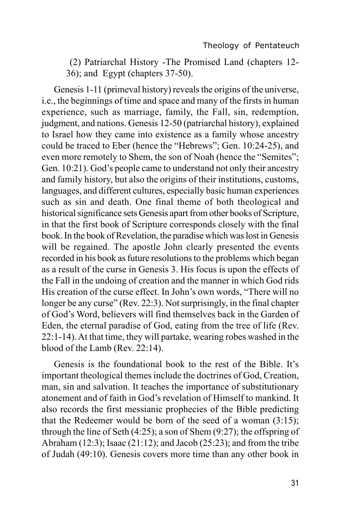(2) Patriarchal History -The Promised Land (chapters 12- 36); and Egypt (chapters 37-50).

Genesis 1-11 (primeval history) reveals the origins of the universe, i.e., the beginnings of time and space and many of the firsts in human experience, such as marriage, family, the Fall, sin, redemption, judgment, and nations. Genesis 12-50 (patriarchal history), explained to Israel how they came into existence as a family whose ancestry could be traced to Eber (hence the "Hebrews"; Gen. 10:24-25), and even more remotely to Shem, the son of Noah (hence the "Semites"; Gen. 10:21). God's people came to understand not only their ancestry and family history, but also the origins of their institutions, customs, languages, and different cultures, especially basic human experiences such as sin and death. One final theme of both theological and historical significance sets Genesis apart from other books of Scripture, in that the first book of Scripture corresponds closely with the final book. In the book of Revelation, the paradise which was lost in Genesis will be regained. The apostle John clearly presented the events recorded in his book as future resolutions to the problems which began as a result of the curse in Genesis 3. His focus is upon the effects of the Fall in the undoing of creation and the manner in which God rids His creation of the curse effect. In John's own words, "There will no longer be any curse" (Rev. 22:3). Not surprisingly, in the final chapter of God's Word, believers will find themselves back in the Garden of Eden, the eternal paradise of God, eating from the tree of life (Rev. 22:1-14). At that time, they will partake, wearing robes washed in the blood of the Lamb (Rev. 22:14).

Genesis is the foundational book to the rest of the Bible. It's important theological themes include the doctrines of God, Creation, man, sin and salvation. It teaches the importance of substitutionary atonement and of faith in God's revelation of Himself to mankind. It also records the first messianic prophecies of the Bible predicting that the Redeemer would be born of the seed of a woman (3:15); through the line of Seth (4:25); a son of Shem (9:27); the offspring of Abraham (12:3); Isaac (21:12); and Jacob (25:23); and from the tribe of Judah (49:10). Genesis covers more time than any other book in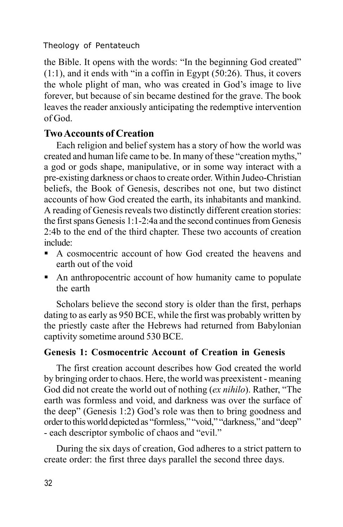the Bible. It opens with the words: "In the beginning God created" (1:1), and it ends with "in a coffin in Egypt (50:26). Thus, it covers the whole plight of man, who was created in God's image to live forever, but because of sin became destined for the grave. The book leaves the reader anxiously anticipating the redemptive intervention of God.

# **Two Accounts of Creation**

Each religion and belief system has a story of how the world was created and human life came to be. In many of these "creation myths," a god or gods shape, manipulative, or in some way interact with a pre-existing darkness or chaos to create order. Within Judeo-Christian beliefs, the Book of Genesis, describes not one, but two distinct accounts of how God created the earth, its inhabitants and mankind. A reading of Genesis reveals two distinctly different creation stories: the first spans Genesis 1:1-2:4a and the second continues from Genesis 2:4b to the end of the third chapter. These two accounts of creation include:

- ß A cosmocentric account of how God created the heavens and earth out of the void
- An anthropocentric account of how humanity came to populate the earth

Scholars believe the second story is older than the first, perhaps dating to as early as 950 BCE, while the first was probably written by the priestly caste after the Hebrews had returned from Babylonian captivity sometime around 530 BCE.

# **Genesis 1: Cosmocentric Account of Creation in Genesis**

The first creation account describes how God created the world by bringing order to chaos. Here, the world was preexistent - meaning God did not create the world out of nothing (*ex nihilo*). Rather, "The earth was formless and void, and darkness was over the surface of the deep" (Genesis 1:2) God's role was then to bring goodness and order to this world depicted as "formless," "void," "darkness," and "deep" - each descriptor symbolic of chaos and "evil."

During the six days of creation, God adheres to a strict pattern to create order: the first three days parallel the second three days.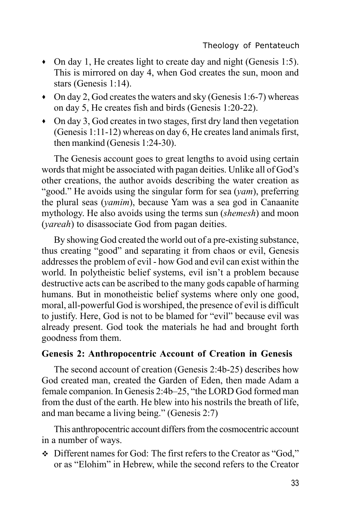- · On day 1, He creates light to create day and night (Genesis 1:5). This is mirrored on day 4, when God creates the sun, moon and stars (Genesis 1:14).
- · On day 2, God creates the waters and sky (Genesis 1:6-7) whereas on day 5, He creates fish and birds (Genesis 1:20-22).
- · On day 3, God creates in two stages, first dry land then vegetation (Genesis 1:11-12) whereas on day 6, He creates land animals first, then mankind (Genesis 1:24-30).

The Genesis account goes to great lengths to avoid using certain words that might be associated with pagan deities. Unlike all of God's other creations, the author avoids describing the water creation as "good." He avoids using the singular form for sea (*yam*), preferring the plural seas (*yamim*), because Yam was a sea god in Canaanite mythology. He also avoids using the terms sun (*shemesh*) and moon (*yareah*) to disassociate God from pagan deities.

By showing God created the world out of a pre-existing substance, thus creating "good" and separating it from chaos or evil, Genesis addresses the problem of evil - how God and evil can exist within the world. In polytheistic belief systems, evil isn't a problem because destructive acts can be ascribed to the many gods capable of harming humans. But in monotheistic belief systems where only one good, moral, all-powerful God is worshiped, the presence of evil is difficult to justify. Here, God is not to be blamed for "evil" because evil was already present. God took the materials he had and brought forth goodness from them.

#### **Genesis 2: Anthropocentric Account of Creation in Genesis**

The second account of creation (Genesis 2:4b-25) describes how God created man, created the Garden of Eden, then made Adam a female companion. In Genesis 2:4b–25, "the LORD God formed man from the dust of the earth. He blew into his nostrils the breath of life, and man became a living being." (Genesis 2:7)

This anthropocentric account differs from the cosmocentric account in a number of ways.

v Different names for God: The first refers to the Creator as "God," or as "Elohim" in Hebrew, while the second refers to the Creator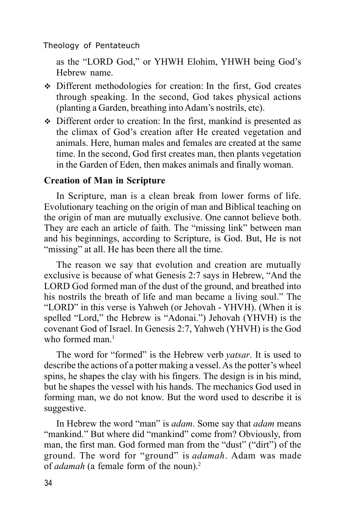as the "LORD God," or YHWH Elohim, YHWH being God's Hebrew name.

- Different methodologies for creation: In the first, God creates through speaking. In the second, God takes physical actions (planting a Garden, breathing into Adam's nostrils, etc).
- $\div$  Different order to creation: In the first, mankind is presented as the climax of God's creation after He created vegetation and animals. Here, human males and females are created at the same time. In the second, God first creates man, then plants vegetation in the Garden of Eden, then makes animals and finally woman.

#### **Creation of Man in Scripture**

In Scripture, man is a clean break from lower forms of life. Evolutionary teaching on the origin of man and Biblical teaching on the origin of man are mutually exclusive. One cannot believe both. They are each an article of faith. The "missing link" between man and his beginnings, according to Scripture, is God. But, He is not "missing" at all. He has been there all the time.

The reason we say that evolution and creation are mutually exclusive is because of what Genesis 2:7 says in Hebrew, "And the LORD God formed man of the dust of the ground, and breathed into his nostrils the breath of life and man became a living soul." The "LORD" in this verse is Yahweh (or Jehovah - YHVH). (When it is spelled "Lord," the Hebrew is "Adonai.") Jehovah (YHVH) is the covenant God of Israel. In Genesis 2:7, Yahweh (YHVH) is the God who formed man. $<sup>1</sup>$ </sup>

The word for "formed" is the Hebrew verb *yatsar*. It is used to describe the actions of a potter making a vessel. As the potter's wheel spins, he shapes the clay with his fingers. The design is in his mind, but he shapes the vessel with his hands. The mechanics God used in forming man, we do not know. But the word used to describe it is suggestive.

In Hebrew the word "man" is *adam*. Some say that *adam* means "mankind." But where did "mankind" come from? Obviously, from man, the first man. God formed man from the "dust" ("dirt") of the ground. The word for "ground" is *adamah*. Adam was made of *adamah* (a female form of the noun).2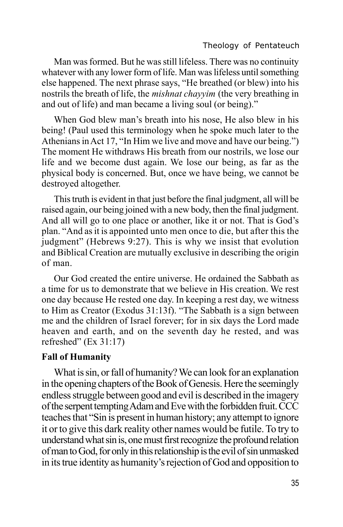Man was formed. But he was still lifeless. There was no continuity whatever with any lower form of life. Man was lifeless until something else happened. The next phrase says, "He breathed (or blew) into his nostrils the breath of life, the *mishnat chayyim* (the very breathing in and out of life) and man became a living soul (or being)."

When God blew man's breath into his nose, He also blew in his being! (Paul used this terminology when he spoke much later to the Athenians in Act 17, "In Him we live and move and have our being.") The moment He withdraws His breath from our nostrils, we lose our life and we become dust again. We lose our being, as far as the physical body is concerned. But, once we have being, we cannot be destroyed altogether.

This truth is evident in that just before the final judgment, all will be raised again, our being joined with a new body, then the final judgment. And all will go to one place or another, like it or not. That is God's plan. "And as it is appointed unto men once to die, but after this the judgment" (Hebrews 9:27). This is why we insist that evolution and Biblical Creation are mutually exclusive in describing the origin of man.

Our God created the entire universe. He ordained the Sabbath as a time for us to demonstrate that we believe in His creation. We rest one day because He rested one day. In keeping a rest day, we witness to Him as Creator (Exodus 31:13f). "The Sabbath is a sign between me and the children of Israel forever; for in six days the Lord made heaven and earth, and on the seventh day he rested, and was refreshed" (Ex 31:17)

### **Fall of Humanity**

What is sin, or fall of humanity? We can look for an explanation in the opening chapters of the Book of Genesis. Here the seemingly endless struggle between good and evil is described in the imagery of the serpent tempting Adam and Eve with the forbidden fruit. CCC teaches that "Sin is present in human history; any attempt to ignore it or to give this dark reality other names would be futile. To try to understand what sin is, one must first recognize the profound relation of man toGod, for only in this relationship is the evil of sin unmasked in its true identity as humanity's rejection of God and opposition to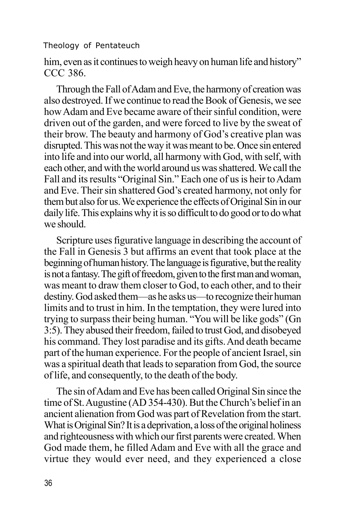him, even as it continues to weigh heavy on human life and history" CCC 386.

Through the Fall of Adam and Eve, the harmony of creation was also destroyed. If we continue to read the Book of Genesis, we see how Adam and Eve became aware of their sinful condition, were driven out of the garden, and were forced to live by the sweat of their brow. The beauty and harmony of God's creative plan was disrupted. This was not the way it was meant to be. Once sin entered into life and into our world, all harmony with God, with self, with each other, and with the world around us was shattered. We call the Fall and its results "Original Sin." Each one of us is heir to Adam and Eve. Their sin shattered God's created harmony, not only for them but also for us. We experience the effects of Original Sin in our daily life. This explains why it is so difficult to do good or to do what we should.

Scripture uses figurative language in describing the account of the Fall in Genesis 3 but affirms an event that took place at the beginning of human history. The language is figurative, but the reality is not a fantasy. The gift of freedom, given to the first man and woman, was meant to draw them closer to God, to each other, and to their destiny. God asked them—as he asks us—to recognize their human limits and to trust in him. In the temptation, they were lured into trying to surpass their being human. "You will be like gods" (Gn 3:5). They abused their freedom, failed to trust God, and disobeyed his command. They lost paradise and its gifts. And death became part of the human experience. For the people of ancient Israel, sin was a spiritual death that leads to separation from God, the source of life, and consequently, to the death of the body.

The sin of Adam and Eve has been called Original Sin since the time of St. Augustine (AD 354-430). But the Church's belief in an ancient alienation from God was part of Revelation from the start. What is Original Sin? It is a deprivation, a loss of the original holiness and righteousness with which our first parents were created. When God made them, he filled Adam and Eve with all the grace and virtue they would ever need, and they experienced a close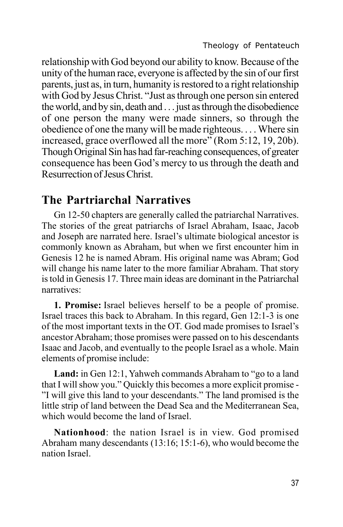relationship with God beyond our ability to know. Because of the unity of the human race, everyone is affected by the sin of our first parents, just as, in turn, humanity is restored to a right relationship with God by Jesus Christ. "Just as through one person sin entered the world, and by sin, death and . . . just as through the disobedience of one person the many were made sinners, so through the obedience of one the many will be made righteous. . . . Where sin increased, grace overflowed all the more" (Rom 5:12, 19, 20b). Though Original Sin has had far-reaching consequences, of greater consequence has been God's mercy to us through the death and Resurrection of Jesus Christ.

# **The Partriarchal Narratives**

Gn 12-50 chapters are generally called the patriarchal Narratives. The stories of the great patriarchs of Israel Abraham, Isaac, Jacob and Joseph are narrated here. Israel's ultimate biological ancestor is commonly known as Abraham, but when we first encounter him in Genesis 12 he is named Abram. His original name was Abram; God will change his name later to the more familiar Abraham. That story is told in Genesis 17. Three main ideas are dominant in the Patriarchal narratives:

**1. Promise:** Israel believes herself to be a people of promise. Israel traces this back to Abraham. In this regard, Gen 12:1-3 is one of the most important texts in the OT. God made promises to Israel's ancestor Abraham; those promises were passed on to his descendants Isaac and Jacob, and eventually to the people Israel as a whole. Main elements of promise include:

**Land:** in Gen 12:1, Yahweh commands Abraham to "go to a land that I will show you." Quickly this becomes a more explicit promise - "I will give this land to your descendants." The land promised is the little strip of land between the Dead Sea and the Mediterranean Sea, which would become the land of Israel.

**Nationhood**: the nation Israel is in view. God promised Abraham many descendants (13:16; 15:1-6), who would become the nation Israel.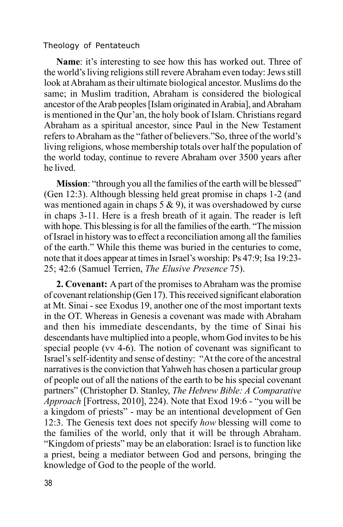**Name**: it's interesting to see how this has worked out. Three of the world's living religions still revere Abraham even today: Jews still look at Abraham as their ultimate biological ancestor. Muslims do the same; in Muslim tradition, Abraham is considered the biological ancestor of the Arab peoples [Islam originated in Arabia], and Abraham is mentioned in the Qur'an, the holy book of Islam. Christians regard Abraham as a spiritual ancestor, since Paul in the New Testament refers to Abraham as the "father of believers."So, three of the world's living religions, whose membership totals over half the population of the world today, continue to revere Abraham over 3500 years after he lived.

**Mission:** "through you all the families of the earth will be blessed" (Gen 12:3). Although blessing held great promise in chaps 1-2 (and was mentioned again in chaps  $5 \& 9$ , it was overshadowed by curse in chaps 3-11. Here is a fresh breath of it again. The reader is left with hope. This blessing is for all the families of the earth. "The mission of Israel in history was to effect a reconciliation among all the families of the earth." While this theme was buried in the centuries to come, note that it does appear at times in Israel's worship: Ps 47:9; Isa 19:23- 25; 42:6 (Samuel Terrien, *The Elusive Presence* 75).

**2. Covenant:** A part of the promises to Abraham was the promise of covenant relationship (Gen 17). This received significant elaboration at Mt. Sinai - see Exodus 19, another one of the most important texts in the OT. Whereas in Genesis a covenant was made with Abraham and then his immediate descendants, by the time of Sinai his descendants have multiplied into a people, whom God invites to be his special people (vv 4-6). The notion of covenant was significant to Israel's self-identity and sense of destiny: "At the core of the ancestral narratives is the conviction that Yahweh has chosen a particular group of people out of all the nations of the earth to be his special covenant partners" (Christopher D. Stanley, *The Hebrew Bible: A Comparative Approach* [Fortress, 2010], 224). Note that Exod 19:6 - "you will be a kingdom of priests" - may be an intentional development of Gen 12:3. The Genesis text does not specify *how* blessing will come to the families of the world, only that it will be through Abraham. "Kingdom of priests" may be an elaboration: Israel is to function like a priest, being a mediator between God and persons, bringing the knowledge of God to the people of the world.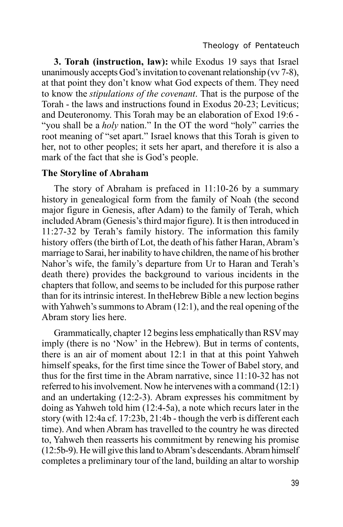**3. Torah (instruction, law):** while Exodus 19 says that Israel unanimously accepts God's invitation to covenant relationship (vv 7-8), at that point they don't know what God expects of them. They need to know the *stipulations of the covenant*. That is the purpose of the Torah - the laws and instructions found in Exodus 20-23; Leviticus; and Deuteronomy. This Torah may be an elaboration of Exod 19:6 - "you shall be a *holy* nation." In the OT the word "holy" carries the root meaning of "set apart." Israel knows that this Torah is given to her, not to other peoples; it sets her apart, and therefore it is also a mark of the fact that she is God's people.

### **The Storyline of Abraham**

The story of Abraham is prefaced in 11:10-26 by a summary history in genealogical form from the family of Noah (the second major figure in Genesis, after Adam) to the family of Terah, which included Abram (Genesis's third major figure). It is then introduced in 11:27-32 by Terah's family history. The information this family history offers (the birth of Lot, the death of his father Haran, Abram's marriage to Sarai, her inability to have children, the name of his brother Nahor's wife, the family's departure from Ur to Haran and Terah's death there) provides the background to various incidents in the chapters that follow, and seems to be included for this purpose rather than for its intrinsic interest. In theHebrew Bible a new lection begins with Yahweh's summons to Abram (12:1), and the real opening of the Abram story lies here.

Grammatically, chapter 12 begins less emphatically than RSV may imply (there is no 'Now' in the Hebrew). But in terms of contents, there is an air of moment about 12:1 in that at this point Yahweh himself speaks, for the first time since the Tower of Babel story, and thus for the first time in the Abram narrative, since 11:10-32 has not referred to his involvement. Now he intervenes with a command (12:1) and an undertaking (12:2-3). Abram expresses his commitment by doing as Yahweh told him (12:4-5a), a note which recurs later in the story (with 12:4a cf. 17:23b, 21:4b - though the verb is different each time). And when Abram has travelled to the country he was directed to, Yahweh then reasserts his commitment by renewing his promise (12:5b-9). He will give this land to Abram's descendants. Abram himself completes a preliminary tour of the land, building an altar to worship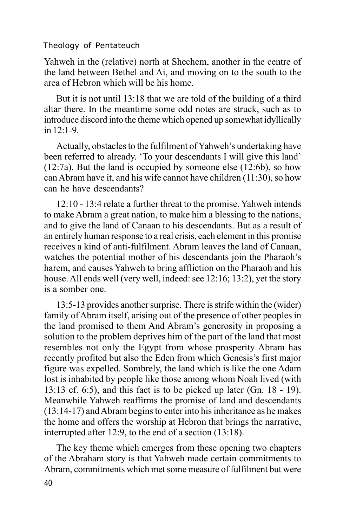Yahweh in the (relative) north at Shechem, another in the centre of the land between Bethel and Ai, and moving on to the south to the area of Hebron which will be his home.

But it is not until 13:18 that we are told of the building of a third altar there. In the meantime some odd notes are struck, such as to introduce discord into the theme which opened up somewhat idyllically in 12:1-9.

Actually, obstacles to the fulfilment of Yahweh's undertaking have been referred to already. 'To your descendants I will give this land' (12:7a). But the land is occupied by someone else (12:6b), so how can Abram have it, and his wife cannot have children (11:30), so how can he have descendants?

12:10 - 13:4 relate a further threat to the promise. Yahweh intends to make Abram a great nation, to make him a blessing to the nations, and to give the land of Canaan to his descendants. But as a result of an entirely human response to a real crisis, each element in this promise receives a kind of anti-fulfilment. Abram leaves the land of Canaan, watches the potential mother of his descendants join the Pharaoh's harem, and causes Yahweh to bring affliction on the Pharaoh and his house. All ends well (very well, indeed: see 12:16; 13:2), yet the story is a somber one.

13:5-13 provides another surprise. There is strife within the (wider) family of Abram itself, arising out of the presence of other peoples in the land promised to them And Abram's generosity in proposing a solution to the problem deprives him of the part of the land that most resembles not only the Egypt from whose prosperity Abram has recently profited but also the Eden from which Genesis's first major figure was expelled. Sombrely, the land which is like the one Adam lost is inhabited by people like those among whom Noah lived (with 13:13 cf. 6:5), and this fact is to be picked up later (Gn. 18 - 19). Meanwhile Yahweh reaffirms the promise of land and descendants (13:14-17) and Abram begins to enter into his inheritance as he makes the home and offers the worship at Hebron that brings the narrative, interrupted after 12:9, to the end of a section (13:18).

40 The key theme which emerges from these opening two chapters of the Abraham story is that Yahweh made certain commitments to Abram, commitments which met some measure of fulfilment but were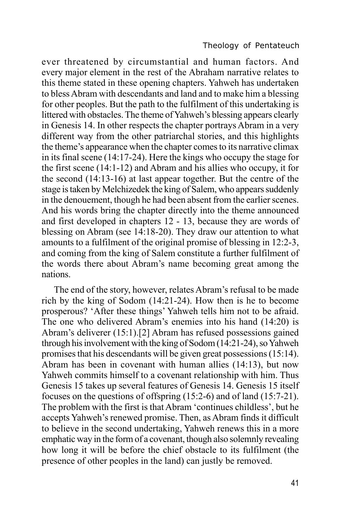ever threatened by circumstantial and human factors. And every major element in the rest of the Abraham narrative relates to this theme stated in these opening chapters. Yahweh has undertaken to bless Abram with descendants and land and to make him a blessing for other peoples. But the path to the fulfilment of this undertaking is littered with obstacles. The theme of Yahweh's blessing appears clearly in Genesis 14. In other respects the chapter portrays Abram in a very different way from the other patriarchal stories, and this highlights the theme's appearance when the chapter comes to its narrative climax in its final scene (14:17-24). Here the kings who occupy the stage for the first scene (14:1-12) and Abram and his allies who occupy, it for the second (14:13-16) at last appear together. But the centre of the stage is taken by Melchizedek the king of Salem, who appears suddenly in the denouement, though he had been absent from the earlier scenes. And his words bring the chapter directly into the theme announced and first developed in chapters 12 - 13, because they are words of blessing on Abram (see 14:18-20). They draw our attention to what amounts to a fulfilment of the original promise of blessing in 12:2-3, and coming from the king of Salem constitute a further fulfilment of the words there about Abram's name becoming great among the nations.

The end of the story, however, relates Abram's refusal to be made rich by the king of Sodom (14:21-24). How then is he to become prosperous? 'After these things' Yahweh tells him not to be afraid. The one who delivered Abram's enemies into his hand (14:20) is Abram's deliverer (15:1).[2] Abram has refused possessions gained through his involvement with the king of Sodom (14:21-24), so Yahweh promises that his descendants will be given great possessions (15:14). Abram has been in covenant with human allies (14:13), but now Yahweh commits himself to a covenant relationship with him. Thus Genesis 15 takes up several features of Genesis 14. Genesis 15 itself focuses on the questions of offspring (15:2-6) and of land (15:7-21). The problem with the first is that Abram 'continues childless', but he accepts Yahweh's renewed promise. Then, as Abram finds it difficult to believe in the second undertaking, Yahweh renews this in a more emphatic way in the form of a covenant, though also solemnly revealing how long it will be before the chief obstacle to its fulfilment (the presence of other peoples in the land) can justly be removed.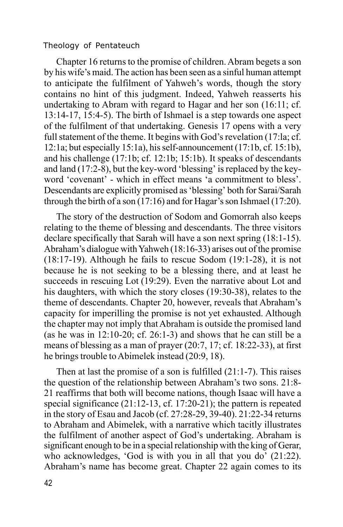Chapter 16 returns to the promise of children. Abram begets a son by his wife's maid. The action has been seen as a sinful human attempt to anticipate the fulfilment of Yahweh's words, though the story contains no hint of this judgment. Indeed, Yahweh reasserts his undertaking to Abram with regard to Hagar and her son (16:11; cf. 13:14-17, 15:4-5). The birth of Ishmael is a step towards one aspect of the fulfilment of that undertaking. Genesis 17 opens with a very full statement of the theme. It begins with God's revelation (17:la; cf. 12:1a; but especially 15:1a), his self-announcement (17:1b, cf. 15:1b), and his challenge (17:1b; cf. 12:1b; 15:1b). It speaks of descendants and land (17:2-8), but the key-word 'blessing' is replaced by the keyword 'covenant' - which in effect means 'a commitment to bless'. Descendants are explicitly promised as 'blessing' both for Sarai/Sarah through the birth of a son (17:16) and for Hagar's son Ishmael (17:20).

The story of the destruction of Sodom and Gomorrah also keeps relating to the theme of blessing and descendants. The three visitors declare specifically that Sarah will have a son next spring (18:1-15). Abraham's dialogue with Yahweh (18:16-33) arises out of the promise (18:17-19). Although he fails to rescue Sodom (19:1-28), it is not because he is not seeking to be a blessing there, and at least he succeeds in rescuing Lot (19:29). Even the narrative about Lot and his daughters, with which the story closes (19:30-38), relates to the theme of descendants. Chapter 20, however, reveals that Abraham's capacity for imperilling the promise is not yet exhausted. Although the chapter may not imply that Abraham is outside the promised land (as he was in 12:10-20; cf. 26:1-3) and shows that he can still be a means of blessing as a man of prayer (20:7, 17; cf. 18:22-33), at first he brings trouble to Abimelek instead (20:9, 18).

Then at last the promise of a son is fulfilled (21:1-7). This raises the question of the relationship between Abraham's two sons. 21:8- 21 reaffirms that both will become nations, though Isaac will have a special significance (21:12-13, cf. 17:20-21); the pattern is repeated in the story of Esau and Jacob (cf. 27:28-29, 39-40). 21:22-34 returns to Abraham and Abimelek, with a narrative which tacitly illustrates the fulfilment of another aspect of God's undertaking. Abraham is significant enough to be in a special relationship with the king of Gerar, who acknowledges, 'God is with you in all that you do' (21:22). Abraham's name has become great. Chapter 22 again comes to its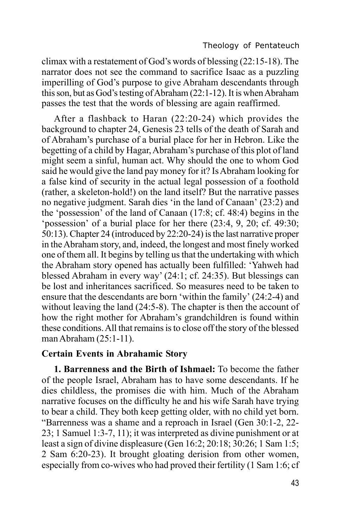climax with a restatement of God's words of blessing (22:15-18). The narrator does not see the command to sacrifice Isaac as a puzzling imperilling of God's purpose to give Abraham descendants through this son, but as God's testing of Abraham (22:1-12). It is when Abraham passes the test that the words of blessing are again reaffirmed.

After a flashback to Haran (22:20-24) which provides the background to chapter 24, Genesis 23 tells of the death of Sarah and of Abraham's purchase of a burial place for her in Hebron. Like the begetting of a child by Hagar, Abraham's purchase of this plot of land might seem a sinful, human act. Why should the one to whom God said he would give the land pay money for it? Is Abraham looking for a false kind of security in the actual legal possession of a foothold (rather, a skeleton-hold!) on the land itself? But the narrative passes no negative judgment. Sarah dies 'in the land of Canaan' (23:2) and the 'possession' of the land of Canaan (17:8; cf. 48:4) begins in the 'possession' of a burial place for her there (23:4, 9, 20; cf. 49:30; 50:13). Chapter 24 (introduced by 22:20-24) is the last narrative proper in the Abraham story, and, indeed, the longest and most finely worked one of them all. It begins by telling us that the undertaking with which the Abraham story opened has actually been fulfilled: 'Yahweh had blessed Abraham in every way' (24:1; cf. 24:35). But blessings can be lost and inheritances sacrificed. So measures need to be taken to ensure that the descendants are born 'within the family' (24:2-4) and without leaving the land (24:5-8). The chapter is then the account of how the right mother for Abraham's grandchildren is found within these conditions. All that remains is to close off the story of the blessed man Abraham (25:1-11).

### **Certain Events in Abrahamic Story**

**1. Barrenness and the Birth of Ishmael:** To become the father of the people Israel, Abraham has to have some descendants. If he dies childless, the promises die with him. Much of the Abraham narrative focuses on the difficulty he and his wife Sarah have trying to bear a child. They both keep getting older, with no child yet born. "Barrenness was a shame and a reproach in Israel (Gen 30:1-2, 22- 23; 1 Samuel 1:3-7, 11); it was interpreted as divine punishment or at least a sign of divine displeasure (Gen 16:2; 20:18; 30:26; 1 Sam 1:5; 2 Sam 6:20-23). It brought gloating derision from other women, especially from co-wives who had proved their fertility (1 Sam 1:6; cf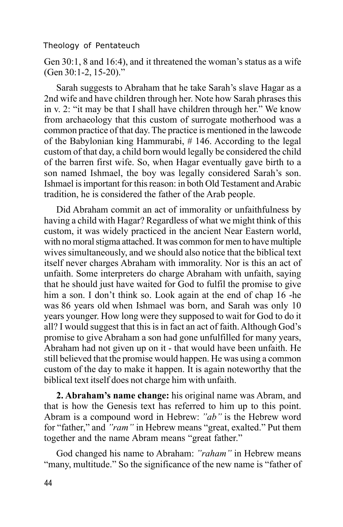Gen 30:1, 8 and 16:4), and it threatened the woman's status as a wife (Gen 30:1-2, 15-20)."

Sarah suggests to Abraham that he take Sarah's slave Hagar as a 2nd wife and have children through her. Note how Sarah phrases this in v. 2: "it may be that I shall have children through her." We know from archaeology that this custom of surrogate motherhood was a common practice of that day. The practice is mentioned in the lawcode of the Babylonian king Hammurabi, # 146. According to the legal custom of that day, a child born would legally be considered the child of the barren first wife. So, when Hagar eventually gave birth to a son named Ishmael, the boy was legally considered Sarah's son. Ishmael is important for this reason: in both Old Testament and Arabic tradition, he is considered the father of the Arab people.

Did Abraham commit an act of immorality or unfaithfulness by having a child with Hagar? Regardless of what we might think of this custom, it was widely practiced in the ancient Near Eastern world, with no moral stigma attached. It was common for men to have multiple wives simultaneously, and we should also notice that the biblical text itself never charges Abraham with immorality. Nor is this an act of unfaith. Some interpreters do charge Abraham with unfaith, saying that he should just have waited for God to fulfil the promise to give him a son. I don't think so. Look again at the end of chap 16 -he was 86 years old when Ishmael was born, and Sarah was only 10 years younger. How long were they supposed to wait for God to do it all? I would suggest that this is in fact an act of faith. Although God's promise to give Abraham a son had gone unfulfilled for many years, Abraham had not given up on it - that would have been unfaith. He still believed that the promise would happen. He was using a common custom of the day to make it happen. It is again noteworthy that the biblical text itself does not charge him with unfaith.

**2. Abraham's name change:** his original name was Abram, and that is how the Genesis text has referred to him up to this point. Abram is a compound word in Hebrew: *"ab"* is the Hebrew word for "father," and *"ram"* in Hebrew means "great, exalted." Put them together and the name Abram means "great father."

God changed his name to Abraham: *"raham"* in Hebrew means "many, multitude." So the significance of the new name is "father of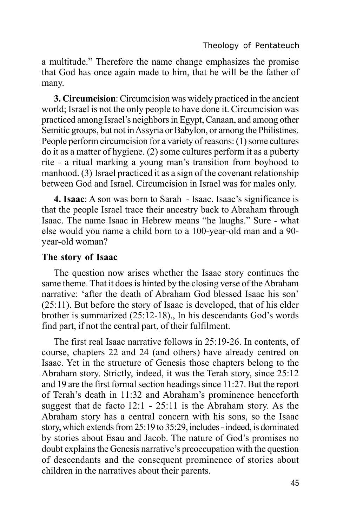a multitude." Therefore the name change emphasizes the promise that God has once again made to him, that he will be the father of many.

**3. Circumcision**: Circumcision was widely practiced in the ancient world; Israel is not the only people to have done it. Circumcision was practiced among Israel's neighbors in Egypt, Canaan, and among other Semitic groups, but not in Assyria or Babylon, or among the Philistines. People perform circumcision for a variety of reasons: (1) some cultures do it as a matter of hygiene. (2) some cultures perform it as a puberty rite - a ritual marking a young man's transition from boyhood to manhood. (3) Israel practiced it as a sign of the covenant relationship between God and Israel. Circumcision in Israel was for males only.

**4. Isaac**: A son was born to Sarah - Isaac. Isaac's significance is that the people Israel trace their ancestry back to Abraham through Isaac. The name Isaac in Hebrew means "he laughs." Sure - what else would you name a child born to a 100-year-old man and a 90 year-old woman?

## **The story of Isaac**

The question now arises whether the Isaac story continues the same theme. That it does is hinted by the closing verse of the Abraham narrative: 'after the death of Abraham God blessed Isaac his son' (25:11). But before the story of Isaac is developed, that of his elder brother is summarized (25:12-18)., In his descendants God's words find part, if not the central part, of their fulfilment.

The first real Isaac narrative follows in 25:19-26. In contents, of course, chapters 22 and 24 (and others) have already centred on Isaac. Yet in the structure of Genesis those chapters belong to the Abraham story. Strictly, indeed, it was the Terah story, since 25:12 and 19 are the first formal section headings since 11:27. But the report of Terah's death in 11:32 and Abraham's prominence henceforth suggest that de facto 12:1 - 25:11 is the Abraham story. As the Abraham story has a central concern with his sons, so the Isaac story, which extends from 25:19 to 35:29, includes - indeed, is dominated by stories about Esau and Jacob. The nature of God's promises no doubt explains the Genesis narrative's preoccupation with the question of descendants and the consequent prominence of stories about children in the narratives about their parents.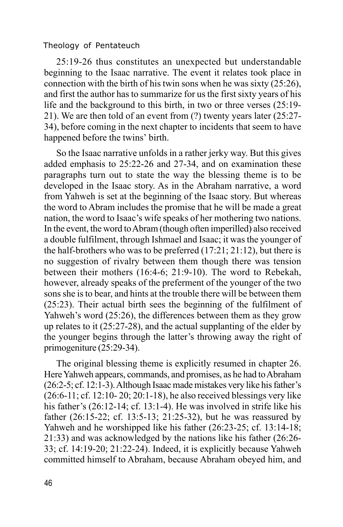25:19-26 thus constitutes an unexpected but understandable beginning to the Isaac narrative. The event it relates took place in connection with the birth of his twin sons when he was sixty  $(25:26)$ , and first the author has to summarize for us the first sixty years of his life and the background to this birth, in two or three verses (25:19- 21). We are then told of an event from (?) twenty years later (25:27- 34), before coming in the next chapter to incidents that seem to have happened before the twins' birth.

So the Isaac narrative unfolds in a rather jerky way. But this gives added emphasis to 25:22-26 and 27-34, and on examination these paragraphs turn out to state the way the blessing theme is to be developed in the Isaac story. As in the Abraham narrative, a word from Yahweh is set at the beginning of the Isaac story. But whereas the word to Abram includes the promise that he will be made a great nation, the word to Isaac's wife speaks of her mothering two nations. In the event, the word to Abram (though often imperilled) also received a double fulfilment, through Ishmael and Isaac; it was the younger of the half-brothers who was to be preferred (17:21; 21:12), but there is no suggestion of rivalry between them though there was tension between their mothers (16:4-6; 21:9-10). The word to Rebekah, however, already speaks of the preferment of the younger of the two sons she is to bear, and hints at the trouble there will be between them (25:23). Their actual birth sees the beginning of the fulfilment of Yahweh's word (25:26), the differences between them as they grow up relates to it (25:27-28), and the actual supplanting of the elder by the younger begins through the latter's throwing away the right of primogeniture (25:29-34).

The original blessing theme is explicitly resumed in chapter 26. Here Yahweh appears, commands, and promises, as he had to Abraham (26:2-5; cf. 12:1-3). Although Isaac made mistakes very like his father's (26:6-11; cf. 12:10- 20; 20:1-18), he also received blessings very like his father's (26:12-14; cf. 13:1-4). He was involved in strife like his father (26:15-22; cf. 13:5-13; 21:25-32), but he was reassured by Yahweh and he worshipped like his father (26:23-25; cf. 13:14-18; 21:33) and was acknowledged by the nations like his father (26:26- 33; cf. 14:19-20; 21:22-24). Indeed, it is explicitly because Yahweh committed himself to Abraham, because Abraham obeyed him, and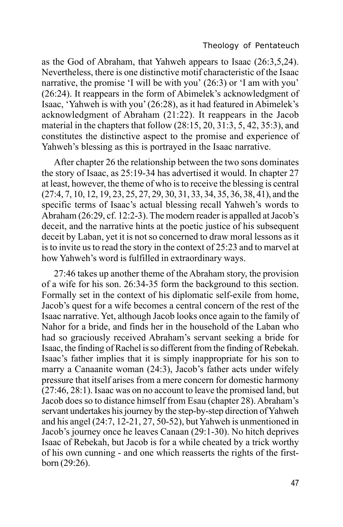as the God of Abraham, that Yahweh appears to Isaac (26:3,5,24). Nevertheless, there is one distinctive motif characteristic of the Isaac narrative, the promise 'I will be with you' (26:3) or 'I am with you' (26:24). It reappears in the form of Abimelek's acknowledgment of Isaac, 'Yahweh is with you' (26:28), as it had featured in Abimelek's acknowledgment of Abraham (21:22). It reappears in the Jacob material in the chapters that follow (28:15, 20, 31:3, 5, 42, 35:3), and constitutes the distinctive aspect to the promise and experience of Yahweh's blessing as this is portrayed in the Isaac narrative.

After chapter 26 the relationship between the two sons dominates the story of Isaac, as 25:19-34 has advertised it would. In chapter 27 at least, however, the theme of who is to receive the blessing is central (27:4, 7, 10, 12, 19, 23, 25, 27, 29, 30, 31, 33, 34, 35, 36, 38, 41), and the specific terms of Isaac's actual blessing recall Yahweh's words to Abraham (26:29, cf. 12:2-3). The modern reader is appalled at Jacob's deceit, and the narrative hints at the poetic justice of his subsequent deceit by Laban, yet it is not so concerned to draw moral lessons as it is to invite us to read the story in the context of 25:23 and to marvel at how Yahweh's word is fulfilled in extraordinary ways.

27:46 takes up another theme of the Abraham story, the provision of a wife for his son. 26:34-35 form the background to this section. Formally set in the context of his diplomatic self-exile from home, Jacob's quest for a wife becomes a central concern of the rest of the Isaac narrative. Yet, although Jacob looks once again to the family of Nahor for a bride, and finds her in the household of the Laban who had so graciously received Abraham's servant seeking a bride for Isaac, the finding of Rachel is so different from the finding of Rebekah. Isaac's father implies that it is simply inappropriate for his son to marry a Canaanite woman (24:3), Jacob's father acts under wifely pressure that itself arises from a mere concern for domestic harmony (27:46, 28:1). Isaac was on no account to leave the promised land, but Jacob does so to distance himself from Esau (chapter 28). Abraham's servant undertakes his journey by the step-by-step direction of Yahweh and his angel (24:7, 12-21, 27, 50-52), but Yahweh is unmentioned in Jacob's journey once he leaves Canaan (29:1-30). No hitch deprives Isaac of Rebekah, but Jacob is for a while cheated by a trick worthy of his own cunning - and one which reasserts the rights of the firstborn (29:26).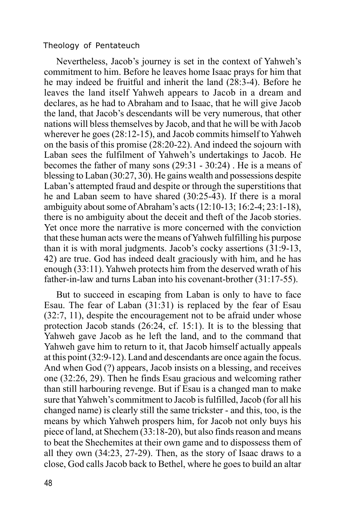Nevertheless, Jacob's journey is set in the context of Yahweh's commitment to him. Before he leaves home Isaac prays for him that he may indeed be fruitful and inherit the land (28:3-4). Before he leaves the land itself Yahweh appears to Jacob in a dream and declares, as he had to Abraham and to Isaac, that he will give Jacob the land, that Jacob's descendants will be very numerous, that other nations will bless themselves by Jacob, and that he will be with Jacob wherever he goes (28:12-15), and Jacob commits himself to Yahweh on the basis of this promise (28:20-22). And indeed the sojourn with Laban sees the fulfilment of Yahweh's undertakings to Jacob. He becomes the father of many sons (29:31 - 30:24) . He is a means of blessing to Laban (30:27, 30). He gains wealth and possessions despite Laban's attempted fraud and despite or through the superstitions that he and Laban seem to have shared (30:25-43). If there is a moral ambiguity about some of Abraham's acts (12:10-13; 16:2-4; 23:1-18), there is no ambiguity about the deceit and theft of the Jacob stories. Yet once more the narrative is more concerned with the conviction that these human acts were the means of Yahweh fulfilling his purpose than it is with moral judgments. Jacob's cocky assertions (31:9-13, 42) are true. God has indeed dealt graciously with him, and he has enough (33:11). Yahweh protects him from the deserved wrath of his father-in-law and turns Laban into his covenant-brother (31:17-55).

But to succeed in escaping from Laban is only to have to face Esau. The fear of Laban (31:31) is replaced by the fear of Esau (32:7, 11), despite the encouragement not to be afraid under whose protection Jacob stands (26:24, cf. 15:1). It is to the blessing that Yahweh gave Jacob as he left the land, and to the command that Yahweh gave him to return to it, that Jacob himself actually appeals at this point (32:9-12). Land and descendants are once again the focus. And when God (?) appears, Jacob insists on a blessing, and receives one (32:26, 29). Then he finds Esau gracious and welcoming rather than still harbouring revenge. But if Esau is a changed man to make sure that Yahweh's commitment to Jacob is fulfilled, Jacob (for all his changed name) is clearly still the same trickster - and this, too, is the means by which Yahweh prospers him, for Jacob not only buys his piece of land, at Shechem (33:18-20), but also finds reason and means to beat the Shechemites at their own game and to dispossess them of all they own (34:23, 27-29). Then, as the story of Isaac draws to a close, God calls Jacob back to Bethel, where he goes to build an altar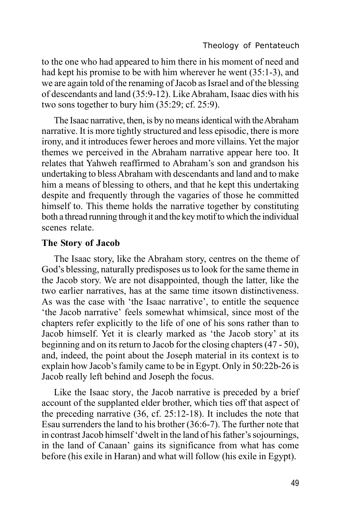to the one who had appeared to him there in his moment of need and had kept his promise to be with him wherever he went (35:1-3), and we are again told of the renaming of Jacob as Israel and of the blessing of descendants and land (35:9-12). Like Abraham, Isaac dies with his two sons together to bury him (35:29; cf. 25:9).

The Isaac narrative, then, is by no means identical with the Abraham narrative. It is more tightly structured and less episodic, there is more irony, and it introduces fewer heroes and more villains. Yet the major themes we perceived in the Abraham narrative appear here too. It relates that Yahweh reaffirmed to Abraham's son and grandson his undertaking to bless Abraham with descendants and land and to make him a means of blessing to others, and that he kept this undertaking despite and frequently through the vagaries of those he committed himself to. This theme holds the narrative together by constituting both a thread running through it and the key motif to which the individual scenes relate.

### **The Story of Jacob**

The Isaac story, like the Abraham story, centres on the theme of God's blessing, naturally predisposes us to look for the same theme in the Jacob story. We are not disappointed, though the latter, like the two earlier narratives, has at the same time itsown distinctiveness. As was the case with 'the Isaac narrative', to entitle the sequence 'the Jacob narrative' feels somewhat whimsical, since most of the chapters refer explicitly to the life of one of his sons rather than to Jacob himself. Yet it is clearly marked as 'the Jacob story' at its beginning and on its return to Jacob for the closing chapters (47 - 50), and, indeed, the point about the Joseph material in its context is to explain how Jacob's family came to be in Egypt. Only in 50:22b-26 is Jacob really left behind and Joseph the focus.

Like the Isaac story, the Jacob narrative is preceded by a brief account of the supplanted elder brother, which ties off that aspect of the preceding narrative (36, cf. 25:12-18). It includes the note that Esau surrenders the land to his brother (36:6-7). The further note that in contrast Jacob himself 'dwelt in the land of his father's sojournings, in the land of Canaan' gains its significance from what has come before (his exile in Haran) and what will follow (his exile in Egypt).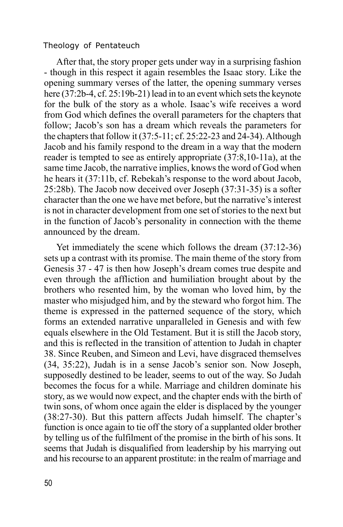After that, the story proper gets under way in a surprising fashion - though in this respect it again resembles the Isaac story. Like the opening summary verses of the latter, the opening summary verses here (37:2b-4, cf. 25:19b-21) lead in to an event which sets the keynote for the bulk of the story as a whole. Isaac's wife receives a word from God which defines the overall parameters for the chapters that follow; Jacob's son has a dream which reveals the parameters for the chapters that follow it (37:5-11; cf. 25:22-23 and 24-34). Although Jacob and his family respond to the dream in a way that the modern reader is tempted to see as entirely appropriate (37:8,10-11a), at the same time Jacob, the narrative implies, knows the word of God when he hears it (37:11b, cf. Rebekah's response to the word about Jacob, 25:28b). The Jacob now deceived over Joseph (37:31-35) is a softer character than the one we have met before, but the narrative's interest is not in character development from one set of stories to the next but in the function of Jacob's personality in connection with the theme announced by the dream.

Yet immediately the scene which follows the dream (37:12-36) sets up a contrast with its promise. The main theme of the story from Genesis 37 - 47 is then how Joseph's dream comes true despite and even through the affliction and humiliation brought about by the brothers who resented him, by the woman who loved him, by the master who misjudged him, and by the steward who forgot him. The theme is expressed in the patterned sequence of the story, which forms an extended narrative unparalleled in Genesis and with few equals elsewhere in the Old Testament. But it is still the Jacob story, and this is reflected in the transition of attention to Judah in chapter 38. Since Reuben, and Simeon and Levi, have disgraced themselves (34, 35:22), Judah is in a sense Jacob's senior son. Now Joseph, supposedly destined to be leader, seems to out of the way. So Judah becomes the focus for a while. Marriage and children dominate his story, as we would now expect, and the chapter ends with the birth of twin sons, of whom once again the elder is displaced by the younger (38:27-30). But this pattern affects Judah himself. The chapter's function is once again to tie off the story of a supplanted older brother by telling us of the fulfilment of the promise in the birth of his sons. It seems that Judah is disqualified from leadership by his marrying out and his recourse to an apparent prostitute: in the realm of marriage and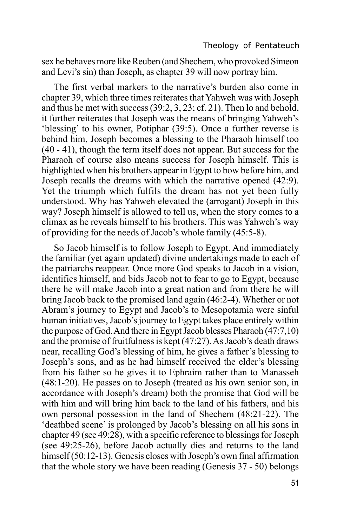sex he behaves more like Reuben (and Shechem, who provoked Simeon and Levi's sin) than Joseph, as chapter 39 will now portray him.

The first verbal markers to the narrative's burden also come in chapter 39, which three times reiterates that Yahweh was with Joseph and thus he met with success (39:2, 3, 23; cf. 21). Then lo and behold, it further reiterates that Joseph was the means of bringing Yahweh's 'blessing' to his owner, Potiphar (39:5). Once a further reverse is behind him, Joseph becomes a blessing to the Pharaoh himself too (40 - 41), though the term itself does not appear. But success for the Pharaoh of course also means success for Joseph himself. This is highlighted when his brothers appear in Egypt to bow before him, and Joseph recalls the dreams with which the narrative opened (42:9). Yet the triumph which fulfils the dream has not vet been fully understood. Why has Yahweh elevated the (arrogant) Joseph in this way? Joseph himself is allowed to tell us, when the story comes to a climax as he reveals himself to his brothers. This was Yahweh's way of providing for the needs of Jacob's whole family (45:5-8).

So Jacob himself is to follow Joseph to Egypt. And immediately the familiar (yet again updated) divine undertakings made to each of the patriarchs reappear. Once more God speaks to Jacob in a vision, identifies himself, and bids Jacob not to fear to go to Egypt, because there he will make Jacob into a great nation and from there he will bring Jacob back to the promised land again (46:2-4). Whether or not Abram's journey to Egypt and Jacob's to Mesopotamia were sinful human initiatives, Jacob's journey to Egypt takes place entirely within the purpose of God. And there in Egypt Jacob blesses Pharaoh (47:7,10) and the promise of fruitfulness is kept (47:27). As Jacob's death draws near, recalling God's blessing of him, he gives a father's blessing to Joseph's sons, and as he had himself received the elder's blessing from his father so he gives it to Ephraim rather than to Manasseh (48:1-20). He passes on to Joseph (treated as his own senior son, in accordance with Joseph's dream) both the promise that God will be with him and will bring him back to the land of his fathers, and his own personal possession in the land of Shechem (48:21-22). The 'deathbed scene' is prolonged by Jacob's blessing on all his sons in chapter 49 (see 49:28), with a specific reference to blessings for Joseph (see 49:25-26), before Jacob actually dies and returns to the land himself (50:12-13). Genesis closes with Joseph's own final affirmation that the whole story we have been reading (Genesis 37 - 50) belongs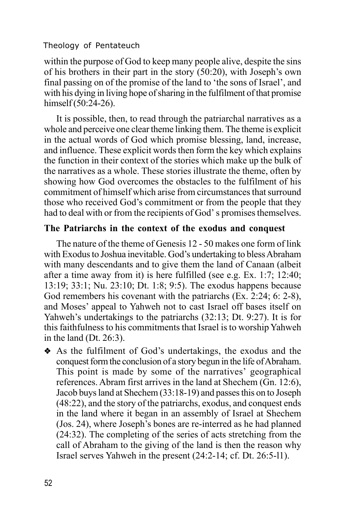within the purpose of God to keep many people alive, despite the sins of his brothers in their part in the story (50:20), with Joseph's own final passing on of the promise of the land to 'the sons of Israel', and with his dying in living hope of sharing in the fulfilment of that promise himself (50:24-26).

It is possible, then, to read through the patriarchal narratives as a whole and perceive one clear theme linking them. The theme is explicit in the actual words of God which promise blessing, land, increase, and influence. These explicit words then form the key which explains the function in their context of the stories which make up the bulk of the narratives as a whole. These stories illustrate the theme, often by showing how God overcomes the obstacles to the fulfilment of his commitment of himself which arise from circumstances that surround those who received God's commitment or from the people that they had to deal with or from the recipients of God' s promises themselves.

# **The Patriarchs in the context of the exodus and conquest**

The nature of the theme of Genesis 12 - 50 makes one form of link with Exodus to Joshua inevitable. God's undertaking to bless Abraham with many descendants and to give them the land of Canaan (albeit after a time away from it) is here fulfilled (see e.g. Ex. 1:7; 12:40; 13:19; 33:1; Nu. 23:10; Dt. 1:8; 9:5). The exodus happens because God remembers his covenant with the patriarchs (Ex. 2:24; 6: 2-8), and Moses' appeal to Yahweh not to cast Israel off bases itself on Yahweh's undertakings to the patriarchs (32:13; Dt. 9:27). It is for this faithfulness to his commitments that Israel is to worship Yahweh in the land (Dt. 26:3).

v As the fulfilment of God's undertakings, the exodus and the conquest form the conclusion of a story begun in the life of Abraham. This point is made by some of the narratives' geographical references. Abram first arrives in the land at Shechem (Gn. 12:6), Jacob buys land at Shechem (33:18-19) and passes this on to Joseph (48:22), and the story of the patriarchs, exodus, and conquest ends in the land where it began in an assembly of Israel at Shechem (Jos. 24), where Joseph's bones are re-interred as he had planned (24:32). The completing of the series of acts stretching from the call of Abraham to the giving of the land is then the reason why Israel serves Yahweh in the present (24:2-14; cf. Dt. 26:5-l1).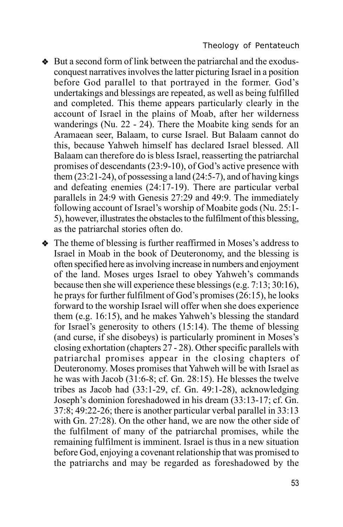- v But a second form of link between the patriarchal and the exodusconquest narratives involves the latter picturing Israel in a position before God parallel to that portrayed in the former. God's undertakings and blessings are repeated, as well as being fulfilled and completed. This theme appears particularly clearly in the account of Israel in the plains of Moab, after her wilderness wanderings (Nu. 22 - 24). There the Moabite king sends for an Aramaean seer, Balaam, to curse Israel. But Balaam cannot do this, because Yahweh himself has declared Israel blessed. All Balaam can therefore do is bless Israel, reasserting the patriarchal promises of descendants (23:9-10), of God's active presence with them  $(23:21-24)$ , of possessing a land  $(24:5-7)$ , and of having kings and defeating enemies (24:17-19). There are particular verbal parallels in 24:9 with Genesis 27:29 and 49:9. The immediately following account of Israel's worship of Moabite gods (Nu. 25:1- 5), however, illustrates the obstacles to the fulfilment of this blessing, as the patriarchal stories often do.
- The theme of blessing is further reaffirmed in Moses's address to Israel in Moab in the book of Deuteronomy, and the blessing is often specified here as involving increase in numbers and enjoyment of the land. Moses urges Israel to obey Yahweh's commands because then she will experience these blessings (e.g. 7:13; 30:16), he prays for further fulfilment of God's promises (26:15), he looks forward to the worship Israel will offer when she does experience them (e.g. 16:15), and he makes Yahweh's blessing the standard for Israel's generosity to others (15:14). The theme of blessing (and curse, if she disobeys) is particularly prominent in Moses's closing exhortation (chapters 27 - 28). Other specific parallels with patriarchal promises appear in the closing chapters of Deuteronomy. Moses promises that Yahweh will be with Israel as he was with Jacob (31:6-8; cf. Gn. 28:15). He blesses the twelve tribes as Jacob had (33:1-29, cf. Gn. 49:1-28), acknowledging Joseph's dominion foreshadowed in his dream (33:13-17; cf. Gn. 37:8; 49:22-26; there is another particular verbal parallel in 33:13 with Gn. 27:28). On the other hand, we are now the other side of the fulfilment of many of the patriarchal promises, while the remaining fulfilment is imminent. Israel is thus in a new situation before God, enjoying a covenant relationship that was promised to the patriarchs and may be regarded as foreshadowed by the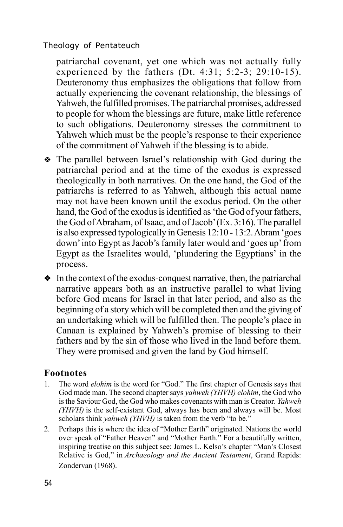patriarchal covenant, yet one which was not actually fully experienced by the fathers (Dt. 4:31; 5:2-3; 29:10-15). Deuteronomy thus emphasizes the obligations that follow from actually experiencing the covenant relationship, the blessings of Yahweh, the fulfilled promises. The patriarchal promises, addressed to people for whom the blessings are future, make little reference to such obligations. Deuteronomy stresses the commitment to Yahweh which must be the people's response to their experience of the commitment of Yahweh if the blessing is to abide.

- The parallel between Israel's relationship with God during the patriarchal period and at the time of the exodus is expressed theologically in both narratives. On the one hand, the God of the patriarchs is referred to as Yahweh, although this actual name may not have been known until the exodus period. On the other hand, the God of the exodus is identified as 'the God of your fathers, the God of Abraham, of Isaac, and of Jacob' (Ex. 3:16). The parallel is also expressed typologically in Genesis 12:10 - 13:2. Abram 'goes down' into Egypt as Jacob's family later would and 'goes up' from Egypt as the Israelites would, 'plundering the Egyptians' in the process.
- $\bullet$  In the context of the exodus-conquest narrative, then, the patriarchal narrative appears both as an instructive parallel to what living before God means for Israel in that later period, and also as the beginning of a story which will be completed then and the giving of an undertaking which will be fulfilled then. The people's place in Canaan is explained by Yahweh's promise of blessing to their fathers and by the sin of those who lived in the land before them. They were promised and given the land by God himself.

# **Footnotes**

- 1. The word *elohim* is the word for "God." The first chapter of Genesis says that God made man. The second chapter says *yahweh (YHVH) elohim*, the God who is the Saviour God, the God who makes covenants with man is Creator. *Yahweh (YHVH)* is the self-existant God, always has been and always will be. Most scholars think *yahweh (YHVH)* is taken from the verb "to be."
- 2. Perhaps this is where the idea of "Mother Earth" originated. Nations the world over speak of "Father Heaven" and "Mother Earth." For a beautifully written, inspiring treatise on this subject see: James L. Kelso's chapter "Man's Closest Relative is God," in *Archaeology and the Ancient Testament*, Grand Rapids: Zondervan (1968).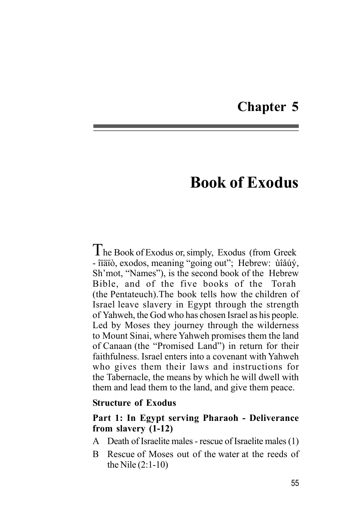# **Chapter 5**

# **Book of Exodus**

The Book of Exodus or, simply, Exodus (from Greek - îïäïò, exodos, meaning "going out"; Hebrew: ùîåúý, Sh'mot, "Names"), is the second book of the Hebrew Bible, and of the five books of the Torah (the Pentateuch).The book tells how the children of Israel leave slavery in Egypt through the strength of Yahweh, the God who has chosen Israel as his people. Led by Moses they journey through the wilderness to Mount Sinai, where Yahweh promises them the land of Canaan (the "Promised Land") in return for their faithfulness. Israel enters into a covenant with Yahweh who gives them their laws and instructions for the Tabernacle, the means by which he will dwell with them and lead them to the land, and give them peace.

### **Structure of Exodus**

## **Part 1: In Egypt serving Pharaoh - Deliverance from slavery (1-12)**

- A Death of Israelite males rescue of Israelite males (1)
- B Rescue of Moses out of the water at the reeds of the Nile (2:1-10)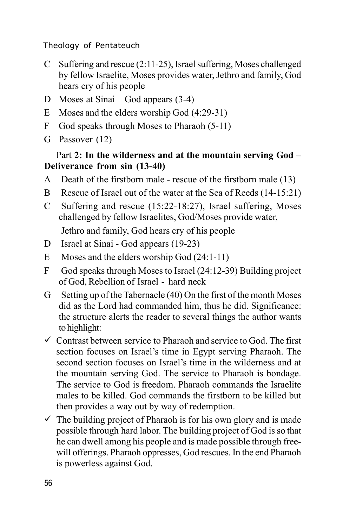- C Suffering and rescue (2:11-25), Israel suffering, Moses challenged by fellow Israelite, Moses provides water, Jethro and family, God hears cry of his people
- D Moses at Sinai God appears (3-4)
- E Moses and the elders worship God (4:29-31)
- F God speaks through Moses to Pharaoh (5-11)
- G Passover (12)

# Part **2: In the wilderness and at the mountain serving God – Deliverance from sin (13-40)**

- A Death of the firstborn male rescue of the firstborn male (13)
- B Rescue of Israel out of the water at the Sea of Reeds (14-15:21)
- C Suffering and rescue (15:22-18:27), Israel suffering, Moses challenged by fellow Israelites, God/Moses provide water, Jethro and family, God hears cry of his people
- D Israel at Sinai God appears (19-23)
- E Moses and the elders worship God (24:1-11)
- F God speaks through Moses to Israel (24:12-39) Building project of God, Rebellion of Israel - hard neck
- G Setting up of the Tabernacle (40) On the first of the month Moses did as the Lord had commanded him, thus he did. Significance: the structure alerts the reader to several things the author wants to highlight:
- $\checkmark$  Contrast between service to Pharaoh and service to God. The first section focuses on Israel's time in Egypt serving Pharaoh. The second section focuses on Israel's time in the wilderness and at the mountain serving God. The service to Pharaoh is bondage. The service to God is freedom. Pharaoh commands the Israelite males to be killed. God commands the firstborn to be killed but then provides a way out by way of redemption.
- $\checkmark$  The building project of Pharaoh is for his own glory and is made possible through hard labor. The building project of God is so that he can dwell among his people and is made possible through freewill offerings. Pharaoh oppresses, God rescues. In the end Pharaoh is powerless against God.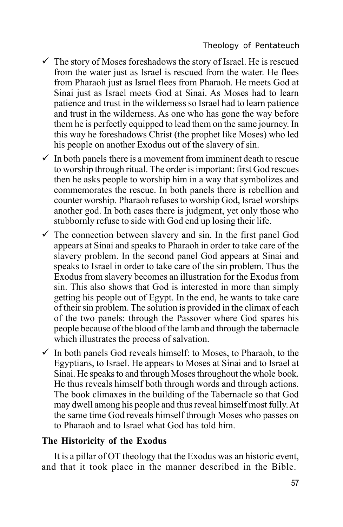- $\checkmark$  The story of Moses foreshadows the story of Israel. He is rescued from the water just as Israel is rescued from the water. He flees from Pharaoh just as Israel flees from Pharaoh. He meets God at Sinai just as Israel meets God at Sinai. As Moses had to learn patience and trust in the wilderness so Israel had to learn patience and trust in the wilderness. As one who has gone the way before them he is perfectly equipped to lead them on the same journey. In this way he foreshadows Christ (the prophet like Moses) who led his people on another Exodus out of the slavery of sin.
- $\checkmark$  In both panels there is a movement from imminent death to rescue to worship through ritual. The order is important: first God rescues then he asks people to worship him in a way that symbolizes and commemorates the rescue. In both panels there is rebellion and counter worship. Pharaoh refuses to worship God, Israel worships another god. In both cases there is judgment, yet only those who stubbornly refuse to side with God end up losing their life.
- $\checkmark$  The connection between slavery and sin. In the first panel God appears at Sinai and speaks to Pharaoh in order to take care of the slavery problem. In the second panel God appears at Sinai and speaks to Israel in order to take care of the sin problem. Thus the Exodus from slavery becomes an illustration for the Exodus from sin. This also shows that God is interested in more than simply getting his people out of Egypt. In the end, he wants to take care of their sin problem. The solution is provided in the climax of each of the two panels: through the Passover where God spares his people because of the blood of the lamb and through the tabernacle which illustrates the process of salvation.
- $\checkmark$  In both panels God reveals himself: to Moses, to Pharaoh, to the Egyptians, to Israel. He appears to Moses at Sinai and to Israel at Sinai. He speaks to and through Moses throughout the whole book. He thus reveals himself both through words and through actions. The book climaxes in the building of the Tabernacle so that God may dwell among his people and thus reveal himself most fully. At the same time God reveals himself through Moses who passes on to Pharaoh and to Israel what God has told him.

## **The Historicity of the Exodus**

It is a pillar of OT theology that the Exodus was an historic event, and that it took place in the manner described in the Bible.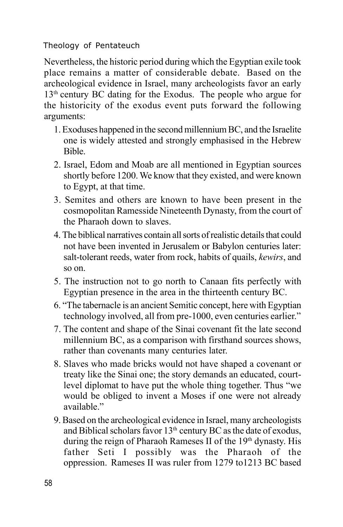Nevertheless, the historic period during which the Egyptian exile took place remains a matter of considerable debate. Based on the archeological evidence in Israel, many archeologists favor an early 13<sup>th</sup> century BC dating for the Exodus. The people who argue for the historicity of the exodus event puts forward the following arguments:

- 1. Exoduses happened in the second millennium BC, and the Israelite one is widely attested and strongly emphasised in the Hebrew Bible.
- 2. Israel, Edom and Moab are all mentioned in Egyptian sources shortly before 1200. We know that they existed, and were known to Egypt, at that time.
- 3. Semites and others are known to have been present in the cosmopolitan Ramesside Nineteenth Dynasty, from the court of the Pharaoh down to slaves.
- 4. The biblical narratives contain all sorts of realistic details that could not have been invented in Jerusalem or Babylon centuries later: salt-tolerant reeds, water from rock, habits of quails, *kewirs*, and so on.
- 5. The instruction not to go north to Canaan fits perfectly with Egyptian presence in the area in the thirteenth century BC.
- 6. "The tabernacle is an ancient Semitic concept, here with Egyptian technology involved, all from pre-1000, even centuries earlier."
- 7. The content and shape of the Sinai covenant fit the late second millennium BC, as a comparison with firsthand sources shows, rather than covenants many centuries later.
- 8. Slaves who made bricks would not have shaped a covenant or treaty like the Sinai one; the story demands an educated, courtlevel diplomat to have put the whole thing together. Thus "we would be obliged to invent a Moses if one were not already available."
- 9. Based on the archeological evidence in Israel, many archeologists and Biblical scholars favor  $13<sup>th</sup>$  century BC as the date of exodus, during the reign of Pharaoh Rameses II of the 19<sup>th</sup> dynasty. His father Seti I possibly was the Pharaoh of the oppression. Rameses II was ruler from 1279 to1213 BC based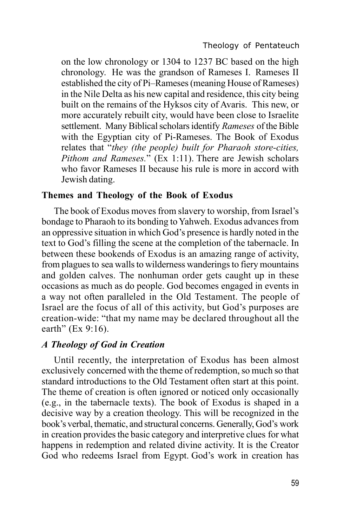on the low chronology or 1304 to 1237 BC based on the high chronology. He was the grandson of Rameses I. Rameses II established the city of Pi–Rameses (meaning House of Rameses) in the Nile Delta as his new capital and residence, this city being built on the remains of the Hyksos city of Avaris. This new, or more accurately rebuilt city, would have been close to Israelite settlement. Many Biblical scholars identify *Rameses* of the Bible with the Egyptian city of Pi-Rameses. The Book of Exodus relates that "*they (the people) built for Pharaoh store-cities, Pithom and Rameses.*" (Ex 1:11). There are Jewish scholars who favor Rameses II because his rule is more in accord with Jewish dating.

### **Themes and Theology of the Book of Exodus**

The book of Exodus moves from slavery to worship, from Israel's bondage to Pharaoh to its bonding to Yahweh. Exodus advances from an oppressive situation in which God's presence is hardly noted in the text to God's filling the scene at the completion of the tabernacle. In between these bookends of Exodus is an amazing range of activity, from plagues to sea walls to wilderness wanderings to fiery mountains and golden calves. The nonhuman order gets caught up in these occasions as much as do people. God becomes engaged in events in a way not often paralleled in the Old Testament. The people of Israel are the focus of all of this activity, but God's purposes are creation-wide: "that my name may be declared throughout all the earth" (Ex 9:16).

# *A Theology of God in Creation*

Until recently, the interpretation of Exodus has been almost exclusively concerned with the theme of redemption, so much so that standard introductions to the Old Testament often start at this point. The theme of creation is often ignored or noticed only occasionally (e.g., in the tabernacle texts). The book of Exodus is shaped in a decisive way by a creation theology. This will be recognized in the book's verbal, thematic, and structural concerns. Generally, God's work in creation provides the basic category and interpretive clues for what happens in redemption and related divine activity. It is the Creator God who redeems Israel from Egypt. God's work in creation has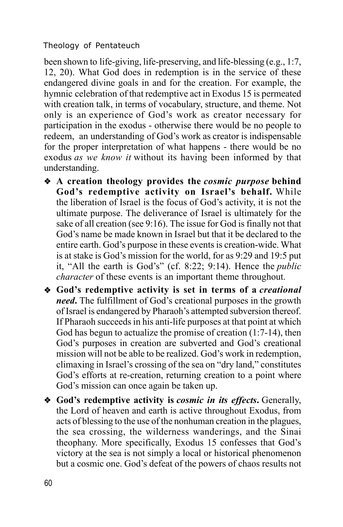been shown to life-giving, life-preserving, and life-blessing (e.g., 1:7, 12, 20). What God does in redemption is in the service of these endangered divine goals in and for the creation. For example, the hymnic celebration of that redemptive act in Exodus 15 is permeated with creation talk, in terms of vocabulary, structure, and theme. Not only is an experience of God's work as creator necessary for participation in the exodus - otherwise there would be no people to redeem, an understanding of God's work as creator is indispensable for the proper interpretation of what happens - there would be no exodus *as we know it* without its having been informed by that understanding.

- v **A creation theology provides the** *cosmic purpose* **behind God's redemptive activity on Israel's behalf.** While the liberation of Israel is the focus of God's activity, it is not the ultimate purpose. The deliverance of Israel is ultimately for the sake of all creation (see 9:16). The issue for God is finally not that God's name be made known in Israel but that it be declared to the entire earth. God's purpose in these events is creation-wide. What is at stake is God's mission for the world, for as 9:29 and 19:5 put it, "All the earth is God's" (cf. 8:22; 9:14). Hence the *public character* of these events is an important theme throughout.
- v **God's redemptive activity is set in terms of a** *creational need***.** The fulfillment of God's creational purposes in the growth of Israel is endangered by Pharaoh's attempted subversion thereof. If Pharaoh succeeds in his anti-life purposes at that point at which God has begun to actualize the promise of creation (1:7-14), then God's purposes in creation are subverted and God's creational mission will not be able to be realized. God's work in redemption, climaxing in Israel's crossing of the sea on "dry land," constitutes God's efforts at re-creation, returning creation to a point where God's mission can once again be taken up.
- v **God's redemptive activity is** *cosmic in its effects***.** Generally, the Lord of heaven and earth is active throughout Exodus, from acts of blessing to the use of the nonhuman creation in the plagues, the sea crossing, the wilderness wanderings, and the Sinai theophany. More specifically, Exodus 15 confesses that God's victory at the sea is not simply a local or historical phenomenon but a cosmic one. God's defeat of the powers of chaos results not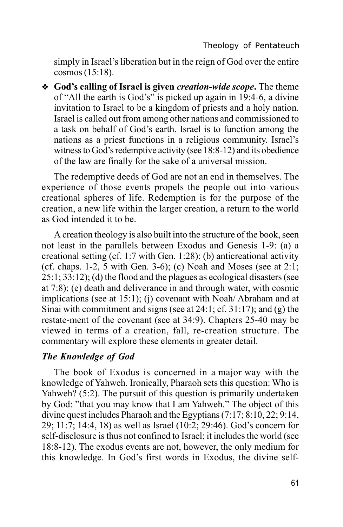simply in Israel's liberation but in the reign of God over the entire cosmos (15:18).

v **God's calling of Israel is given** *creation-wide scope***.** The theme of "All the earth is God's" is picked up again in 19:4-6, a divine invitation to Israel to be a kingdom of priests and a holy nation. Israel is called out from among other nations and commissioned to a task on behalf of God's earth. Israel is to function among the nations as a priest functions in a religious community. Israel's witness to God's redemptive activity (see 18:8-12) and its obedience of the law are finally for the sake of a universal mission.

The redemptive deeds of God are not an end in themselves. The experience of those events propels the people out into various creational spheres of life. Redemption is for the purpose of the creation, a new life within the larger creation, a return to the world as God intended it to be.

A creation theology is also built into the structure of the book, seen not least in the parallels between Exodus and Genesis 1-9: (a) a creational setting (cf. 1:7 with Gen. 1:28); (b) anticreational activity (cf. chaps. 1-2, 5 with Gen. 3-6); (c) Noah and Moses (see at 2:1; 25:1; 33:12); (d) the flood and the plagues as ecological disasters (see at 7:8); (e) death and deliverance in and through water, with cosmic implications (see at 15:1); (j) covenant with Noah/ Abraham and at Sinai with commitment and signs (see at 24:1; cf. 31:17); and (g) the restate-ment of the covenant (see at 34:9). Chapters 25-40 may be viewed in terms of a creation, fall, re-creation structure. The commentary will explore these elements in greater detail.

# *The Knowledge of God*

The book of Exodus is concerned in a major way with the knowledge of Yahweh. Ironically, Pharaoh sets this question: Who is Yahweh? (5:2). The pursuit of this question is primarily undertaken by God: "that you may know that I am Yahweh." The object of this divine quest includes Pharaoh and the Egyptians (7:17; 8:10, 22; 9:14, 29; 11:7; 14:4, 18) as well as Israel (10:2; 29:46). God's concern for self-disclosure is thus not confined to Israel; it includes the world (see 18:8-12). The exodus events are not, however, the only medium for this knowledge. In God's first words in Exodus, the divine self-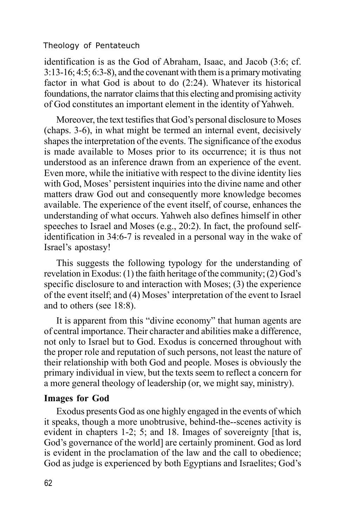identification is as the God of Abraham, Isaac, and Jacob (3:6; cf. 3:13-16; 4:5; 6:3-8), and the covenant with them is a primary motivating factor in what God is about to do (2:24). Whatever its historical foundations, the narrator claims that this electing and promising activity of God constitutes an important element in the identity of Yahweh.

Moreover, the text testifies that God's personal disclosure to Moses (chaps. 3-6), in what might be termed an internal event, decisively shapes the interpretation of the events. The significance of the exodus is made available to Moses prior to its occurrence; it is thus not understood as an inference drawn from an experience of the event. Even more, while the initiative with respect to the divine identity lies with God, Moses' persistent inquiries into the divine name and other matters draw God out and consequently more knowledge becomes available. The experience of the event itself, of course, enhances the understanding of what occurs. Yahweh also defines himself in other speeches to Israel and Moses (e.g., 20:2). In fact, the profound selfidentification in 34:6-7 is revealed in a personal way in the wake of Israel's apostasy!

This suggests the following typology for the understanding of revelation in Exodus: (1) the faith heritage of the community; (2) God's specific disclosure to and interaction with Moses; (3) the experience of the event itself; and (4) Moses' interpretation of the event to Israel and to others (see 18:8).

It is apparent from this "divine economy" that human agents are of central importance. Their character and abilities make a difference, not only to Israel but to God. Exodus is concerned throughout with the proper role and reputation of such persons, not least the nature of their relationship with both God and people. Moses is obviously the primary individual in view, but the texts seem to reflect a concern for a more general theology of leadership (or, we might say, ministry).

### **Images for God**

Exodus presents God as one highly engaged in the events of which it speaks, though a more unobtrusive, behind-the--scenes activity is evident in chapters 1-2; 5; and 18. Images of sovereignty [that is, God's governance of the world] are certainly prominent. God as lord is evident in the proclamation of the law and the call to obedience; God as judge is experienced by both Egyptians and Israelites; God's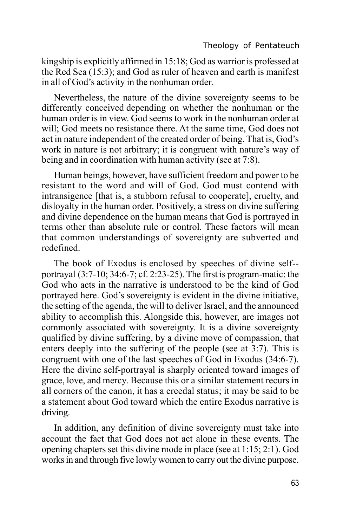kingship is explicitly affirmed in 15:18; God as warrior is professed at the Red Sea (15:3); and God as ruler of heaven and earth is manifest in all of God's activity in the nonhuman order.

Nevertheless, the nature of the divine sovereignty seems to be differently conceived depending on whether the nonhuman or the human order is in view. God seems to work in the nonhuman order at will; God meets no resistance there. At the same time, God does not act in nature independent of the created order of being. That is, God's work in nature is not arbitrary; it is congruent with nature's way of being and in coordination with human activity (see at 7:8).

Human beings, however, have sufficient freedom and power to be resistant to the word and will of God. God must contend with intransigence [that is, a stubborn refusal to cooperate], cruelty, and disloyalty in the human order. Positively, a stress on divine suffering and divine dependence on the human means that God is portrayed in terms other than absolute rule or control. These factors will mean that common understandings of sovereignty are subverted and redefined.

The book of Exodus is enclosed by speeches of divine self- portrayal (3:7-10; 34:6-7; cf. 2:23-25). The first is program-matic: the God who acts in the narrative is understood to be the kind of God portrayed here. God's sovereignty is evident in the divine initiative, the setting of the agenda, the will to deliver Israel, and the announced ability to accomplish this. Alongside this, however, are images not commonly associated with sovereignty. It is a divine sovereignty qualified by divine suffering, by a divine move of compassion, that enters deeply into the suffering of the people (see at 3:7). This is congruent with one of the last speeches of God in Exodus (34:6-7). Here the divine self-portrayal is sharply oriented toward images of grace, love, and mercy. Because this or a similar statement recurs in all corners of the canon, it has a creedal status; it may be said to be a statement about God toward which the entire Exodus narrative is driving.

In addition, any definition of divine sovereignty must take into account the fact that God does not act alone in these events. The opening chapters set this divine mode in place (see at 1:15; 2:1). God works in and through five lowly women to carry out the divine purpose.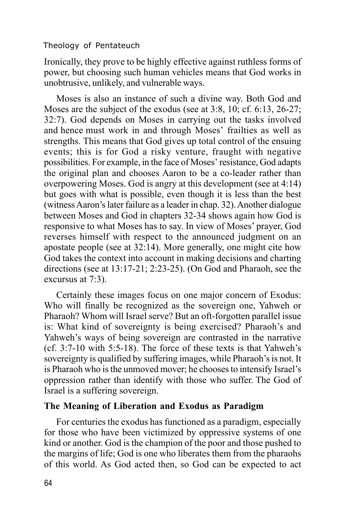Ironically, they prove to be highly effective against ruthless forms of power, but choosing such human vehicles means that God works in unobtrusive, unlikely, and vulnerable ways.

Moses is also an instance of such a divine way. Both God and Moses are the subject of the exodus (see at 3:8, 10; cf. 6:13, 26-27; 32:7). God depends on Moses in carrying out the tasks involved and hence must work in and through Moses' frailties as well as strengths. This means that God gives up total control of the ensuing events; this is for God a risky venture, fraught with negative possibilities. For example, in the face of Moses' resistance, God adapts the original plan and chooses Aaron to be a co-leader rather than overpowering Moses. God is angry at this development (see at 4:14) but goes with what is possible, even though it is less than the best (witness Aaron's later failure as a leader in chap. 32). Another dialogue between Moses and God in chapters 32-34 shows again how God is responsive to what Moses has to say. In view of Moses' prayer, God reverses himself with respect to the announced judgment on an apostate people (see at 32:14). More generally, one might cite how God takes the context into account in making decisions and charting directions (see at 13:17-21; 2:23-25). (On God and Pharaoh, see the excursus at 7:3).

Certainly these images focus on one major concern of Exodus: Who will finally be recognized as the sovereign one, Yahweh or Pharaoh? Whom will Israel serve? But an oft-forgotten parallel issue is: What kind of sovereignty is being exercised? Pharaoh's and Yahweh's ways of being sovereign are contrasted in the narrative (cf. 3:7-10 with 5:5-18). The force of these texts is that Yahweh's sovereignty is qualified by suffering images, while Pharaoh's is not. It is Pharaoh who is the unmoved mover; he chooses to intensify Israel's oppression rather than identify with those who suffer. The God of Israel is a suffering sovereign.

# **The Meaning of Liberation and Exodus as Paradigm**

For centuries the exodus has functioned as a paradigm, especially for those who have been victimized by oppressive systems of one kind or another. God is the champion of the poor and those pushed to the margins of life; God is one who liberates them from the pharaohs of this world. As God acted then, so God can be expected to act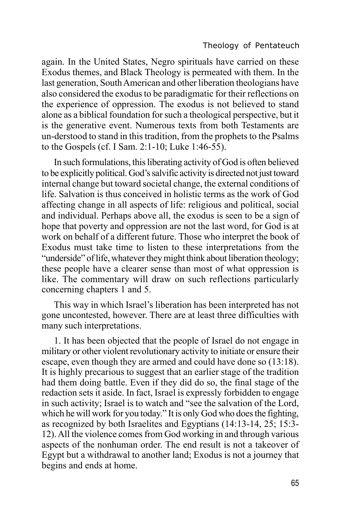again. In the United States, Negro spirituals have carried on these Exodus themes, and Black Theology is permeated with them. In the last generation, South American and other liberation theologians have also considered the exodus to be paradigmatic for their reflections on the experience of oppression. The exodus is not believed to stand alone as a biblical foundation for such a theological perspective, but it is the generative event. Numerous texts from both Testaments are un-derstood to stand in this tradition, from the prophets to the Psalms to the Gospels (cf. I Sam. 2:1-10; Luke 1:46-55).

In such formulations, this liberating activity of God is often believed to be explicitly political. God's salvific activity is directed not just toward internal change but toward societal change, the external conditions of life. Salvation is thus conceived in holistic terms as the work of God affecting change in all aspects of life: religious and political, social and individual. Perhaps above all, the exodus is seen to be a sign of hope that poverty and oppression are not the last word, for God is at work on behalf of a different future. Those who interpret the book of Exodus must take time to listen to these interpretations from the "underside" of life, whatever they might think about liberation theology; these people have a clearer sense than most of what oppression is like. The commentary will draw on such reflections particularly concerning chapters 1 and 5.

This way in which Israel's liberation has been interpreted has not gone uncontested, however. There are at least three difficulties with many such interpretations.

1. It has been objected that the people of Israel do not engage in military or other violent revolutionary activity to initiate or ensure their escape, even though they are armed and could have done so (13:18). It is highly precarious to suggest that an earlier stage of the tradition had them doing battle. Even if they did do so, the final stage of the redaction sets it aside. In fact, Israel is expressly forbidden to engage in such activity; Israel is to watch and "see the salvation of the Lord, which he will work for you today." It is only God who does the fighting, as recognized by both Israelites and Egyptians (14:13-14, 25; 15:3- 12). All the violence comes from God working in and through various aspects of the nonhuman order. The end result is not a takeover of Egypt but a withdrawal to another land; Exodus is not a journey that begins and ends at home.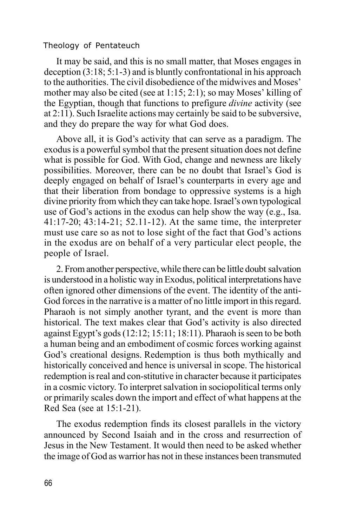It may be said, and this is no small matter, that Moses engages in deception (3:18; 5:1-3) and is bluntly confrontational in his approach to the authorities. The civil disobedience of the midwives and Moses' mother may also be cited (see at 1:15; 2:1); so may Moses' killing of the Egyptian, though that functions to prefigure *divine* activity (see at 2:11). Such Israelite actions may certainly be said to be subversive, and they do prepare the way for what God does.

Above all, it is God's activity that can serve as a paradigm. The exodus is a powerful symbol that the present situation does not define what is possible for God. With God, change and newness are likely possibilities. Moreover, there can be no doubt that Israel's God is deeply engaged on behalf of Israel's counterparts in every age and that their liberation from bondage to oppressive systems is a high divine priority from which they can take hope. Israel's own typological use of God's actions in the exodus can help show the way (e.g., Isa. 41:17-20; 43:14-21; 52.11-12). At the same time, the interpreter must use care so as not to lose sight of the fact that God's actions in the exodus are on behalf of a very particular elect people, the people of Israel.

2. From another perspective, while there can be little doubt salvation is understood in a holistic way in Exodus, political interpretations have often ignored other dimensions of the event. The identity of the anti-God forces in the narrative is a matter of no little import in this regard. Pharaoh is not simply another tyrant, and the event is more than historical. The text makes clear that God's activity is also directed against Egypt's gods (12:12; 15:11; 18:11). Pharaoh is seen to be both a human being and an embodiment of cosmic forces working against God's creational designs. Redemption is thus both mythically and historically conceived and hence is universal in scope. The historical redemption is real and con-stitutive in character because it participates in a cosmic victory. To interpret salvation in sociopolitical terms only or primarily scales down the import and effect of what happens at the Red Sea (see at 15:1-21).

The exodus redemption finds its closest parallels in the victory announced by Second Isaiah and in the cross and resurrection of Jesus in the New Testament. It would then need to be asked whether the image of God as warrior has not in these instances been transmuted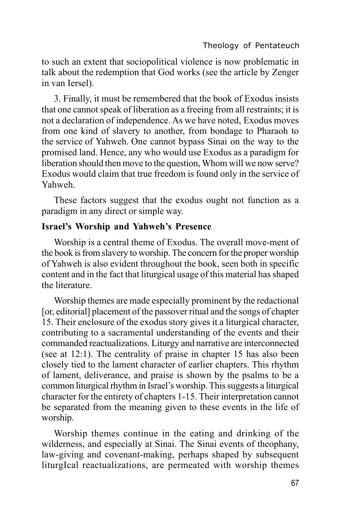to such an extent that sociopolitical violence is now problematic in talk about the redemption that God works (see the article by Zenger in van Iersel).

3. Finally, it must be remembered that the book of Exodus insists that one cannot speak of liberation as a freeing from all restraints; it is not a declaration of independence. As we have noted, Exodus moves from one kind of slavery to another, from bondage to Pharaoh to the service of Yahweh. One cannot bypass Sinai on the way to the promised land. Hence, any who would use Exodus as a paradigm for liberation should then move to the question, Whom will we now serve? Exodus would claim that true freedom is found only in the service of Yahweh.

These factors suggest that the exodus ought not function as a paradigm in any direct or simple way.

## **Israel's Worship and Yahweh's Presence**

Worship is a central theme of Exodus. The overall move-ment of the book is from slavery to worship. The concern for the proper worship of Yahweh is also evident throughout the book, seen both in specific content and in the fact that liturgical usage of this material has shaped the literature.

Worship themes are made especially prominent by the redactional [or, editorial] placement of the passover ritual and the songs of chapter 15. Their enclosure of the exodus story gives it a liturgical character, contributing to a sacramental understanding of the events and their commanded reactualizations. Liturgy and narrative are interconnected (see at 12:1). The centrality of praise in chapter 15 has also been closely tied to the lament character of earlier chapters. This rhythm of lament, deliverance, and praise is shown by the psalms to be a common liturgical rhythm in Israel's worship. This suggests a liturgical character for the entirety of chapters 1-15. Their interpretation cannot be separated from the meaning given to these events in the life of worship.

Worship themes continue in the eating and drinking of the wilderness, and especially at Sinai. The Sinai events of theophany, law-giving and covenant-making, perhaps shaped by subsequent liturgIcal reactualizations, are permeated with worship themes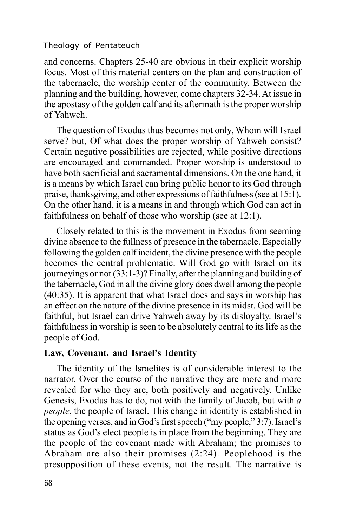and concerns. Chapters 25-40 are obvious in their explicit worship focus. Most of this material centers on the plan and construction of the tabernacle, the worship center of the community. Between the planning and the building, however, come chapters 32-34. At issue in the apostasy of the golden calf and its aftermath is the proper worship of Yahweh.

The question of Exodus thus becomes not only, Whom will Israel serve? but, Of what does the proper worship of Yahweh consist? Certain negative possibilities are rejected, while positive directions are encouraged and commanded. Proper worship is understood to have both sacrificial and sacramental dimensions. On the one hand, it is a means by which Israel can bring public honor to its God through praise, thanksgiving, and other expressions of faithfulness (see at 15:1). On the other hand, it is a means in and through which God can act in faithfulness on behalf of those who worship (see at 12:1).

Closely related to this is the movement in Exodus from seeming divine absence to the fullness of presence in the tabernacle. Especially following the golden calf incident, the divine presence with the people becomes the central problematic. Will God go with Israel on its journeyings or not (33:1-3)? Finally, after the planning and building of the tabernacle, God in all the divine glory does dwell among the people (40:35). It is apparent that what Israel does and says in worship has an effect on the nature of the divine presence in its midst. God will be faithful, but Israel can drive Yahweh away by its disloyalty. Israel's faithfulness in worship is seen to be absolutely central to its life as the people of God.

### **Law, Covenant, and Israel's Identity**

The identity of the Israelites is of considerable interest to the narrator. Over the course of the narrative they are more and more revealed for who they are, both positively and negatively. Unlike Genesis, Exodus has to do, not with the family of Jacob, but with *a people*, the people of Israel. This change in identity is established in the opening verses, and in God's first speech ("my people," 3:7). Israel's status as God's elect people is in place from the beginning. They are the people of the covenant made with Abraham; the promises to Abraham are also their promises (2:24). Peoplehood is the presupposition of these events, not the result. The narrative is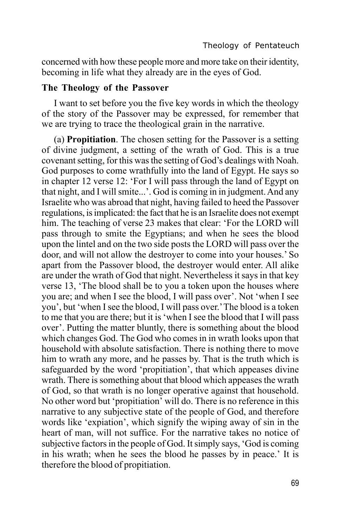concerned with how these people more and more take on their identity, becoming in life what they already are in the eyes of God.

### **The Theology of the Passover**

I want to set before you the five key words in which the theology of the story of the Passover may be expressed, for remember that we are trying to trace the theological grain in the narrative.

(a) **Propitiation**. The chosen setting for the Passover is a setting of divine judgment, a setting of the wrath of God. This is a true covenant setting, for this was the setting of God's dealings with Noah. God purposes to come wrathfully into the land of Egypt. He says so in chapter 12 verse 12: 'For I will pass through the land of Egypt on that night, and I will smite...'. God is coming in in judgment. And any Israelite who was abroad that night, having failed to heed the Passover regulations, is implicated: the fact that he is an Israelite does not exempt him. The teaching of verse 23 makes that clear: 'For the LORD will pass through to smite the Egyptians; and when he sees the blood upon the lintel and on the two side posts the LORD will pass over the door, and will not allow the destroyer to come into your houses.' So apart from the Passover blood, the destroyer would enter. All alike are under the wrath of God that night. Nevertheless it says in that key verse 13, 'The blood shall be to you a token upon the houses where you are; and when I see the blood, I will pass over'. Not 'when I see you', but 'when I see the blood, I will pass over.'The blood is a token to me that you are there; but it is 'when I see the blood that I will pass over'. Putting the matter bluntly, there is something about the blood which changes God. The God who comes in in wrath looks upon that household with absolute satisfaction. There is nothing there to move him to wrath any more, and he passes by. That is the truth which is safeguarded by the word 'propitiation', that which appeases divine wrath. There is something about that blood which appeases the wrath of God, so that wrath is no longer operative against that household. No other word but 'propitiation' will do. There is no reference in this narrative to any subjective state of the people of God, and therefore words like 'expiation', which signify the wiping away of sin in the heart of man, will not suffice. For the narrative takes no notice of subjective factors in the people of God. It simply says, 'God is coming in his wrath; when he sees the blood he passes by in peace.' It is therefore the blood of propitiation.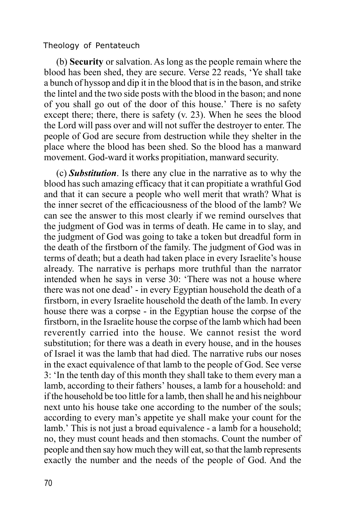(b) **Security** or salvation. As long as the people remain where the blood has been shed, they are secure. Verse 22 reads, 'Ye shall take a bunch of hyssop and dip it in the blood that is in the bason, and strike the lintel and the two side posts with the blood in the bason; and none of you shall go out of the door of this house.' There is no safety except there; there, there is safety (v. 23). When he sees the blood the Lord will pass over and will not suffer the destroyer to enter. The people of God are secure from destruction while they shelter in the place where the blood has been shed. So the blood has a manward movement. God-ward it works propitiation, manward security.

(c) *Substitution*. Is there any clue in the narrative as to why the blood has such amazing efficacy that it can propitiate a wrathful God and that it can secure a people who well merit that wrath? What is the inner secret of the efficaciousness of the blood of the lamb? We can see the answer to this most clearly if we remind ourselves that the judgment of God was in terms of death. He came in to slay, and the judgment of God was going to take a token but dreadful form in the death of the firstborn of the family. The judgment of God was in terms of death; but a death had taken place in every Israelite's house already. The narrative is perhaps more truthful than the narrator intended when he says in verse 30: 'There was not a house where there was not one dead' - in every Egyptian household the death of a firstborn, in every Israelite household the death of the lamb. In every house there was a corpse - in the Egyptian house the corpse of the firstborn, in the Israelite house the corpse of the lamb which had been reverently carried into the house. We cannot resist the word substitution; for there was a death in every house, and in the houses of Israel it was the lamb that had died. The narrative rubs our noses in the exact equivalence of that lamb to the people of God. See verse 3: 'In the tenth day of this month they shall take to them every man a lamb, according to their fathers' houses, a lamb for a household: and if the household be too little for a lamb, then shall he and his neighbour next unto his house take one according to the number of the souls; according to every man's appetite ye shall make your count for the lamb.' This is not just a broad equivalence - a lamb for a household; no, they must count heads and then stomachs. Count the number of people and then say how much they will eat, so that the lamb represents exactly the number and the needs of the people of God. And the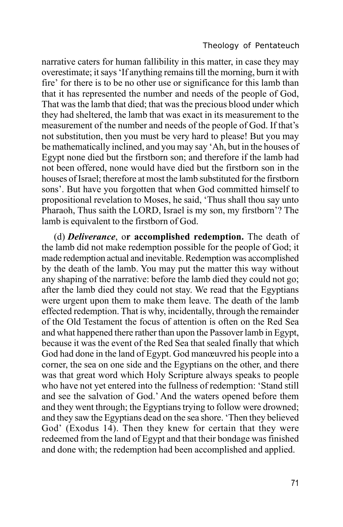narrative caters for human fallibility in this matter, in case they may overestimate; it says 'If anything remains till the morning, burn it with fire' for there is to be no other use or significance for this lamb than that it has represented the number and needs of the people of God, That was the lamb that died; that was the precious blood under which they had sheltered, the lamb that was exact in its measurement to the measurement of the number and needs of the people of God. If that's not substitution, then you must be very hard to please! But you may be mathematically inclined, and you may say 'Ah, but in the houses of Egypt none died but the firstborn son; and therefore if the lamb had not been offered, none would have died but the firstborn son in the houses of Israel; therefore at most the lamb substituted for the firstborn sons'. But have you forgotten that when God committed himself to propositional revelation to Moses, he said, 'Thus shall thou say unto Pharaoh, Thus saith the LORD, Israel is my son, my firstborn'? The lamb is equivalent to the firstborn of God.

(d) *Deliverance*, o**r accomplished redemption.** The death of the lamb did not make redemption possible for the people of God; it made redemption actual and inevitable. Redemption was accomplished by the death of the lamb. You may put the matter this way without any shaping of the narrative: before the lamb died they could not go; after the lamb died they could not stay. We read that the Egyptians were urgent upon them to make them leave. The death of the lamb effected redemption. That is why, incidentally, through the remainder of the Old Testament the focus of attention is often on the Red Sea and what happened there rather than upon the Passover lamb in Egypt, because it was the event of the Red Sea that sealed finally that which God had done in the land of Egypt. God manœuvred his people into a corner, the sea on one side and the Egyptians on the other, and there was that great word which Holy Scripture always speaks to people who have not yet entered into the fullness of redemption: 'Stand still and see the salvation of God.' And the waters opened before them and they went through; the Egyptians trying to follow were drowned; and they saw the Egyptians dead on the sea shore. 'Then they believed God' (Exodus 14). Then they knew for certain that they were redeemed from the land of Egypt and that their bondage was finished and done with; the redemption had been accomplished and applied.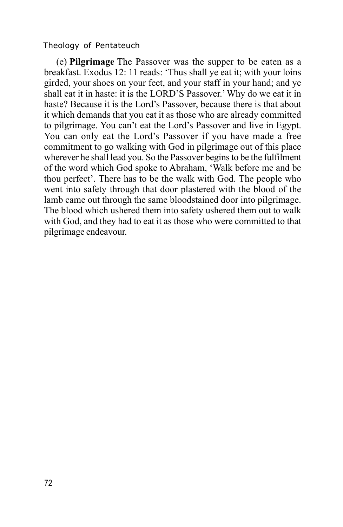(e) **Pilgrimage** The Passover was the supper to be eaten as a breakfast. Exodus 12: 11 reads: 'Thus shall ye eat it; with your loins girded, your shoes on your feet, and your staff in your hand; and ye shall eat it in haste: it is the LORD'S Passover.'Why do we eat it in haste? Because it is the Lord's Passover, because there is that about it which demands that you eat it as those who are already committed to pilgrimage. You can't eat the Lord's Passover and live in Egypt. You can only eat the Lord's Passover if you have made a free commitment to go walking with God in pilgrimage out of this place wherever he shall lead you. So the Passover begins to be the fulfilment of the word which God spoke to Abraham, 'Walk before me and be thou perfect'. There has to be the walk with God. The people who went into safety through that door plastered with the blood of the lamb came out through the same bloodstained door into pilgrimage. The blood which ushered them into safety ushered them out to walk with God, and they had to eat it as those who were committed to that pilgrimage endeavour.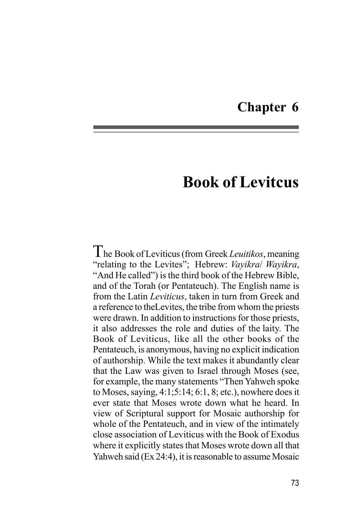# **Chapter 6**

# **Book of Levitcus**

The Book of Leviticus (from Greek *Leuitikos*, meaning "relating to the Levites"; Hebrew: *Vayikra*/ *Wayikra*, "And He called") is the third book of the Hebrew Bible, and of the Torah (or Pentateuch). The English name is from the Latin *Leviticus*, taken in turn from Greek and a reference to theLevites, the tribe from whom the priests were drawn. In addition to instructions for those priests, it also addresses the role and duties of the laity. The Book of Leviticus, like all the other books of the Pentateuch, is anonymous, having no explicit indication of authorship. While the text makes it abundantly clear that the Law was given to Israel through Moses (see, for example, the many statements "Then Yahweh spoke to Moses, saying, 4:1;5:14; 6:1, 8; etc.), nowhere does it ever state that Moses wrote down what he heard. In view of Scriptural support for Mosaic authorship for whole of the Pentateuch, and in view of the intimately close association of Leviticus with the Book of Exodus where it explicitly states that Moses wrote down all that Yahweh said (Ex 24:4), it is reasonable to assume Mosaic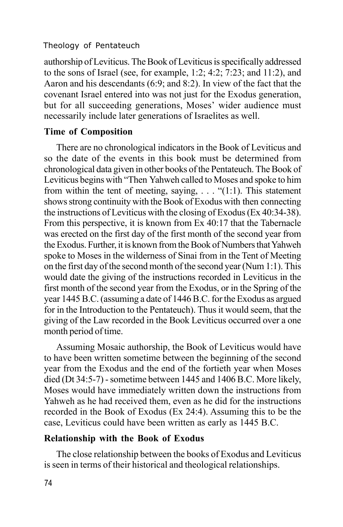authorship of Leviticus. The Book of Leviticus is specifically addressed to the sons of Israel (see, for example, 1:2; 4:2; 7:23; and 11:2), and Aaron and his descendants (6:9; and 8:2). In view of the fact that the covenant Israel entered into was not just for the Exodus generation, but for all succeeding generations, Moses' wider audience must necessarily include later generations of Israelites as well.

# **Time of Composition**

There are no chronological indicators in the Book of Leviticus and so the date of the events in this book must be determined from chronological data given in other books of the Pentateuch. The Book of Leviticus begins with "Then Yahweh called to Moses and spoke to him from within the tent of meeting, saying,  $\dots$  "(1:1). This statement shows strong continuity with the Book of Exodus with then connecting the instructions of Leviticus with the closing of Exodus (Ex 40:34-38). From this perspective, it is known from Ex 40:17 that the Tabernacle was erected on the first day of the first month of the second year from the Exodus. Further, it is known from the Book of Numbers that Yahweh spoke to Moses in the wilderness of Sinai from in the Tent of Meeting on the first day of the second month of the second year (Num 1:1). This would date the giving of the instructions recorded in Leviticus in the first month of the second year from the Exodus, or in the Spring of the year 1445 B.C. (assuming a date of 1446 B.C. for the Exodus as argued for in the Introduction to the Pentateuch). Thus it would seem, that the giving of the Law recorded in the Book Leviticus occurred over a one month period of time.

Assuming Mosaic authorship, the Book of Leviticus would have to have been written sometime between the beginning of the second year from the Exodus and the end of the fortieth year when Moses died (Dt 34:5-7) - sometime between 1445 and 1406 B.C. More likely, Moses would have immediately written down the instructions from Yahweh as he had received them, even as he did for the instructions recorded in the Book of Exodus (Ex 24:4). Assuming this to be the case, Leviticus could have been written as early as 1445 B.C.

#### **Relationship with the Book of Exodus**

The close relationship between the books of Exodus and Leviticus is seen in terms of their historical and theological relationships.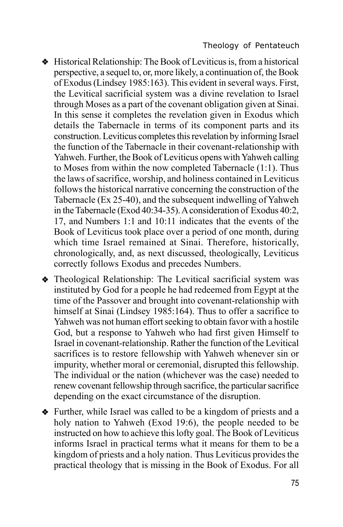- v Historical Relationship: The Book of Leviticus is, from a historical perspective, a sequel to, or, more likely, a continuation of, the Book of Exodus (Lindsey 1985:163). This evident in several ways. First, the Levitical sacrificial system was a divine revelation to Israel through Moses as a part of the covenant obligation given at Sinai. In this sense it completes the revelation given in Exodus which details the Tabernacle in terms of its component parts and its construction. Leviticus completes this revelation by informing Israel the function of the Tabernacle in their covenant-relationship with Yahweh. Further, the Book of Leviticus opens with Yahweh calling to Moses from within the now completed Tabernacle (1:1). Thus the laws of sacrifice, worship, and holiness contained in Leviticus follows the historical narrative concerning the construction of the Tabernacle (Ex 25-40), and the subsequent indwelling of Yahweh in the Tabernacle (Exod 40:34-35). A consideration of Exodus 40:2, 17, and Numbers 1:1 and 10:11 indicates that the events of the Book of Leviticus took place over a period of one month, during which time Israel remained at Sinai. Therefore, historically, chronologically, and, as next discussed, theologically, Leviticus correctly follows Exodus and precedes Numbers.
- Theological Relationship: The Levitical sacrificial system was instituted by God for a people he had redeemed from Egypt at the time of the Passover and brought into covenant-relationship with himself at Sinai (Lindsey 1985:164). Thus to offer a sacrifice to Yahweh was not human effort seeking to obtain favor with a hostile God, but a response to Yahweh who had first given Himself to Israel in covenant-relationship. Rather the function of the Levitical sacrifices is to restore fellowship with Yahweh whenever sin or impurity, whether moral or ceremonial, disrupted this fellowship. The individual or the nation (whichever was the case) needed to renew covenant fellowship through sacrifice, the particular sacrifice depending on the exact circumstance of the disruption.
- Further, while Israel was called to be a kingdom of priests and a holy nation to Yahweh (Exod 19:6), the people needed to be instructed on how to achieve this lofty goal. The Book of Leviticus informs Israel in practical terms what it means for them to be a kingdom of priests and a holy nation. Thus Leviticus provides the practical theology that is missing in the Book of Exodus. For all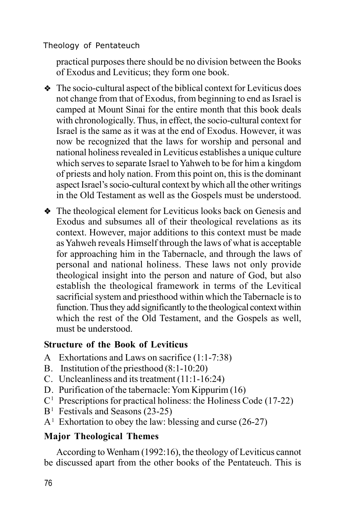practical purposes there should be no division between the Books of Exodus and Leviticus; they form one book.

 $\bullet$  The socio-cultural aspect of the biblical context for Leviticus does not change from that of Exodus, from beginning to end as Israel is camped at Mount Sinai for the entire month that this book deals with chronologically. Thus, in effect, the socio-cultural context for Israel is the same as it was at the end of Exodus. However, it was now be recognized that the laws for worship and personal and national holiness revealed in Leviticus establishes a unique culture which serves to separate Israel to Yahweh to be for him a kingdom of priests and holy nation. From this point on, this is the dominant aspect Israel's socio-cultural context by which all the other writings in the Old Testament as well as the Gospels must be understood.

• The theological element for Leviticus looks back on Genesis and Exodus and subsumes all of their theological revelations as its context. However, major additions to this context must be made as Yahweh reveals Himself through the laws of what is acceptable for approaching him in the Tabernacle, and through the laws of personal and national holiness. These laws not only provide theological insight into the person and nature of God, but also establish the theological framework in terms of the Levitical sacrificial system and priesthood within which the Tabernacle is to function. Thus they add significantly to the theological context within which the rest of the Old Testament, and the Gospels as well, must be understood.

# **Structure of the Book of Leviticus**

- A Exhortations and Laws on sacrifice (1:1-7:38)
- B. Institution of the priesthood (8:1-10:20)
- C. Uncleanliness and its treatment (11:1-16:24)
- D. Purification of the tabernacle: Yom Kippurim (16)
- C <sup>1</sup> Prescriptions for practical holiness: the Holiness Code (17-22)
- $B<sup>1</sup>$  Festivals and Seasons (23-25)
- $A<sup>1</sup>$  Exhortation to obey the law: blessing and curse (26-27)

# **Major Theological Themes**

According to Wenham (1992:16), the theology of Leviticus cannot be discussed apart from the other books of the Pentateuch. This is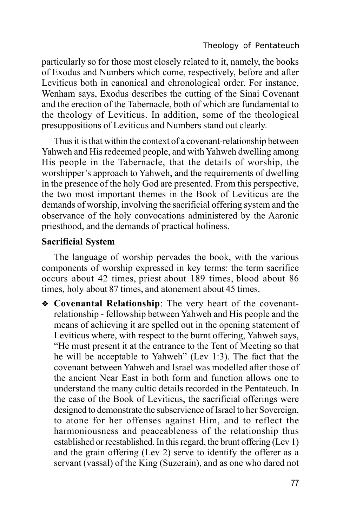particularly so for those most closely related to it, namely, the books of Exodus and Numbers which come, respectively, before and after Leviticus both in canonical and chronological order. For instance, Wenham says, Exodus describes the cutting of the Sinai Covenant and the erection of the Tabernacle, both of which are fundamental to the theology of Leviticus. In addition, some of the theological presuppositions of Leviticus and Numbers stand out clearly.

Thus it is that within the context of a covenant-relationship between Yahweh and His redeemed people, and with Yahweh dwelling among His people in the Tabernacle, that the details of worship, the worshipper's approach to Yahweh, and the requirements of dwelling in the presence of the holy God are presented. From this perspective, the two most important themes in the Book of Leviticus are the demands of worship, involving the sacrificial offering system and the observance of the holy convocations administered by the Aaronic priesthood, and the demands of practical holiness.

### **Sacrificial System**

The language of worship pervades the book, with the various components of worship expressed in key terms: the term sacrifice occurs about 42 times, priest about 189 times, blood about 86 times, holy about 87 times, and atonement about 45 times.

**Example 2** Covenantal Relationship: The very heart of the covenantrelationship - fellowship between Yahweh and His people and the means of achieving it are spelled out in the opening statement of Leviticus where, with respect to the burnt offering, Yahweh says, "He must present it at the entrance to the Tent of Meeting so that he will be acceptable to Yahweh" (Lev 1:3). The fact that the covenant between Yahweh and Israel was modelled after those of the ancient Near East in both form and function allows one to understand the many cultic details recorded in the Pentateuch. In the case of the Book of Leviticus, the sacrificial offerings were designed to demonstrate the subservience of Israel to her Sovereign, to atone for her offenses against Him, and to reflect the harmoniousness and peaceableness of the relationship thus established or reestablished. In this regard, the brunt offering  $(Lev 1)$ and the grain offering (Lev 2) serve to identify the offerer as a servant (vassal) of the King (Suzerain), and as one who dared not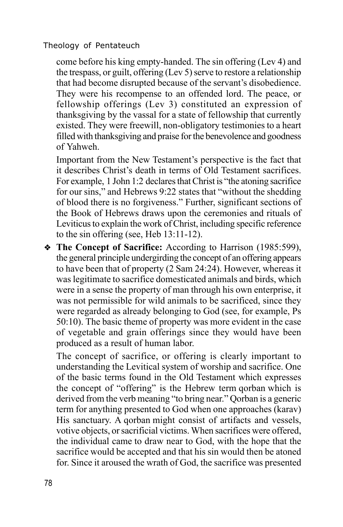come before his king empty-handed. The sin offering (Lev 4) and the trespass, or guilt, offering (Lev 5) serve to restore a relationship that had become disrupted because of the servant's disobedience. They were his recompense to an offended lord. The peace, or fellowship offerings (Lev 3) constituted an expression of thanksgiving by the vassal for a state of fellowship that currently existed. They were freewill, non-obligatory testimonies to a heart filled with thanksgiving and praise for the benevolence and goodness of Yahweh.

Important from the New Testament's perspective is the fact that it describes Christ's death in terms of Old Testament sacrifices. For example, 1 John 1:2 declares that Christ is "the atoning sacrifice for our sins," and Hebrews 9:22 states that "without the shedding of blood there is no forgiveness." Further, significant sections of the Book of Hebrews draws upon the ceremonies and rituals of Leviticus to explain the work of Christ, including specific reference to the sin offering (see, Heb 13:11-12).

v **The Concept of Sacrifice:** According to Harrison (1985:599), the general principle undergirding the concept of an offering appears to have been that of property (2 Sam 24:24). However, whereas it was legitimate to sacrifice domesticated animals and birds, which were in a sense the property of man through his own enterprise, it was not permissible for wild animals to be sacrificed, since they were regarded as already belonging to God (see, for example, Ps 50:10). The basic theme of property was more evident in the case of vegetable and grain offerings since they would have been produced as a result of human labor.

The concept of sacrifice, or offering is clearly important to understanding the Levitical system of worship and sacrifice. One of the basic terms found in the Old Testament which expresses the concept of "offering" is the Hebrew term qorban which is derived from the verb meaning "to bring near." Qorban is a generic term for anything presented to God when one approaches (karav) His sanctuary. A qorban might consist of artifacts and vessels, votive objects, or sacrificial victims. When sacrifices were offered, the individual came to draw near to God, with the hope that the sacrifice would be accepted and that his sin would then be atoned for. Since it aroused the wrath of God, the sacrifice was presented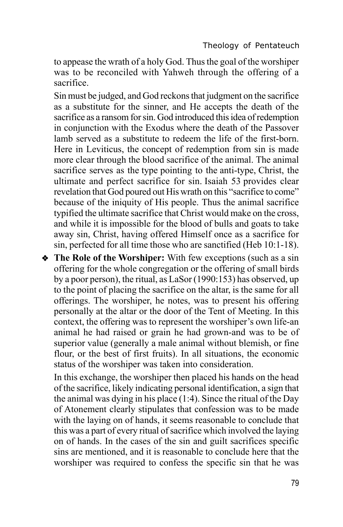to appease the wrath of a holy God. Thus the goal of the worshiper was to be reconciled with Yahweh through the offering of a sacrifice.

Sin must be judged, and God reckons that judgment on the sacrifice as a substitute for the sinner, and He accepts the death of the sacrifice as a ransom for sin. God introduced this idea of redemption in conjunction with the Exodus where the death of the Passover lamb served as a substitute to redeem the life of the first-born. Here in Leviticus, the concept of redemption from sin is made more clear through the blood sacrifice of the animal. The animal sacrifice serves as the type pointing to the anti-type, Christ, the ultimate and perfect sacrifice for sin. Isaiah 53 provides clear revelation that God poured out His wrath on this "sacrifice to come" because of the iniquity of His people. Thus the animal sacrifice typified the ultimate sacrifice that Christ would make on the cross, and while it is impossible for the blood of bulls and goats to take away sin, Christ, having offered Himself once as a sacrifice for sin, perfected for all time those who are sanctified (Heb 10:1-18).

• The Role of the Worshiper: With few exceptions (such as a sin offering for the whole congregation or the offering of small birds by a poor person), the ritual, as LaSor (1990:153) has observed, up to the point of placing the sacrifice on the altar, is the same for all offerings. The worshiper, he notes, was to present his offering personally at the altar or the door of the Tent of Meeting. In this context, the offering was to represent the worshiper's own life-an animal he had raised or grain he had grown-and was to be of superior value (generally a male animal without blemish, or fine flour, or the best of first fruits). In all situations, the economic status of the worshiper was taken into consideration.

In this exchange, the worshiper then placed his hands on the head of the sacrifice, likely indicating personal identification, a sign that the animal was dying in his place (1:4). Since the ritual of the Day of Atonement clearly stipulates that confession was to be made with the laying on of hands, it seems reasonable to conclude that this was a part of every ritual of sacrifice which involved the laying on of hands. In the cases of the sin and guilt sacrifices specific sins are mentioned, and it is reasonable to conclude here that the worshiper was required to confess the specific sin that he was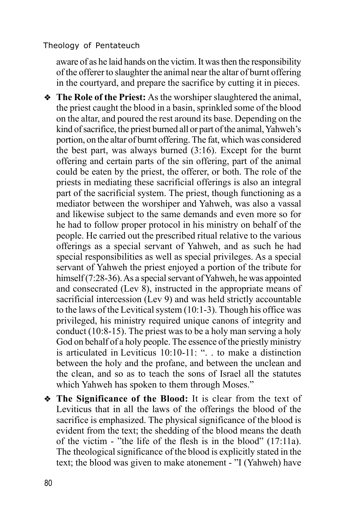aware of as he laid hands on the victim. It was then the responsibility of the offerer to slaughter the animal near the altar of burnt offering in the courtyard, and prepare the sacrifice by cutting it in pieces.

- The Role of the Priest: As the worshiper slaughtered the animal, the priest caught the blood in a basin, sprinkled some of the blood on the altar, and poured the rest around its base. Depending on the kind of sacrifice, the priest burned all or part of the animal, Yahweh's portion, on the altar of burnt offering. The fat, which was considered the best part, was always burned (3:16). Except for the burnt offering and certain parts of the sin offering, part of the animal could be eaten by the priest, the offerer, or both. The role of the priests in mediating these sacrificial offerings is also an integral part of the sacrificial system. The priest, though functioning as a mediator between the worshiper and Yahweh, was also a vassal and likewise subject to the same demands and even more so for he had to follow proper protocol in his ministry on behalf of the people. He carried out the prescribed ritual relative to the various offerings as a special servant of Yahweh, and as such he had special responsibilities as well as special privileges. As a special servant of Yahweh the priest enjoyed a portion of the tribute for himself (7:28-36). As a special servant of Yahweh, he was appointed and consecrated (Lev 8), instructed in the appropriate means of sacrificial intercession (Lev 9) and was held strictly accountable to the laws of the Levitical system (10:1-3). Though his office was privileged, his ministry required unique canons of integrity and conduct (10:8-15). The priest was to be a holy man serving a holy God on behalf of a holy people. The essence of the priestly ministry is articulated in Leviticus 10:10-11: ". . to make a distinction between the holy and the profane, and between the unclean and the clean, and so as to teach the sons of Israel all the statutes which Yahweh has spoken to them through Moses."
- v **The Significance of the Blood:** It is clear from the text of Leviticus that in all the laws of the offerings the blood of the sacrifice is emphasized. The physical significance of the blood is evident from the text; the shedding of the blood means the death of the victim - "the life of the flesh is in the blood" (17:11a). The theological significance of the blood is explicitly stated in the text; the blood was given to make atonement - "I (Yahweh) have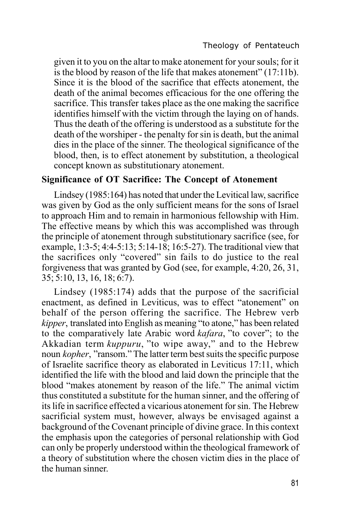given it to you on the altar to make atonement for your souls; for it is the blood by reason of the life that makes atonement" (17:11b). Since it is the blood of the sacrifice that effects atonement, the death of the animal becomes efficacious for the one offering the sacrifice. This transfer takes place as the one making the sacrifice identifies himself with the victim through the laying on of hands. Thus the death of the offering is understood as a substitute for the death of the worshiper - the penalty for sin is death, but the animal dies in the place of the sinner. The theological significance of the blood, then, is to effect atonement by substitution, a theological concept known as substitutionary atonement.

#### **Significance of OT Sacrifice: The Concept of Atonement**

Lindsey (1985:164) has noted that under the Levitical law, sacrifice was given by God as the only sufficient means for the sons of Israel to approach Him and to remain in harmonious fellowship with Him. The effective means by which this was accomplished was through the principle of atonement through substitutionary sacrifice (see, for example, 1:3-5; 4:4-5:13; 5:14-18; 16:5-27). The traditional view that the sacrifices only "covered" sin fails to do justice to the real forgiveness that was granted by God (see, for example, 4:20, 26, 31, 35; 5:10, 13, 16, 18; 6:7).

Lindsey (1985:174) adds that the purpose of the sacrificial enactment, as defined in Leviticus, was to effect "atonement" on behalf of the person offering the sacrifice. The Hebrew verb *kipper*, translated into English as meaning "to atone," has been related to the comparatively late Arabic word *kafara*, "to cover"; to the Akkadian term *kuppuru*, "to wipe away," and to the Hebrew noun *kopher*, "ransom." The latter term best suits the specific purpose of Israelite sacrifice theory as elaborated in Leviticus 17:11, which identified the life with the blood and laid down the principle that the blood "makes atonement by reason of the life." The animal victim thus constituted a substitute for the human sinner, and the offering of its life in sacrifice effected a vicarious atonement for sin. The Hebrew sacrificial system must, however, always be envisaged against a background of the Covenant principle of divine grace. In this context the emphasis upon the categories of personal relationship with God can only be properly understood within the theological framework of a theory of substitution where the chosen victim dies in the place of the human sinner.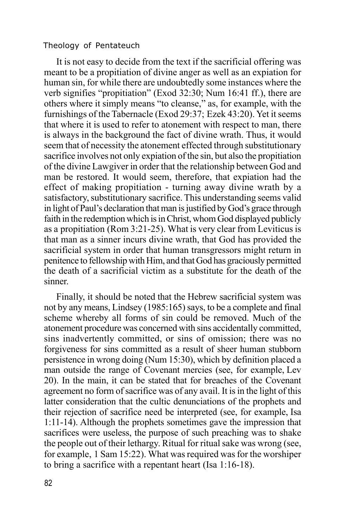It is not easy to decide from the text if the sacrificial offering was meant to be a propitiation of divine anger as well as an expiation for human sin, for while there are undoubtedly some instances where the verb signifies "propitiation" (Exod 32:30; Num 16:41 ff.), there are others where it simply means "to cleanse," as, for example, with the furnishings of the Tabernacle (Exod 29:37; Ezek 43:20). Yet it seems that where it is used to refer to atonement with respect to man, there is always in the background the fact of divine wrath. Thus, it would seem that of necessity the atonement effected through substitutionary sacrifice involves not only expiation of the sin, but also the propitiation of the divine Lawgiver in order that the relationship between God and man be restored. It would seem, therefore, that expiation had the effect of making propitiation - turning away divine wrath by a satisfactory, substitutionary sacrifice. This understanding seems valid in light of Paul's declaration that man is justified by God's grace through faith in the redemption which is in Christ, whom God displayed publicly as a propitiation (Rom 3:21-25). What is very clear from Leviticus is that man as a sinner incurs divine wrath, that God has provided the sacrificial system in order that human transgressors might return in penitence to fellowship with Him, and that God has graciously permitted the death of a sacrificial victim as a substitute for the death of the sinner.

Finally, it should be noted that the Hebrew sacrificial system was not by any means, Lindsey (1985:165) says, to be a complete and final scheme whereby all forms of sin could be removed. Much of the atonement procedure was concerned with sins accidentally committed, sins inadvertently committed, or sins of omission; there was no forgiveness for sins committed as a result of sheer human stubborn persistence in wrong doing (Num 15:30), which by definition placed a man outside the range of Covenant mercies (see, for example, Lev 20). In the main, it can be stated that for breaches of the Covenant agreement no form of sacrifice was of any avail. It is in the light of this latter consideration that the cultic denunciations of the prophets and their rejection of sacrifice need be interpreted (see, for example, Isa 1:11-14). Although the prophets sometimes gave the impression that sacrifices were useless, the purpose of such preaching was to shake the people out of their lethargy. Ritual for ritual sake was wrong (see, for example, 1 Sam 15:22). What was required was for the worshiper to bring a sacrifice with a repentant heart (Isa 1:16-18).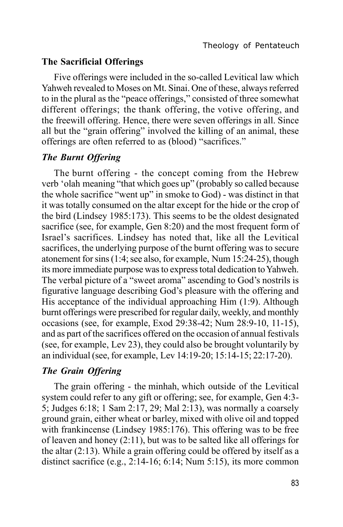#### **The Sacrificial Offerings**

Five offerings were included in the so-called Levitical law which Yahweh revealed to Moses on Mt. Sinai. One of these, always referred to in the plural as the "peace offerings," consisted of three somewhat different offerings; the thank offering, the votive offering, and the freewill offering. Hence, there were seven offerings in all. Since all but the "grain offering" involved the killing of an animal, these offerings are often referred to as (blood) "sacrifices."

#### *The Burnt Offering*

The burnt offering - the concept coming from the Hebrew verb 'olah meaning "that which goes up" (probably so called because the whole sacrifice "went up" in smoke to God) - was distinct in that it was totally consumed on the altar except for the hide or the crop of the bird (Lindsey 1985:173). This seems to be the oldest designated sacrifice (see, for example, Gen 8:20) and the most frequent form of Israel's sacrifices. Lindsey has noted that, like all the Levitical sacrifices, the underlying purpose of the burnt offering was to secure atonement for sins (1:4; see also, for example, Num 15:24-25), though its more immediate purpose was to express total dedication to Yahweh. The verbal picture of a "sweet aroma" ascending to God's nostrils is figurative language describing God's pleasure with the offering and His acceptance of the individual approaching Him (1:9). Although burnt offerings were prescribed for regular daily, weekly, and monthly occasions (see, for example, Exod 29:38-42; Num 28:9-10, 11-15), and as part of the sacrifices offered on the occasion of annual festivals (see, for example, Lev 23), they could also be brought voluntarily by an individual (see, for example, Lev 14:19-20; 15:14-15; 22:17-20).

# *The Grain Offering*

The grain offering - the minhah, which outside of the Levitical system could refer to any gift or offering; see, for example, Gen 4:3- 5; Judges 6:18; 1 Sam 2:17, 29; Mal 2:13), was normally a coarsely ground grain, either wheat or barley, mixed with olive oil and topped with frankincense (Lindsey 1985:176). This offering was to be free of leaven and honey (2:11), but was to be salted like all offerings for the altar (2:13). While a grain offering could be offered by itself as a distinct sacrifice (e.g., 2:14-16; 6:14; Num 5:15), its more common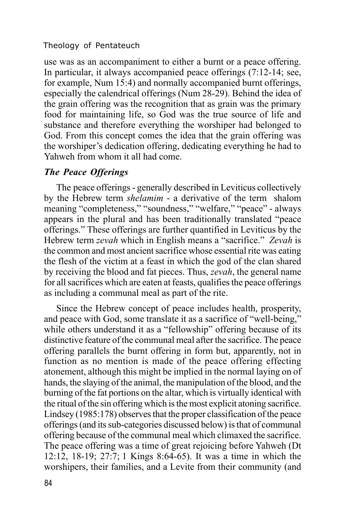use was as an accompaniment to either a burnt or a peace offering. In particular, it always accompanied peace offerings (7:12-14; see, for example, Num 15:4) and normally accompanied burnt offerings, especially the calendrical offerings (Num 28-29). Behind the idea of the grain offering was the recognition that as grain was the primary food for maintaining life, so God was the true source of life and substance and therefore everything the worshiper had belonged to God. From this concept comes the idea that the grain offering was the worshiper's dedication offering, dedicating everything he had to Yahweh from whom it all had come.

# *The Peace Offerings*

The peace offerings - generally described in Leviticus collectively by the Hebrew term *shelamim* - a derivative of the term shalom meaning "completeness," "soundness," "welfare," "peace" - always appears in the plural and has been traditionally translated "peace offerings." These offerings are further quantified in Leviticus by the Hebrew term *zevah* which in English means a "sacrifice." *Zevah* is the common and most ancient sacrifice whose essential rite was eating the flesh of the victim at a feast in which the god of the clan shared by receiving the blood and fat pieces. Thus, *zevah*, the general name for all sacrifices which are eaten at feasts, qualifies the peace offerings as including a communal meal as part of the rite.

Since the Hebrew concept of peace includes health, prosperity, and peace with God, some translate it as a sacrifice of "well-being," while others understand it as a "fellowship" offering because of its distinctive feature of the communal meal after the sacrifice. The peace offering parallels the burnt offering in form but, apparently, not in function as no mention is made of the peace offering effecting atonement, although this might be implied in the normal laying on of hands, the slaying of the animal, the manipulation of the blood, and the burning of the fat portions on the altar, which is virtually identical with the ritual of the sin offering which is the most explicit atoning sacrifice. Lindsey (1985:178) observes that the proper classification of the peace offerings (and its sub-categories discussed below) is that of communal offering because of the communal meal which climaxed the sacrifice. The peace offering was a time of great rejoicing before Yahweh (Dt 12:12, 18-19; 27:7; 1 Kings 8:64-65). It was a time in which the worshipers, their families, and a Levite from their community (and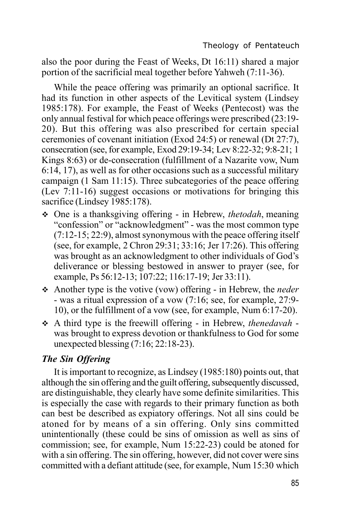also the poor during the Feast of Weeks, Dt 16:11) shared a major portion of the sacrificial meal together before Yahweh (7:11-36).

While the peace offering was primarily an optional sacrifice. It had its function in other aspects of the Levitical system (Lindsey 1985:178). For example, the Feast of Weeks (Pentecost) was the only annual festival for which peace offerings were prescribed (23:19- 20). But this offering was also prescribed for certain special ceremonies of covenant initiation (Exod 24:5) or renewal (Dt 27:7), consecration (see, for example, Exod 29:19-34; Lev 8:22-32; 9:8-21; 1 Kings 8:63) or de-consecration (fulfillment of a Nazarite vow, Num 6:14, 17), as well as for other occasions such as a successful military campaign (1 Sam 11:15). Three subcategories of the peace offering (Lev 7:11-16) suggest occasions or motivations for bringing this sacrifice (Lindsey 1985:178).

- v One is a thanksgiving offering in Hebrew, *thetodah*, meaning "confession" or "acknowledgment" - was the most common type (7:12-15; 22:9), almost synonymous with the peace offering itself (see, for example, 2 Chron 29:31; 33:16; Jer 17:26). This offering was brought as an acknowledgment to other individuals of God's deliverance or blessing bestowed in answer to prayer (see, for example, Ps 56:12-13; 107:22; 116:17-19; Jer 33:11).
- v Another type is the votive (vow) offering in Hebrew, the *neder* - was a ritual expression of a vow (7:16; see, for example, 27:9- 10), or the fulfillment of a vow (see, for example, Num 6:17-20).
- v A third type is the freewill offering in Hebrew, *thenedavah* was brought to express devotion or thankfulness to God for some unexpected blessing (7:16; 22:18-23).

# *The Sin Offering*

It is important to recognize, as Lindsey (1985:180) points out, that although the sin offering and the guilt offering, subsequently discussed, are distinguishable, they clearly have some definite similarities. This is especially the case with regards to their primary function as both can best be described as expiatory offerings. Not all sins could be atoned for by means of a sin offering. Only sins committed unintentionally (these could be sins of omission as well as sins of commission; see, for example, Num 15:22-23) could be atoned for with a sin offering. The sin offering, however, did not cover were sins committed with a defiant attitude (see, for example, Num 15:30 which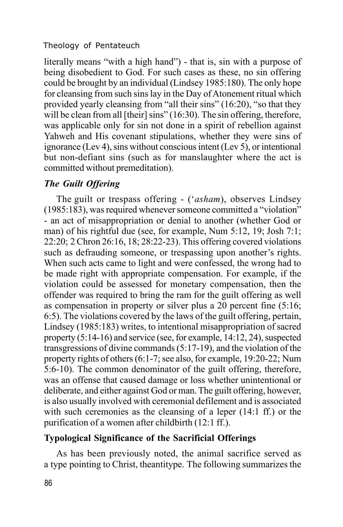literally means "with a high hand") - that is, sin with a purpose of being disobedient to God. For such cases as these, no sin offering could be brought by an individual (Lindsey 1985:180). The only hope for cleansing from such sins lay in the Day of Atonement ritual which provided yearly cleansing from "all their sins" (16:20), "so that they will be clean from all [their] sins" (16:30). The sin offering, therefore, was applicable only for sin not done in a spirit of rebellion against Yahweh and His covenant stipulations, whether they were sins of ignorance (Lev 4), sins without conscious intent (Lev 5), or intentional but non-defiant sins (such as for manslaughter where the act is committed without premeditation).

# *The Guilt Offering*

The guilt or trespass offering - ('*asham*), observes Lindsey (1985:183), was required whenever someone committed a "violation" - an act of misappropriation or denial to another (whether God or man) of his rightful due (see, for example, Num 5:12, 19; Josh 7:1; 22:20; 2 Chron 26:16, 18; 28:22-23). This offering covered violations such as defrauding someone, or trespassing upon another's rights. When such acts came to light and were confessed, the wrong had to be made right with appropriate compensation. For example, if the violation could be assessed for monetary compensation, then the offender was required to bring the ram for the guilt offering as well as compensation in property or silver plus a 20 percent fine (5:16; 6:5). The violations covered by the laws of the guilt offering, pertain, Lindsey (1985:183) writes, to intentional misappropriation of sacred property (5:14-16) and service (see, for example, 14:12, 24), suspected transgressions of divine commands (5:17-19), and the violation of the property rights of others (6:1-7; see also, for example, 19:20-22; Num 5:6-10). The common denominator of the guilt offering, therefore, was an offense that caused damage or loss whether unintentional or deliberate, and either against God or man. The guilt offering, however, is also usually involved with ceremonial defilement and is associated with such ceremonies as the cleansing of a leper (14:1 ff.) or the purification of a women after childbirth (12:1 ff.).

# **Typological Significance of the Sacrificial Offerings**

As has been previously noted, the animal sacrifice served as a type pointing to Christ, theantitype. The following summarizes the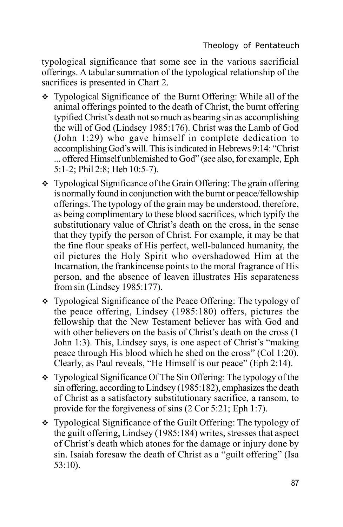typological significance that some see in the various sacrificial offerings. A tabular summation of the typological relationship of the sacrifices is presented in Chart 2.

- $\div$  Typological Significance of the Burnt Offering: While all of the animal offerings pointed to the death of Christ, the burnt offering typified Christ's death not so much as bearing sin as accomplishing the will of God (Lindsey 1985:176). Christ was the Lamb of God (John 1:29) who gave himself in complete dedication to accomplishing God's will. This is indicated in Hebrews 9:14: "Christ ... offered Himself unblemished to God" (see also, for example, Eph 5:1-2; Phil 2:8; Heb 10:5-7).
- $\div$  Typological Significance of the Grain Offering: The grain offering is normally found in conjunction with the burnt or peace/fellowship offerings. The typology of the grain may be understood, therefore, as being complimentary to these blood sacrifices, which typify the substitutionary value of Christ's death on the cross, in the sense that they typify the person of Christ. For example, it may be that the fine flour speaks of His perfect, well-balanced humanity, the oil pictures the Holy Spirit who overshadowed Him at the Incarnation, the frankincense points to the moral fragrance of His person, and the absence of leaven illustrates His separateness from sin (Lindsey 1985:177).
- Typological Significance of the Peace Offering: The typology of the peace offering, Lindsey (1985:180) offers, pictures the fellowship that the New Testament believer has with God and with other believers on the basis of Christ's death on the cross (1) John 1:3). This, Lindsey says, is one aspect of Christ's "making peace through His blood which he shed on the cross" (Col 1:20). Clearly, as Paul reveals, "He Himself is our peace" (Eph 2:14).
- $\div$  Typological Significance Of The Sin Offering: The typology of the sin offering, according to Lindsey (1985:182), emphasizes the death of Christ as a satisfactory substitutionary sacrifice, a ransom, to provide for the forgiveness of sins (2 Cor 5:21; Eph 1:7).
- Typological Significance of the Guilt Offering: The typology of the guilt offering, Lindsey (1985:184) writes, stresses that aspect of Christ's death which atones for the damage or injury done by sin. Isaiah foresaw the death of Christ as a "guilt offering" (Isa 53:10).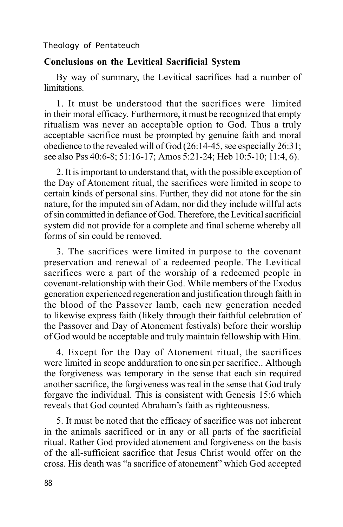#### **Conclusions on the Levitical Sacrificial System**

By way of summary, the Levitical sacrifices had a number of limitations.

1. It must be understood that the sacrifices were limited in their moral efficacy. Furthermore, it must be recognized that empty ritualism was never an acceptable option to God. Thus a truly acceptable sacrifice must be prompted by genuine faith and moral obedience to the revealed will of God (26:14-45, see especially 26:31; see also Pss 40:6-8; 51:16-17; Amos 5:21-24; Heb 10:5-10; 11:4, 6).

2. It is important to understand that, with the possible exception of the Day of Atonement ritual, the sacrifices were limited in scope to certain kinds of personal sins. Further, they did not atone for the sin nature, for the imputed sin of Adam, nor did they include willful acts of sin committed in defiance of God. Therefore, the Levitical sacrificial system did not provide for a complete and final scheme whereby all forms of sin could be removed.

3. The sacrifices were limited in purpose to the covenant preservation and renewal of a redeemed people. The Levitical sacrifices were a part of the worship of a redeemed people in covenant-relationship with their God. While members of the Exodus generation experienced regeneration and justification through faith in the blood of the Passover lamb, each new generation needed to likewise express faith (likely through their faithful celebration of the Passover and Day of Atonement festivals) before their worship of God would be acceptable and truly maintain fellowship with Him.

4. Except for the Day of Atonement ritual, the sacrifices were limited in scope andduration to one sin per sacrifice.. Although the forgiveness was temporary in the sense that each sin required another sacrifice, the forgiveness was real in the sense that God truly forgave the individual. This is consistent with Genesis 15:6 which reveals that God counted Abraham's faith as righteousness.

5. It must be noted that the efficacy of sacrifice was not inherent in the animals sacrificed or in any or all parts of the sacrificial ritual. Rather God provided atonement and forgiveness on the basis of the all-sufficient sacrifice that Jesus Christ would offer on the cross. His death was "a sacrifice of atonement" which God accepted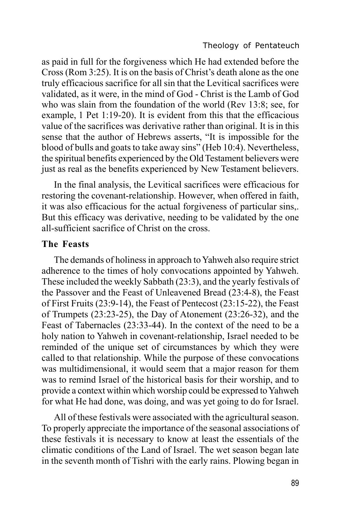as paid in full for the forgiveness which He had extended before the Cross (Rom 3:25). It is on the basis of Christ's death alone as the one truly efficacious sacrifice for all sin that the Levitical sacrifices were validated, as it were, in the mind of God - Christ is the Lamb of God who was slain from the foundation of the world (Rev 13:8; see, for example, 1 Pet 1:19-20). It is evident from this that the efficacious value of the sacrifices was derivative rather than original. It is in this sense that the author of Hebrews asserts, "It is impossible for the blood of bulls and goats to take away sins" (Heb 10:4). Nevertheless, the spiritual benefits experienced by the Old Testament believers were just as real as the benefits experienced by New Testament believers.

In the final analysis, the Levitical sacrifices were efficacious for restoring the covenant-relationship. However, when offered in faith, it was also efficacious for the actual forgiveness of particular sins,. But this efficacy was derivative, needing to be validated by the one all-sufficient sacrifice of Christ on the cross.

#### **The Feasts**

The demands of holiness in approach to Yahweh also require strict adherence to the times of holy convocations appointed by Yahweh. These included the weekly Sabbath (23:3), and the yearly festivals of the Passover and the Feast of Unleavened Bread (23:4-8), the Feast of First Fruits (23:9-14), the Feast of Pentecost (23:15-22), the Feast of Trumpets (23:23-25), the Day of Atonement (23:26-32), and the Feast of Tabernacles (23:33-44). In the context of the need to be a holy nation to Yahweh in covenant-relationship, Israel needed to be reminded of the unique set of circumstances by which they were called to that relationship. While the purpose of these convocations was multidimensional, it would seem that a major reason for them was to remind Israel of the historical basis for their worship, and to provide a context within which worship could be expressed to Yahweh for what He had done, was doing, and was yet going to do for Israel.

All of these festivals were associated with the agricultural season. To properly appreciate the importance of the seasonal associations of these festivals it is necessary to know at least the essentials of the climatic conditions of the Land of Israel. The wet season began late in the seventh month of Tishri with the early rains. Plowing began in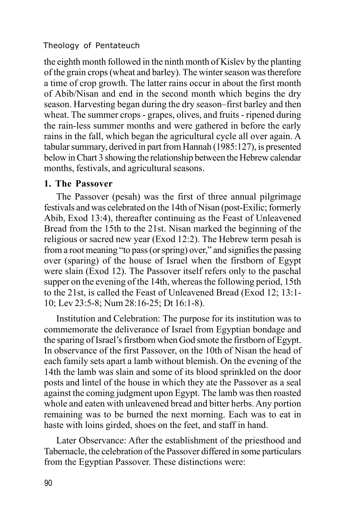the eighth month followed in the ninth month of Kislev by the planting of the grain crops (wheat and barley). The winter season was therefore a time of crop growth. The latter rains occur in about the first month of Abib/Nisan and end in the second month which begins the dry season. Harvesting began during the dry season–first barley and then wheat. The summer crops - grapes, olives, and fruits - ripened during the rain-less summer months and were gathered in before the early rains in the fall, which began the agricultural cycle all over again. A tabular summary, derived in part from Hannah (1985:127), is presented below in Chart 3 showing the relationship between the Hebrew calendar months, festivals, and agricultural seasons.

#### **1. The Passover**

The Passover (pesah) was the first of three annual pilgrimage festivals and was celebrated on the 14th of Nisan (post-Exilic; formerly Abib, Exod 13:4), thereafter continuing as the Feast of Unleavened Bread from the 15th to the 21st. Nisan marked the beginning of the religious or sacred new year (Exod 12:2). The Hebrew term pesah is from a root meaning "to pass (or spring) over," and signifies the passing over (sparing) of the house of Israel when the firstborn of Egypt were slain (Exod 12). The Passover itself refers only to the paschal supper on the evening of the 14th, whereas the following period, 15th to the 21st, is called the Feast of Unleavened Bread (Exod 12; 13:1- 10; Lev 23:5-8; Num 28:16-25; Dt 16:1-8).

Institution and Celebration: The purpose for its institution was to commemorate the deliverance of Israel from Egyptian bondage and the sparing of Israel's firstborn when God smote the firstborn of Egypt. In observance of the first Passover, on the 10th of Nisan the head of each family sets apart a lamb without blemish. On the evening of the 14th the lamb was slain and some of its blood sprinkled on the door posts and lintel of the house in which they ate the Passover as a seal against the coming judgment upon Egypt. The lamb was then roasted whole and eaten with unleavened bread and bitter herbs. Any portion remaining was to be burned the next morning. Each was to eat in haste with loins girded, shoes on the feet, and staff in hand.

Later Observance: After the establishment of the priesthood and Tabernacle, the celebration of the Passover differed in some particulars from the Egyptian Passover. These distinctions were: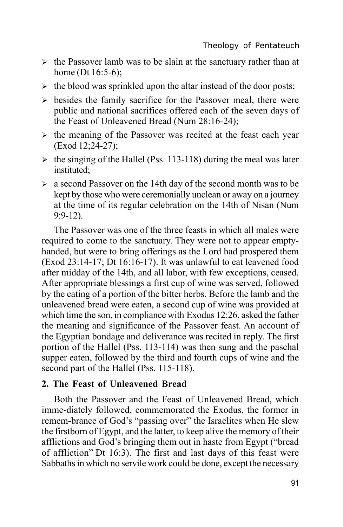- $\triangleright$  the Passover lamb was to be slain at the sanctuary rather than at home (Dt 16:5-6);
- $\triangleright$  the blood was sprinkled upon the altar instead of the door posts;
- $\triangleright$  besides the family sacrifice for the Passover meal, there were public and national sacrifices offered each of the seven days of the Feast of Unleavened Bread (Num 28:16-24);
- $\triangleright$  the meaning of the Passover was recited at the feast each year (Exod 12;24-27);
- $\geq$  the singing of the Hallel (Pss. 113-118) during the meal was later instituted;
- $\geq$  a second Passover on the 14th day of the second month was to be kept by those who were ceremonially unclean or away on a journey at the time of its regular celebration on the 14th of Nisan (Num 9:9-12).

The Passover was one of the three feasts in which all males were required to come to the sanctuary. They were not to appear emptyhanded, but were to bring offerings as the Lord had prospered them (Exod 23:14-17; Dt 16:16-17). It was unlawful to eat leavened food after midday of the 14th, and all labor, with few exceptions, ceased. After appropriate blessings a first cup of wine was served, followed by the eating of a portion of the bitter herbs. Before the lamb and the unleavened bread were eaten, a second cup of wine was provided at which time the son, in compliance with Exodus 12:26, asked the father the meaning and significance of the Passover feast. An account of the Egyptian bondage and deliverance was recited in reply. The first portion of the Hallel (Pss. 113-114) was then sung and the paschal supper eaten, followed by the third and fourth cups of wine and the second part of the Hallel (Pss. 115-118).

#### **2. The Feast of Unleavened Bread**

Both the Passover and the Feast of Unleavened Bread, which imme-diately followed, commemorated the Exodus, the former in remem-brance of God's "passing over" the Israelites when He slew the firstborn of Egypt, and the latter, to keep alive the memory of their afflictions and God's bringing them out in haste from Egypt ("bread of affliction" Dt 16:3). The first and last days of this feast were Sabbaths in which no servile work could be done, except the necessary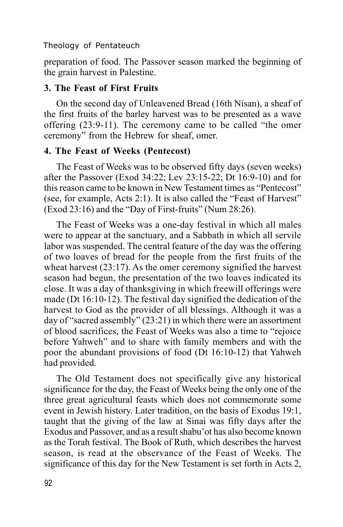preparation of food. The Passover season marked the beginning of the grain harvest in Palestine.

# **3. The Feast of First Fruits**

On the second day of Unleavened Bread (16th Nisan), a sheaf of the first fruits of the barley harvest was to be presented as a wave offering (23:9-11). The ceremony came to be called "the omer ceremony" from the Hebrew for sheaf, omer.

# **4. The Feast of Weeks (Pentecost)**

The Feast of Weeks was to be observed fifty days (seven weeks) after the Passover (Exod 34:22; Lev 23:15-22; Dt 16:9-10) and for this reason came to be known in New Testament times as "Pentecost" (see, for example, Acts 2:1). It is also called the "Feast of Harvest" (Exod 23:16) and the "Day of First-fruits" (Num 28:26).

The Feast of Weeks was a one-day festival in which all males were to appear at the sanctuary, and a Sabbath in which all servile labor was suspended. The central feature of the day was the offering of two loaves of bread for the people from the first fruits of the wheat harvest (23:17). As the omer ceremony signified the harvest season had begun, the presentation of the two loaves indicated its close. It was a day of thanksgiving in which freewill offerings were made (Dt 16:10-12). The festival day signified the dedication of the harvest to God as the provider of all blessings. Although it was a day of "sacred assembly" (23:21) in which there were an assortment of blood sacrifices, the Feast of Weeks was also a time to "rejoice before Yahweh" and to share with family members and with the poor the abundant provisions of food (Dt 16:10-12) that Yahweh had provided.

The Old Testament does not specifically give any historical significance for the day, the Feast of Weeks being the only one of the three great agricultural feasts which does not commemorate some event in Jewish history. Later tradition, on the basis of Exodus 19:1, taught that the giving of the law at Sinai was fifty days after the Exodus and Passover, and as a result shabu'ot has also become known as the Torah festival. The Book of Ruth, which describes the harvest season, is read at the observance of the Feast of Weeks. The significance of this day for the New Testament is set forth in Acts 2,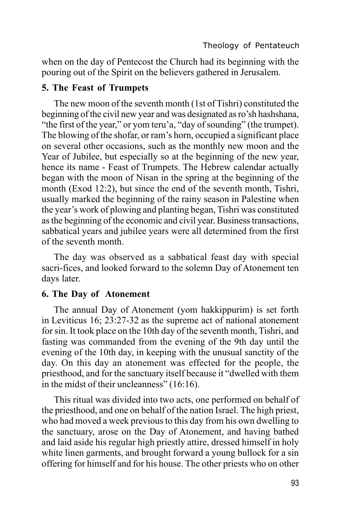when on the day of Pentecost the Church had its beginning with the pouring out of the Spirit on the believers gathered in Jerusalem.

### **5. The Feast of Trumpets**

The new moon of the seventh month (1st of Tishri) constituted the beginning of the civil new year and was designated as ro'sh hashshana, "the first of the year," or yom teru'a, "day of sounding" (the trumpet). The blowing of the shofar, or ram's horn, occupied a significant place on several other occasions, such as the monthly new moon and the Year of Jubilee, but especially so at the beginning of the new year, hence its name - Feast of Trumpets. The Hebrew calendar actually began with the moon of Nisan in the spring at the beginning of the month (Exod 12:2), but since the end of the seventh month, Tishri, usually marked the beginning of the rainy season in Palestine when the year's work of plowing and planting began, Tishri was constituted as the beginning of the economic and civil year. Business transactions, sabbatical years and jubilee years were all determined from the first of the seventh month.

The day was observed as a sabbatical feast day with special sacri-fices, and looked forward to the solemn Day of Atonement ten days later.

#### **6. The Day of Atonement**

The annual Day of Atonement (yom hakkippurim) is set forth in Leviticus 16; 23:27-32 as the supreme act of national atonement for sin. It took place on the 10th day of the seventh month, Tishri, and fasting was commanded from the evening of the 9th day until the evening of the 10th day, in keeping with the unusual sanctity of the day. On this day an atonement was effected for the people, the priesthood, and for the sanctuary itself because it "dwelled with them in the midst of their uncleanness" (16:16).

This ritual was divided into two acts, one performed on behalf of the priesthood, and one on behalf of the nation Israel. The high priest, who had moved a week previous to this day from his own dwelling to the sanctuary, arose on the Day of Atonement, and having bathed and laid aside his regular high priestly attire, dressed himself in holy white linen garments, and brought forward a young bullock for a sin offering for himself and for his house. The other priests who on other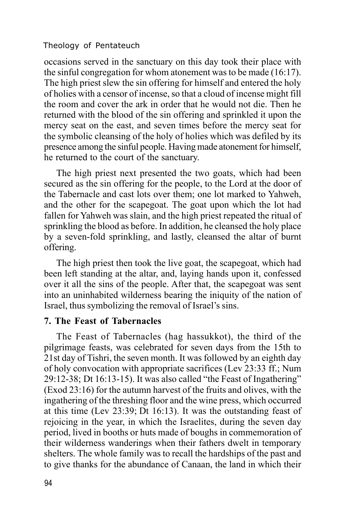occasions served in the sanctuary on this day took their place with the sinful congregation for whom atonement was to be made (16:17). The high priest slew the sin offering for himself and entered the holy of holies with a censor of incense, so that a cloud of incense might fill the room and cover the ark in order that he would not die. Then he returned with the blood of the sin offering and sprinkled it upon the mercy seat on the east, and seven times before the mercy seat for the symbolic cleansing of the holy of holies which was defiled by its presence among the sinful people. Having made atonement for himself, he returned to the court of the sanctuary.

The high priest next presented the two goats, which had been secured as the sin offering for the people, to the Lord at the door of the Tabernacle and cast lots over them; one lot marked to Yahweh, and the other for the scapegoat. The goat upon which the lot had fallen for Yahweh was slain, and the high priest repeated the ritual of sprinkling the blood as before. In addition, he cleansed the holy place by a seven-fold sprinkling, and lastly, cleansed the altar of burnt offering.

The high priest then took the live goat, the scapegoat, which had been left standing at the altar, and, laying hands upon it, confessed over it all the sins of the people. After that, the scapegoat was sent into an uninhabited wilderness bearing the iniquity of the nation of Israel, thus symbolizing the removal of Israel's sins.

#### **7. The Feast of Tabernacles**

The Feast of Tabernacles (hag hassukkot), the third of the pilgrimage feasts, was celebrated for seven days from the 15th to 21st day of Tishri, the seven month. It was followed by an eighth day of holy convocation with appropriate sacrifices (Lev 23:33 ff.; Num 29:12-38; Dt 16:13-15). It was also called "the Feast of Ingathering" (Exod 23:16) for the autumn harvest of the fruits and olives, with the ingathering of the threshing floor and the wine press, which occurred at this time (Lev 23:39; Dt 16:13). It was the outstanding feast of rejoicing in the year, in which the Israelites, during the seven day period, lived in booths or huts made of boughs in commemoration of their wilderness wanderings when their fathers dwelt in temporary shelters. The whole family was to recall the hardships of the past and to give thanks for the abundance of Canaan, the land in which their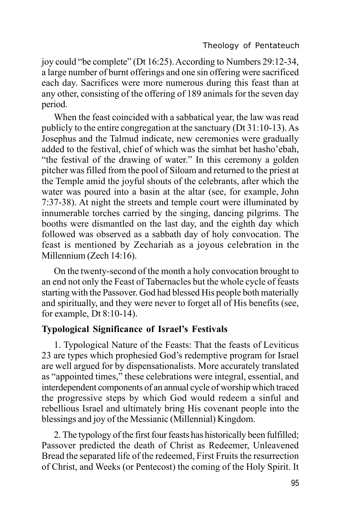joy could "be complete" (Dt 16:25). According to Numbers 29:12-34, a large number of burnt offerings and one sin offering were sacrificed each day. Sacrifices were more numerous during this feast than at any other, consisting of the offering of 189 animals for the seven day period.

When the feast coincided with a sabbatical year, the law was read publicly to the entire congregation at the sanctuary (Dt 31:10-13). As Josephus and the Talmud indicate, new ceremonies were gradually added to the festival, chief of which was the simhat bet hasho'ebah, "the festival of the drawing of water." In this ceremony a golden pitcher was filled from the pool of Siloam and returned to the priest at the Temple amid the joyful shouts of the celebrants, after which the water was poured into a basin at the altar (see, for example, John 7:37-38). At night the streets and temple court were illuminated by innumerable torches carried by the singing, dancing pilgrims. The booths were dismantled on the last day, and the eighth day which followed was observed as a sabbath day of holy convocation. The feast is mentioned by Zechariah as a joyous celebration in the Millennium (Zech 14:16).

On the twenty-second of the month a holy convocation brought to an end not only the Feast of Tabernacles but the whole cycle of feasts starting with the Passover. God had blessed His people both materially and spiritually, and they were never to forget all of His benefits (see, for example, Dt 8:10-14).

# **Typological Significance of Israel's Festivals**

1. Typological Nature of the Feasts: That the feasts of Leviticus 23 are types which prophesied God's redemptive program for Israel are well argued for by dispensationalists. More accurately translated as "appointed times," these celebrations were integral, essential, and interdependent components of an annual cycle of worship which traced the progressive steps by which God would redeem a sinful and rebellious Israel and ultimately bring His covenant people into the blessings and joy of the Messianic (Millennial) Kingdom.

2. The typology of the first four feasts has historically been fulfilled; Passover predicted the death of Christ as Redeemer, Unleavened Bread the separated life of the redeemed, First Fruits the resurrection of Christ, and Weeks (or Pentecost) the coming of the Holy Spirit. It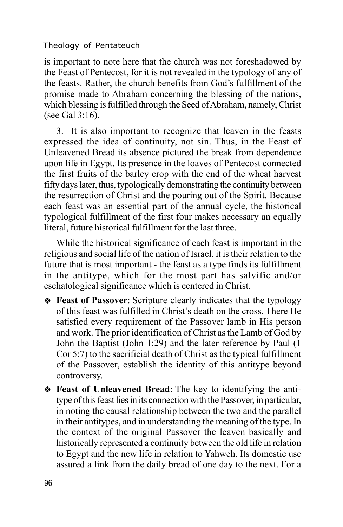is important to note here that the church was not foreshadowed by the Feast of Pentecost, for it is not revealed in the typology of any of the feasts. Rather, the church benefits from God's fulfillment of the promise made to Abraham concerning the blessing of the nations, which blessing is fulfilled through the Seed of Abraham, namely, Christ (see Gal 3:16).

3. It is also important to recognize that leaven in the feasts expressed the idea of continuity, not sin. Thus, in the Feast of Unleavened Bread its absence pictured the break from dependence upon life in Egypt. Its presence in the loaves of Pentecost connected the first fruits of the barley crop with the end of the wheat harvest fifty days later, thus, typologically demonstrating the continuity between the resurrection of Christ and the pouring out of the Spirit. Because each feast was an essential part of the annual cycle, the historical typological fulfillment of the first four makes necessary an equally literal, future historical fulfillment for the last three.

While the historical significance of each feast is important in the religious and social life of the nation of Israel, it is their relation to the future that is most important - the feast as a type finds its fulfillment in the antitype, which for the most part has salvific and/or eschatological significance which is centered in Christ.

- v **Feast of Passover**: Scripture clearly indicates that the typology of this feast was fulfilled in Christ's death on the cross. There He satisfied every requirement of the Passover lamb in His person and work. The prior identification of Christ as the Lamb of God by John the Baptist (John 1:29) and the later reference by Paul (1 Cor 5:7) to the sacrificial death of Christ as the typical fulfillment of the Passover, establish the identity of this antitype beyond controversy.
- v **Feast of Unleavened Bread**: The key to identifying the antitype of this feast lies in its connection with the Passover, in particular, in noting the causal relationship between the two and the parallel in their antitypes, and in understanding the meaning of the type. In the context of the original Passover the leaven basically and historically represented a continuity between the old life in relation to Egypt and the new life in relation to Yahweh. Its domestic use assured a link from the daily bread of one day to the next. For a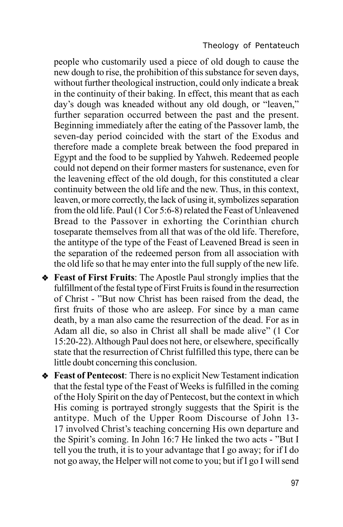people who customarily used a piece of old dough to cause the new dough to rise, the prohibition of this substance for seven days, without further theological instruction, could only indicate a break in the continuity of their baking. In effect, this meant that as each day's dough was kneaded without any old dough, or "leaven," further separation occurred between the past and the present. Beginning immediately after the eating of the Passover lamb, the seven-day period coincided with the start of the Exodus and therefore made a complete break between the food prepared in Egypt and the food to be supplied by Yahweh. Redeemed people could not depend on their former masters for sustenance, even for the leavening effect of the old dough, for this constituted a clear continuity between the old life and the new. Thus, in this context, leaven, or more correctly, the lack of using it, symbolizes separation from the old life. Paul (1 Cor 5:6-8) related the Feast of Unleavened Bread to the Passover in exhorting the Corinthian church toseparate themselves from all that was of the old life. Therefore, the antitype of the type of the Feast of Leavened Bread is seen in the separation of the redeemed person from all association with the old life so that he may enter into the full supply of the new life.

- v **Feast of First Fruits**: The Apostle Paul strongly implies that the fulfillment of the festal type of First Fruits is found in the resurrection of Christ - "But now Christ has been raised from the dead, the first fruits of those who are asleep. For since by a man came death, by a man also came the resurrection of the dead. For as in Adam all die, so also in Christ all shall be made alive" (1 Cor 15:20-22). Although Paul does not here, or elsewhere, specifically state that the resurrection of Christ fulfilled this type, there can be little doubt concerning this conclusion.
- v **Feast of Pentecost**: There is no explicit New Testament indication that the festal type of the Feast of Weeks is fulfilled in the coming of the Holy Spirit on the day of Pentecost, but the context in which His coming is portrayed strongly suggests that the Spirit is the antitype. Much of the Upper Room Discourse of John 13- 17 involved Christ's teaching concerning His own departure and the Spirit's coming. In John 16:7 He linked the two acts - "But I tell you the truth, it is to your advantage that I go away; for if I do not go away, the Helper will not come to you; but if I go I will send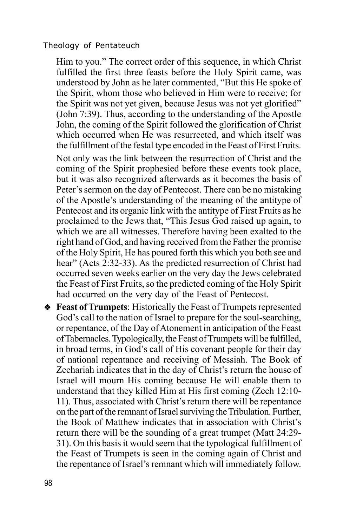Him to you." The correct order of this sequence, in which Christ fulfilled the first three feasts before the Holy Spirit came, was understood by John as he later commented, "But this He spoke of the Spirit, whom those who believed in Him were to receive; for the Spirit was not yet given, because Jesus was not yet glorified" (John 7:39). Thus, according to the understanding of the Apostle John, the coming of the Spirit followed the glorification of Christ which occurred when He was resurrected, and which itself was the fulfillment of the festal type encoded in the Feast of First Fruits.

Not only was the link between the resurrection of Christ and the coming of the Spirit prophesied before these events took place, but it was also recognized afterwards as it becomes the basis of Peter's sermon on the day of Pentecost. There can be no mistaking of the Apostle's understanding of the meaning of the antitype of Pentecost and its organic link with the antitype of First Fruits as he proclaimed to the Jews that, "This Jesus God raised up again, to which we are all witnesses. Therefore having been exalted to the right hand of God, and having received from the Father the promise of the Holy Spirit, He has poured forth this which you both see and hear" (Acts 2:32-33). As the predicted resurrection of Christ had occurred seven weeks earlier on the very day the Jews celebrated the Feast of First Fruits, so the predicted coming of the Holy Spirit had occurred on the very day of the Feast of Pentecost.

v **Feast of Trumpets**: Historically the Feast of Trumpets represented God's call to the nation of Israel to prepare for the soul-searching, or repentance, of the Day of Atonement in anticipation of the Feast of Tabernacles. Typologically, the Feast of Trumpets will be fulfilled, in broad terms, in God's call of His covenant people for their day of national repentance and receiving of Messiah. The Book of Zechariah indicates that in the day of Christ's return the house of Israel will mourn His coming because He will enable them to understand that they killed Him at His first coming (Zech 12:10- 11). Thus, associated with Christ's return there will be repentance on the part of the remnant of Israel surviving the Tribulation. Further, the Book of Matthew indicates that in association with Christ's return there will be the sounding of a great trumpet (Matt 24:29- 31). On this basis it would seem that the typological fulfillment of the Feast of Trumpets is seen in the coming again of Christ and the repentance of Israel's remnant which will immediately follow.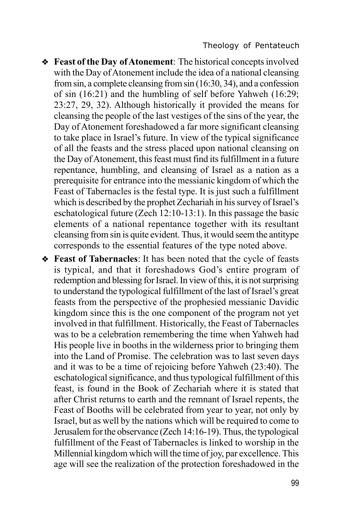- v **Feast of the Day of Atonement**: The historical concepts involved with the Day of Atonement include the idea of a national cleansing from sin, a complete cleansing from sin (16:30, 34), and a confession of sin (16:21) and the humbling of self before Yahweh (16:29; 23:27, 29, 32). Although historically it provided the means for cleansing the people of the last vestiges of the sins of the year, the Day of Atonement foreshadowed a far more significant cleansing to take place in Israel's future. In view of the typical significance of all the feasts and the stress placed upon national cleansing on the Day of Atonement, this feast must find its fulfillment in a future repentance, humbling, and cleansing of Israel as a nation as a prerequisite for entrance into the messianic kingdom of which the Feast of Tabernacles is the festal type. It is just such a fulfillment which is described by the prophet Zechariah in his survey of Israel's eschatological future (Zech 12:10-13:1). In this passage the basic elements of a national repentance together with its resultant cleansing from sin is quite evident. Thus, it would seem the antitype corresponds to the essential features of the type noted above.
- v **Feast of Tabernacles**: It has been noted that the cycle of feasts is typical, and that it foreshadows God's entire program of redemption and blessing for Israel. In view of this, it is not surprising to understand the typological fulfillment of the last of Israel's great feasts from the perspective of the prophesied messianic Davidic kingdom since this is the one component of the program not yet involved in that fulfillment. Historically, the Feast of Tabernacles was to be a celebration remembering the time when Yahweh had His people live in booths in the wilderness prior to bringing them into the Land of Promise. The celebration was to last seven days and it was to be a time of rejoicing before Yahweh (23:40). The eschatological significance, and thus typological fulfillment of this feast, is found in the Book of Zechariah where it is stated that after Christ returns to earth and the remnant of Israel repents, the Feast of Booths will be celebrated from year to year, not only by Israel, but as well by the nations which will be required to come to Jerusalem for the observance (Zech 14:16-19). Thus, the typological fulfillment of the Feast of Tabernacles is linked to worship in the Millennial kingdom which will the time of joy, par excellence. This age will see the realization of the protection foreshadowed in the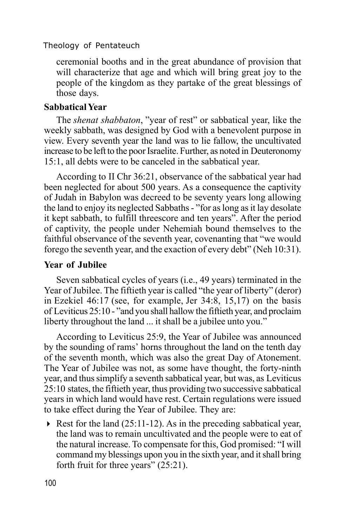ceremonial booths and in the great abundance of provision that will characterize that age and which will bring great joy to the people of the kingdom as they partake of the great blessings of those days.

# **Sabbatical Year**

The *shenat shabbaton*, "year of rest" or sabbatical year, like the weekly sabbath, was designed by God with a benevolent purpose in view. Every seventh year the land was to lie fallow, the uncultivated increase to be left to the poor Israelite. Further, as noted in Deuteronomy 15:1, all debts were to be canceled in the sabbatical year.

According to II Chr 36:21, observance of the sabbatical year had been neglected for about 500 years. As a consequence the captivity of Judah in Babylon was decreed to be seventy years long allowing the land to enjoy its neglected Sabbaths - "for as long as it lay desolate it kept sabbath, to fulfill threescore and ten years". After the period of captivity, the people under Nehemiah bound themselves to the faithful observance of the seventh year, covenanting that "we would forego the seventh year, and the exaction of every debt" (Neh 10:31).

#### **Year of Jubilee**

Seven sabbatical cycles of years (i.e., 49 years) terminated in the Year of Jubilee. The fiftieth year is called "the year of liberty" (deror) in Ezekiel 46:17 (see, for example, Jer 34:8, 15,17) on the basis of Leviticus 25:10 - "and you shall hallow the fiftieth year, and proclaim liberty throughout the land ... it shall be a jubilee unto you."

According to Leviticus 25:9, the Year of Jubilee was announced by the sounding of rams' horns throughout the land on the tenth day of the seventh month, which was also the great Day of Atonement. The Year of Jubilee was not, as some have thought, the forty-ninth year, and thus simplify a seventh sabbatical year, but was, as Leviticus 25:10 states, the fiftieth year, thus providing two successive sabbatical years in which land would have rest. Certain regulations were issued to take effect during the Year of Jubilee. They are:

 $\triangleright$  Rest for the land (25:11-12). As in the preceding sabbatical year, the land was to remain uncultivated and the people were to eat of the natural increase. To compensate for this, God promised: "I will command my blessings upon you in the sixth year, and it shall bring forth fruit for three years" (25:21).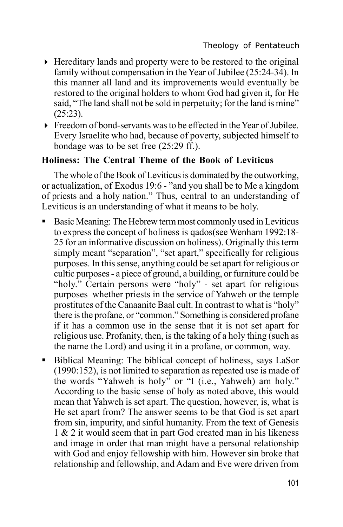- 4 Hereditary lands and property were to be restored to the original family without compensation in the Year of Jubilee (25:24-34). In this manner all land and its improvements would eventually be restored to the original holders to whom God had given it, for He said, "The land shall not be sold in perpetuity; for the land is mine" (25:23).
- 4 Freedom of bond-servants was to be effected in the Year of Jubilee. Every Israelite who had, because of poverty, subjected himself to bondage was to be set free (25:29 ff.).

# **Holiness: The Central Theme of the Book of Leviticus**

The whole of the Book of Leviticus is dominated by the outworking, or actualization, of Exodus 19:6 - "and you shall be to Me a kingdom of priests and a holy nation." Thus, central to an understanding of Leviticus is an understanding of what it means to be holy.

- ß Basic Meaning: The Hebrew term most commonly used in Leviticus to express the concept of holiness is qados(see Wenham 1992:18- 25 for an informative discussion on holiness). Originally this term simply meant "separation", "set apart," specifically for religious purposes. In this sense, anything could be set apart for religious or cultic purposes - a piece of ground, a building, or furniture could be "holy." Certain persons were "holy" - set apart for religious purposes–whether priests in the service of Yahweh or the temple prostitutes of the Canaanite Baal cult. In contrast to what is "holy" there is the profane, or "common." Something is considered profane if it has a common use in the sense that it is not set apart for religious use. Profanity, then, is the taking of a holy thing (such as the name the Lord) and using it in a profane, or common, way.
- Biblical Meaning: The biblical concept of holiness, says LaSor (1990:152), is not limited to separation as repeated use is made of the words "Yahweh is holy" or "I (i.e., Yahweh) am holy." According to the basic sense of holy as noted above, this would mean that Yahweh is set apart. The question, however, is, what is He set apart from? The answer seems to be that God is set apart from sin, impurity, and sinful humanity. From the text of Genesis 1 & 2 it would seem that in part God created man in his likeness and image in order that man might have a personal relationship with God and enjoy fellowship with him. However sin broke that relationship and fellowship, and Adam and Eve were driven from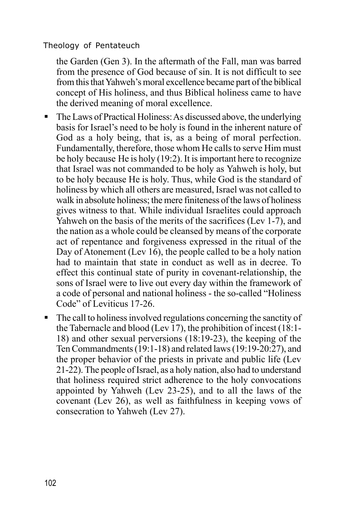the Garden (Gen 3). In the aftermath of the Fall, man was barred from the presence of God because of sin. It is not difficult to see from this that Yahweh's moral excellence became part of the biblical concept of His holiness, and thus Biblical holiness came to have the derived meaning of moral excellence.

- The Laws of Practical Holiness: As discussed above, the underlying basis for Israel's need to be holy is found in the inherent nature of God as a holy being, that is, as a being of moral perfection. Fundamentally, therefore, those whom He calls to serve Him must be holy because He is holy (19:2). It is important here to recognize that Israel was not commanded to be holy as Yahweh is holy, but to be holy because He is holy. Thus, while God is the standard of holiness by which all others are measured, Israel was not called to walk in absolute holiness; the mere finiteness of the laws of holiness gives witness to that. While individual Israelites could approach Yahweh on the basis of the merits of the sacrifices (Lev 1-7), and the nation as a whole could be cleansed by means of the corporate act of repentance and forgiveness expressed in the ritual of the Day of Atonement (Lev 16), the people called to be a holy nation had to maintain that state in conduct as well as in decree. To effect this continual state of purity in covenant-relationship, the sons of Israel were to live out every day within the framework of a code of personal and national holiness - the so-called "Holiness Code" of Leviticus 17-26.
- $\blacksquare$  The call to holiness involved regulations concerning the sanctity of the Tabernacle and blood (Lev 17), the prohibition of incest (18:1- 18) and other sexual perversions (18:19-23), the keeping of the Ten Commandments (19:1-18) and related laws (19:19-20:27), and the proper behavior of the priests in private and public life (Lev 21-22). The people of Israel, as a holy nation, also had to understand that holiness required strict adherence to the holy convocations appointed by Yahweh (Lev 23-25), and to all the laws of the covenant (Lev 26), as well as faithfulness in keeping vows of consecration to Yahweh (Lev 27).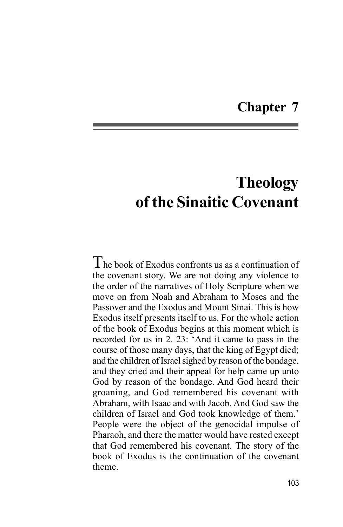# **Chapter 7**

# **Theology of the Sinaitic Covenant**

The book of Exodus confronts us as a continuation of the covenant story. We are not doing any violence to the order of the narratives of Holy Scripture when we move on from Noah and Abraham to Moses and the Passover and the Exodus and Mount Sinai. This is how Exodus itself presents itself to us. For the whole action of the book of Exodus begins at this moment which is recorded for us in 2. 23: 'And it came to pass in the course of those many days, that the king of Egypt died; and the children of Israel sighed by reason of the bondage, and they cried and their appeal for help came up unto God by reason of the bondage. And God heard their groaning, and God remembered his covenant with Abraham, with Isaac and with Jacob. And God saw the children of Israel and God took knowledge of them.' People were the object of the genocidal impulse of Pharaoh, and there the matter would have rested except that God remembered his covenant. The story of the book of Exodus is the continuation of the covenant theme.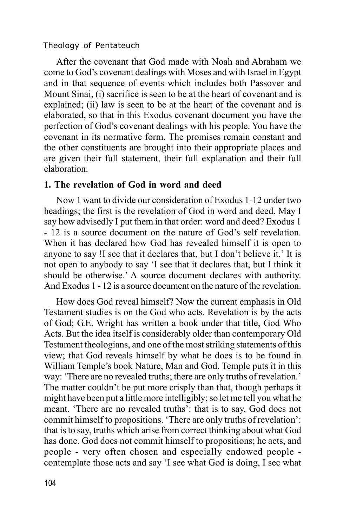After the covenant that God made with Noah and Abraham we come to God's covenant dealings with Moses and with Israel in Egypt and in that sequence of events which includes both Passover and Mount Sinai, (i) sacrifice is seen to be at the heart of covenant and is explained; (ii) law is seen to be at the heart of the covenant and is elaborated, so that in this Exodus covenant document you have the perfection of God's covenant dealings with his people. You have the covenant in its normative form. The promises remain constant and the other constituents are brought into their appropriate places and are given their full statement, their full explanation and their full elaboration.

# **1. The revelation of God in word and deed**

Now 1 want to divide our consideration of Exodus 1-12 under two headings; the first is the revelation of God in word and deed. May I say how advisedly I put them in that order: word and deed? Exodus 1 - 12 is a source document on the nature of God's self revelation. When it has declared how God has revealed himself it is open to anyone to say !I see that it declares that, but I don't believe it.' It is not open to anybody to say 'I see that it declares that, but I think it should be otherwise.' A source document declares with authority. And Exodus 1 - 12 is a source document on the nature of the revelation.

How does God reveal himself? Now the current emphasis in Old Testament studies is on the God who acts. Revelation is by the acts of God; G.E. Wright has written a book under that title, God Who Acts. But the idea itself is considerably older than contemporary Old Testament theologians, and one of the most striking statements of this view; that God reveals himself by what he does is to be found in William Temple's book Nature, Man and God. Temple puts it in this way: 'There are no revealed truths; there are only truths of revelation.' The matter couldn't be put more crisply than that, though perhaps it might have been put a little more intelligibly; so let me tell you what he meant. 'There are no revealed truths': that is to say, God does not commit himself to propositions. 'There are only truths of revelation': that is to say, truths which arise from correct thinking about what God has done. God does not commit himself to propositions; he acts, and people - very often chosen and especially endowed people contemplate those acts and say 'I see what God is doing, I sec what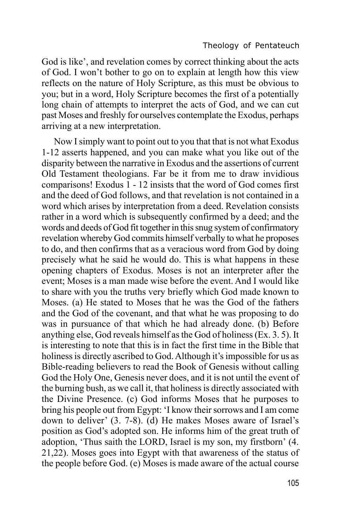God is like', and revelation comes by correct thinking about the acts of God. I won't bother to go on to explain at length how this view reflects on the nature of Holy Scripture, as this must be obvious to you; but in a word, Holy Scripture becomes the first of a potentially long chain of attempts to interpret the acts of God, and we can cut past Moses and freshly for ourselves contemplate the Exodus, perhaps arriving at a new interpretation.

Now I simply want to point out to you that that is not what Exodus 1-12 asserts happened, and you can make what you like out of the disparity between the narrative in Exodus and the assertions of current Old Testament theologians. Far be it from me to draw invidious comparisons! Exodus 1 - 12 insists that the word of God comes first and the deed of God follows, and that revelation is not contained in a word which arises by interpretation from a deed. Revelation consists rather in a word which is subsequently confirmed by a deed; and the words and deeds of God fit together in this snug system of confirmatory revelation whereby God commits himself verbally to what he proposes to do, and then confirms that as a veracious word from God by doing precisely what he said he would do. This is what happens in these opening chapters of Exodus. Moses is not an interpreter after the event; Moses is a man made wise before the event. And I would like to share with you the truths very briefly which God made known to Moses. (a) He stated to Moses that he was the God of the fathers and the God of the covenant, and that what he was proposing to do was in pursuance of that which he had already done. (b) Before anything else, God reveals himself as the God of holiness (Ex. 3. 5). It is interesting to note that this is in fact the first time in the Bible that holiness is directly ascribed to God. Although it's impossible for us as Bible-reading believers to read the Book of Genesis without calling God the Holy One, Genesis never does, and it is not until the event of the burning bush, as we call it, that holiness is directly associated with the Divine Presence. (c) God informs Moses that he purposes to bring his people out from Egypt: 'I know their sorrows and I am come down to deliver' (3. 7-8). (d) He makes Moses aware of Israel's position as God's adopted son. He informs him of the great truth of adoption, 'Thus saith the LORD, Israel is my son, my firstborn' (4. 21,22). Moses goes into Egypt with that awareness of the status of the people before God. (e) Moses is made aware of the actual course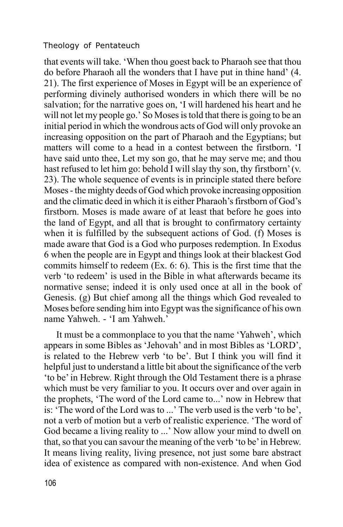that events will take. 'When thou goest back to Pharaoh see that thou do before Pharaoh all the wonders that I have put in thine hand' (4. 21). The first experience of Moses in Egypt will be an experience of performing divinely authorised wonders in which there will be no salvation; for the narrative goes on, 'I will hardened his heart and he will not let my people go.' So Moses is told that there is going to be an initial period in which the wondrous acts of God will only provoke an increasing opposition on the part of Pharaoh and the Egyptians; but matters will come to a head in a contest between the firstborn. 'I have said unto thee, Let my son go, that he may serve me; and thou hast refused to let him go: behold I will slay thy son, thy firstborn' (v. 23). The whole sequence of events is in principle stated there before Moses - the mighty deeds of God which provoke increasing opposition and the climatic deed in which it is either Pharaoh's firstborn of God's firstborn. Moses is made aware of at least that before he goes into the land of Egypt, and all that is brought to confirmatory certainty when it is fulfilled by the subsequent actions of God. (f) Moses is made aware that God is a God who purposes redemption. In Exodus 6 when the people are in Egypt and things look at their blackest God commits himself to redeem (Ex. 6: 6). This is the first time that the verb 'to redeem' is used in the Bible in what afterwards became its normative sense; indeed it is only used once at all in the book of Genesis. (g) But chief among all the things which God revealed to Moses before sending him into Egypt was the significance of his own name Yahweh. - 'I am Yahweh.'

It must be a commonplace to you that the name 'Yahweh', which appears in some Bibles as 'Jehovah' and in most Bibles as 'LORD', is related to the Hebrew verb 'to be'. But I think you will find it helpful just to understand a little bit about the significance of the verb 'to be' in Hebrew. Right through the Old Testament there is a phrase which must be very familiar to you. It occurs over and over again in the prophets, 'The word of the Lord came to...' now in Hebrew that is: 'The word of the Lord was to ...' The verb used is the verb 'to be', not a verb of motion but a verb of realistic experience. 'The word of God became a living reality to ...' Now allow your mind to dwell on that, so that you can savour the meaning of the verb 'to be' in Hebrew. It means living reality, living presence, not just some bare abstract idea of existence as compared with non-existence. And when God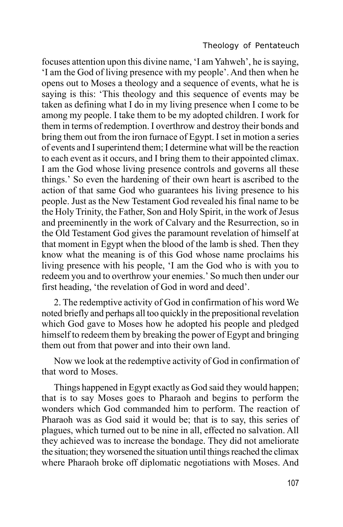focuses attention upon this divine name, 'I am Yahweh', he is saying, 'I am the God of living presence with my people'. And then when he opens out to Moses a theology and a sequence of events, what he is saying is this: 'This theology and this sequence of events may be taken as defining what I do in my living presence when I come to be among my people. I take them to be my adopted children. I work for them in terms of redemption. I overthrow and destroy their bonds and bring them out from the iron furnace of Egypt. I set in motion a series of events and I superintend them; I determine what will be the reaction to each event as it occurs, and I bring them to their appointed climax. I am the God whose living presence controls and governs all these things.' So even the hardening of their own heart is ascribed to the action of that same God who guarantees his living presence to his people. Just as the New Testament God revealed his final name to be the Holy Trinity, the Father, Son and Holy Spirit, in the work of Jesus and preeminently in the work of Calvary and the Resurrection, so in the Old Testament God gives the paramount revelation of himself at that moment in Egypt when the blood of the lamb is shed. Then they know what the meaning is of this God whose name proclaims his living presence with his people, 'I am the God who is with you to redeem you and to overthrow your enemies.' So much then under our first heading, 'the revelation of God in word and deed'.

2. The redemptive activity of God in confirmation of his word We noted briefly and perhaps all too quickly in the prepositional revelation which God gave to Moses how he adopted his people and pledged himself to redeem them by breaking the power of Egypt and bringing them out from that power and into their own land.

Now we look at the redemptive activity of God in confirmation of that word to Moses.

Things happened in Egypt exactly as God said they would happen; that is to say Moses goes to Pharaoh and begins to perform the wonders which God commanded him to perform. The reaction of Pharaoh was as God said it would be; that is to say, this series of plagues, which turned out to be nine in all, effected no salvation. All they achieved was to increase the bondage. They did not ameliorate the situation; they worsened the situation until things reached the climax where Pharaoh broke off diplomatic negotiations with Moses. And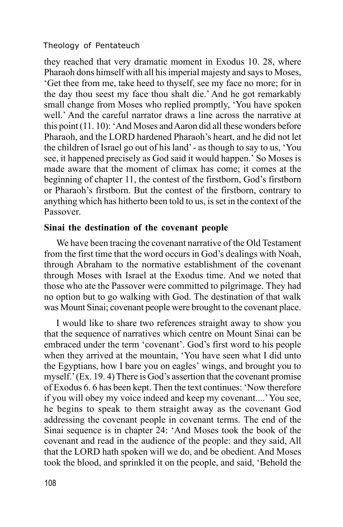they reached that very dramatic moment in Exodus 10. 28, where Pharaoh dons himself with all his imperial majesty and says to Moses, 'Get thee from me, take heed to thyself, see my face no more; for in the day thou seest my face thou shalt die.' And he got remarkably small change from Moses who replied promptly, 'You have spoken well.' And the careful narrator draws a line across the narrative at this point (11. 10): 'And Moses and Aaron did all these wonders before Pharaoh, and the LORD hardened Pharaoh's heart, and he did not let the children of Israel go out of his land' - as though to say to us, 'You see, it happened precisely as God said it would happen.' So Moses is made aware that the moment of climax has come; it comes at the beginning of chapter 11, the contest of the firstborn, God's firstborn or Pharaoh's firstborn. But the contest of the firstborn, contrary to anything which has hitherto been told to us, is set in the context of the Passover.

#### **Sinai the destination of the covenant people**

We have been tracing the covenant narrative of the Old Testament from the first time that the word occurs in God's dealings with Noah, through Abraham to the normative establishment of the covenant through Moses with Israel at the Exodus time. And we noted that those who ate the Passover were committed to pilgrimage. They had no option but to go walking with God. The destination of that walk was Mount Sinai; covenant people were brought to the covenant place.

I would like to share two references straight away to show you that the sequence of narratives which centre on Mount Sinai can be embraced under the term 'covenant'. God's first word to his people when they arrived at the mountain, 'You have seen what I did unto the Egyptians, how I bare you on eagles' wings, and brought you to myself.' (Ex. 19. 4) There is God's assertion that the covenant promise of Exodus 6. 6 has been kept. Then the text continues: 'Now therefore if you will obey my voice indeed and keep my covenant....' You see, he begins to speak to them straight away as the covenant God addressing the covenant people in covenant terms. The end of the Sinai sequence is in chapter 24: 'And Moses took the book of the covenant and read in the audience of the people: and they said, All that the LORD hath spoken will we do, and be obedient. And Moses took the blood, and sprinkled it on the people, and said, 'Behold the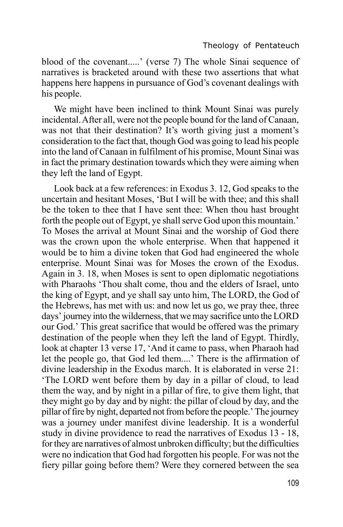blood of the covenant.....' (verse 7) The whole Sinai sequence of narratives is bracketed around with these two assertions that what happens here happens in pursuance of God's covenant dealings with his people.

We might have been inclined to think Mount Sinai was purely incidental. After all, were not the people bound for the land of Canaan, was not that their destination? It's worth giving just a moment's consideration to the fact that, though God was going to lead his people into the land of Canaan in fulfilment of his promise, Mount Sinai was in fact the primary destination towards which they were aiming when they left the land of Egypt.

Look back at a few references: in Exodus 3. 12, God speaks to the uncertain and hesitant Moses, 'But I will be with thee; and this shall be the token to thee that I have sent thee: When thou hast brought forth the people out of Egypt, ye shall serve God upon this mountain.' To Moses the arrival at Mount Sinai and the worship of God there was the crown upon the whole enterprise. When that happened it would be to him a divine token that God had engineered the whole enterprise. Mount Sinai was for Moses the crown of the Exodus. Again in 3. 18, when Moses is sent to open diplomatic negotiations with Pharaohs 'Thou shalt come, thou and the elders of Israel, unto the king of Egypt, and ye shall say unto him, The LORD, the God of the Hebrews, has met with us: and now let us go, we pray thee, three days' journey into the wilderness, that we may sacrifice unto the LORD our God.' This great sacrifice that would be offered was the primary destination of the people when they left the land of Egypt. Thirdly, look at chapter 13 verse 17, 'And it came to pass, when Pharaoh had let the people go, that God led them....' There is the affirmation of divine leadership in the Exodus march. It is elaborated in verse 21: 'The LORD went before them by day in a pillar of cloud, to lead them the way, and by night in a pillar of fire, to give them light, that they might go by day and by night: the pillar of cloud by day, and the pillar of fire by night, departed not from before the people.' The journey was a journey under manifest divine leadership. It is a wonderful study in divine providence to read the narratives of Exodus 13 - 18, for they are narratives of almost unbroken difficulty; but the difficulties were no indication that God had forgotten his people. For was not the fiery pillar going before them? Were they cornered between the sea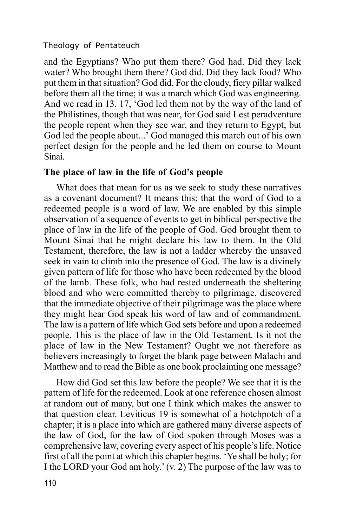and the Egyptians? Who put them there? God had. Did they lack water? Who brought them there? God did. Did they lack food? Who put them in that situation? God did. For the cloudy, fiery pillar walked before them all the time; it was a march which God was engineering. And we read in 13. 17, 'God led them not by the way of the land of the Philistines, though that was near, for God said Lest peradventure the people repent when they see war, and they return to Egypt; but God led the people about...' God managed this march out of his own perfect design for the people and he led them on course to Mount Sinai.

## **The place of law in the life of God's people**

What does that mean for us as we seek to study these narratives as a covenant document? It means this; that the word of God to a redeemed people is a word of law. We are enabled by this simple observation of a sequence of events to get in biblical perspective the place of law in the life of the people of God. God brought them to Mount Sinai that he might declare his law to them. In the Old Testament, therefore, the law is not a ladder whereby the unsaved seek in vain to climb into the presence of God. The law is a divinely given pattern of life for those who have been redeemed by the blood of the lamb. These folk, who had rested underneath the sheltering blood and who were committed thereby to pilgrimage, discovered that the immediate objective of their pilgrimage was the place where they might hear God speak his word of law and of commandment. The law is a pattern of life which God sets before and upon a redeemed people. This is the place of law in the Old Testament. Is it not the place of law in the New Testament? Ought we not therefore as believers increasingly to forget the blank page between Malachi and Matthew and to read the Bible as one book proclaiming one message?

How did God set this law before the people? We see that it is the pattern of life for the redeemed. Look at one reference chosen almost at random out of many, but one I think which makes the answer to that question clear. Leviticus 19 is somewhat of a hotchpotch of a chapter; it is a place into which are gathered many diverse aspects of the law of God, for the law of God spoken through Moses was a comprehensive law, covering every aspect of his people's life. Notice first of all the point at which this chapter begins. 'Ye shall be holy; for I the LORD your God am holy.' (v. 2) The purpose of the law was to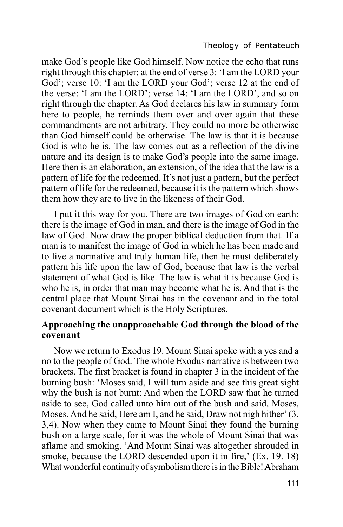make God's people like God himself. Now notice the echo that runs right through this chapter: at the end of verse 3: 'I am the LORD your God'; verse 10: 'I am the LORD your God'; verse 12 at the end of the verse: 'I am the LORD'; verse 14: 'I am the LORD', and so on right through the chapter. As God declares his law in summary form here to people, he reminds them over and over again that these commandments are not arbitrary. They could no more be otherwise than God himself could be otherwise. The law is that it is because God is who he is. The law comes out as a reflection of the divine nature and its design is to make God's people into the same image. Here then is an elaboration, an extension, of the idea that the law is a pattern of life for the redeemed. It's not just a pattern, but the perfect pattern of life for the redeemed, because it is the pattern which shows them how they are to live in the likeness of their God.

I put it this way for you. There are two images of God on earth: there is the image of God in man, and there is the image of God in the law of God. Now draw the proper biblical deduction from that. If a man is to manifest the image of God in which he has been made and to live a normative and truly human life, then he must deliberately pattern his life upon the law of God, because that law is the verbal statement of what God is like. The law is what it is because God is who he is, in order that man may become what he is. And that is the central place that Mount Sinai has in the covenant and in the total covenant document which is the Holy Scriptures.

## **Approaching the unapproachable God through the blood of the covenant**

Now we return to Exodus 19. Mount Sinai spoke with a yes and a no to the people of God. The whole Exodus narrative is between two brackets. The first bracket is found in chapter 3 in the incident of the burning bush: 'Moses said, I will turn aside and see this great sight why the bush is not burnt: And when the LORD saw that he turned aside to see, God called unto him out of the bush and said, Moses, Moses. And he said, Here am I, and he said, Draw not nigh hither' (3. 3,4). Now when they came to Mount Sinai they found the burning bush on a large scale, for it was the whole of Mount Sinai that was aflame and smoking. 'And Mount Sinai was altogether shrouded in smoke, because the LORD descended upon it in fire,' (Ex. 19. 18) What wonderful continuity of symbolism there is in the Bible! Abraham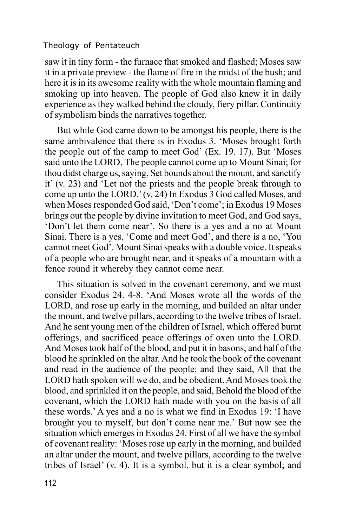saw it in tiny form - the furnace that smoked and flashed; Moses saw it in a private preview - the flame of fire in the midst of the bush; and here it is in its awesome reality with the whole mountain flaming and smoking up into heaven. The people of God also knew it in daily experience as they walked behind the cloudy, fiery pillar. Continuity of symbolism binds the narratives together.

But while God came down to be amongst his people, there is the same ambivalence that there is in Exodus 3. 'Moses brought forth the people out of the camp to meet God' (Ex. 19. 17). But 'Moses said unto the LORD, The people cannot come up to Mount Sinai; for thou didst charge us, saying, Set bounds about the mount, and sanctify it' (v. 23) and 'Let not the priests and the people break through to come up unto the LORD.' (v. 24) In Exodus 3 God called Moses, and when Moses responded God said, 'Don't come'; in Exodus 19 Moses brings out the people by divine invitation to meet God, and God says, 'Don't let them come near'. So there is a yes and a no at Mount Sinai. There is a yes, 'Come and meet God', and there is a no, 'You cannot meet God'. Mount Sinai speaks with a double voice. It speaks of a people who are brought near, and it speaks of a mountain with a fence round it whereby they cannot come near.

This situation is solved in the covenant ceremony, and we must consider Exodus 24. 4-8. 'And Moses wrote all the words of the LORD, and rose up early in the morning, and builded an altar under the mount, and twelve pillars, according to the twelve tribes of Israel. And he sent young men of the children of Israel, which offered burnt offerings, and sacrificed peace offerings of oxen unto the LORD. And Moses took half of the blood, and put it in basons; and half of the blood he sprinkled on the altar. And he took the book of the covenant and read in the audience of the people: and they said, All that the LORD hath spoken will we do, and be obedient. And Moses took the blood, and sprinkled it on the people, and said, Behold the blood of the covenant, which the LORD hath made with you on the basis of all these words.' A yes and a no is what we find in Exodus 19: 'I have brought you to myself, but don't come near me.' But now see the situation which emerges in Exodus 24. First of all we have the symbol of covenant reality: 'Moses rose up early in the morning, and builded an altar under the mount, and twelve pillars, according to the twelve tribes of Israel' (v. 4). It is a symbol, but it is a clear symbol; and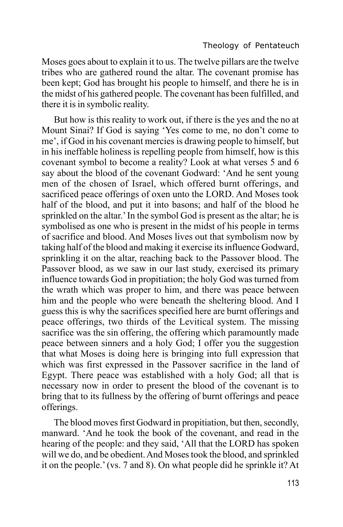Moses goes about to explain it to us. The twelve pillars are the twelve tribes who are gathered round the altar. The covenant promise has been kept; God has brought his people to himself, and there he is in the midst of his gathered people. The covenant has been fulfilled, and there it is in symbolic reality.

But how is this reality to work out, if there is the yes and the no at Mount Sinai? If God is saying 'Yes come to me, no don't come to me', if God in his covenant mercies is drawing people to himself, but in his ineffable holiness is repelling people from himself, how is this covenant symbol to become a reality? Look at what verses 5 and 6 say about the blood of the covenant Godward: 'And he sent young men of the chosen of Israel, which offered burnt offerings, and sacrificed peace offerings of oxen unto the LORD. And Moses took half of the blood, and put it into basons; and half of the blood he sprinkled on the altar.' In the symbol God is present as the altar; he is symbolised as one who is present in the midst of his people in terms of sacrifice and blood. And Moses lives out that symbolism now by taking half of the blood and making it exercise its influence Godward, sprinkling it on the altar, reaching back to the Passover blood. The Passover blood, as we saw in our last study, exercised its primary influence towards God in propitiation; the holy God was turned from the wrath which was proper to him, and there was peace between him and the people who were beneath the sheltering blood. And I guess this is why the sacrifices specified here are burnt offerings and peace offerings, two thirds of the Levitical system. The missing sacrifice was the sin offering, the offering which paramountly made peace between sinners and a holy God; I offer you the suggestion that what Moses is doing here is bringing into full expression that which was first expressed in the Passover sacrifice in the land of Egypt. There peace was established with a holy God; all that is necessary now in order to present the blood of the covenant is to bring that to its fullness by the offering of burnt offerings and peace offerings.

The blood moves first Godward in propitiation, but then, secondly, manward. 'And he took the book of the covenant, and read in the hearing of the people: and they said, 'All that the LORD has spoken will we do, and be obedient. And Moses took the blood, and sprinkled it on the people.' (vs. 7 and 8). On what people did he sprinkle it? At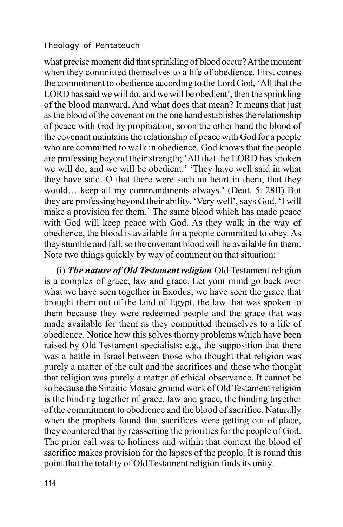what precise moment did that sprinkling of blood occur? At the moment when they committed themselves to a life of obedience. First comes the commitment to obedience according to the Lord God, 'All that the LORD has said we will do, and we will be obedient', then the sprinkling of the blood manward. And what does that mean? It means that just as the blood of the covenant on the one hand establishes the relationship of peace with God by propitiation, so on the other hand the blood of the covenant maintains the relationship of peace with God for a people who are committed to walk in obedience. God knows that the people are professing beyond their strength; 'All that the LORD has spoken we will do, and we will be obedient.' 'They have well said in what they have said. O that there were such an heart in them, that they would… keep all my commandments always.' (Deut. 5. 28ff) But they are professing beyond their ability. 'Very well', says God, 'I will make a provision for them.' The same blood which has made peace with God will keep peace with God. As they walk in the way of obedience, the blood is available for a people committed to obey. As they stumble and fall, so the covenant blood will be available for them. Note two things quickly by way of comment on that situation:

(i) *The nature of Old Testament religion* Old Testament religion is a complex of grace, law and grace. Let your mind go back over what we have seen together in Exodus; we have seen the grace that brought them out of the land of Egypt, the law that was spoken to them because they were redeemed people and the grace that was made available for them as they committed themselves to a life of obedience. Notice how this solves thorny problems which have been raised by Old Testament specialists: e.g., the supposition that there was a battle in Israel between those who thought that religion was purely a matter of the cult and the sacrifices and those who thought that religion was purely a matter of ethical observance. It cannot be so because the Sinaitic Mosaic ground work of Old Testament religion is the binding together of grace, law and grace, the binding together of the commitment to obedience and the blood of sacrifice. Naturally when the prophets found that sacrifices were getting out of place, they countered that by reasserting the priorities for the people of God. The prior call was to holiness and within that context the blood of sacrifice makes provision for the lapses of the people. It is round this point that the totality of Old Testament religion finds its unity.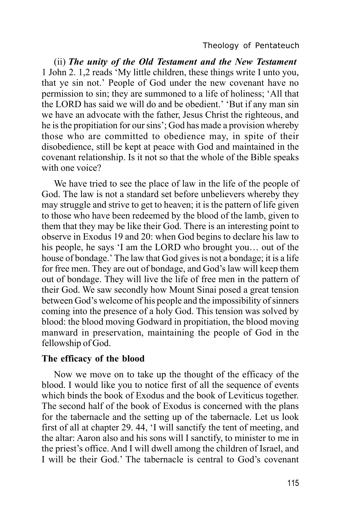(ii) *The unity of the Old Testament and the New Testament* 1 John 2. 1,2 reads 'My little children, these things write I unto you, that ye sin not.' People of God under the new covenant have no permission to sin; they are summoned to a life of holiness; 'All that the LORD has said we will do and be obedient.' 'But if any man sin we have an advocate with the father, Jesus Christ the righteous, and he is the propitiation for our sins'; God has made a provision whereby those who are committed to obedience may, in spite of their disobedience, still be kept at peace with God and maintained in the covenant relationship. Is it not so that the whole of the Bible speaks with one voice?

We have tried to see the place of law in the life of the people of God. The law is not a standard set before unbelievers whereby they may struggle and strive to get to heaven; it is the pattern of life given to those who have been redeemed by the blood of the lamb, given to them that they may be like their God. There is an interesting point to observe in Exodus 19 and 20: when God begins to declare his law to his people, he says 'I am the LORD who brought you… out of the house of bondage.' The law that God gives is not a bondage; it is a life for free men. They are out of bondage, and God's law will keep them out of bondage. They will live the life of free men in the pattern of their God. We saw secondly how Mount Sinai posed a great tension between God's welcome of his people and the impossibility of sinners coming into the presence of a holy God. This tension was solved by blood: the blood moving Godward in propitiation, the blood moving manward in preservation, maintaining the people of God in the fellowship of God.

#### **The efficacy of the blood**

Now we move on to take up the thought of the efficacy of the blood. I would like you to notice first of all the sequence of events which binds the book of Exodus and the book of Leviticus together. The second half of the book of Exodus is concerned with the plans for the tabernacle and the setting up of the tabernacle. Let us look first of all at chapter 29. 44, 'I will sanctify the tent of meeting, and the altar: Aaron also and his sons will I sanctify, to minister to me in the priest's office. And I will dwell among the children of Israel, and I will be their God.' The tabernacle is central to God's covenant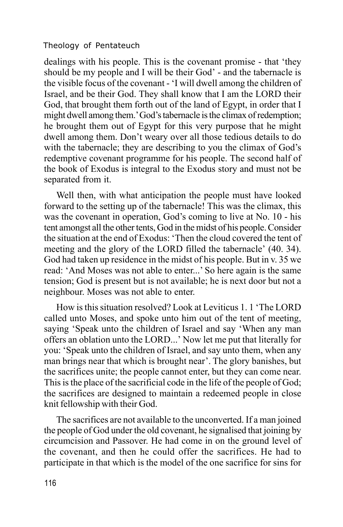dealings with his people. This is the covenant promise - that 'they should be my people and I will be their God' - and the tabernacle is the visible focus of the covenant - 'I will dwell among the children of Israel, and be their God. They shall know that I am the LORD their God, that brought them forth out of the land of Egypt, in order that I might dwell among them.' God's tabernacle is the climax of redemption; he brought them out of Egypt for this very purpose that he might dwell among them. Don't weary over all those tedious details to do with the tabernacle; they are describing to you the climax of God's redemptive covenant programme for his people. The second half of the book of Exodus is integral to the Exodus story and must not be separated from it.

Well then, with what anticipation the people must have looked forward to the setting up of the tabernacle! This was the climax, this was the covenant in operation, God's coming to live at No. 10 - his tent amongst all the other tents, God in the midst of his people. Consider the situation at the end of Exodus: 'Then the cloud covered the tent of meeting and the glory of the LORD filled the tabernacle' (40. 34). God had taken up residence in the midst of his people. But in v. 35 we read: 'And Moses was not able to enter...' So here again is the same tension; God is present but is not available; he is next door but not a neighbour. Moses was not able to enter.

How is this situation resolved? Look at Leviticus 1. 1 'The LORD called unto Moses, and spoke unto him out of the tent of meeting, saying 'Speak unto the children of Israel and say 'When any man offers an oblation unto the LORD...' Now let me put that literally for you: 'Speak unto the children of Israel, and say unto them, when any man brings near that which is brought near'. The glory banishes, but the sacrifices unite; the people cannot enter, but they can come near. This is the place of the sacrificial code in the life of the people of God; the sacrifices are designed to maintain a redeemed people in close knit fellowship with their God.

The sacrifices are not available to the unconverted. If a man joined the people of God under the old covenant, he signalised that joining by circumcision and Passover. He had come in on the ground level of the covenant, and then he could offer the sacrifices. He had to participate in that which is the model of the one sacrifice for sins for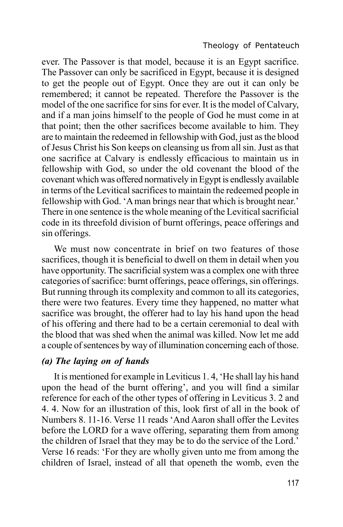ever. The Passover is that model, because it is an Egypt sacrifice. The Passover can only be sacrificed in Egypt, because it is designed to get the people out of Egypt. Once they are out it can only be remembered; it cannot be repeated. Therefore the Passover is the model of the one sacrifice for sins for ever. It is the model of Calvary, and if a man joins himself to the people of God he must come in at that point; then the other sacrifices become available to him. They are to maintain the redeemed in fellowship with God, just as the blood of Jesus Christ his Son keeps on cleansing us from all sin. Just as that one sacrifice at Calvary is endlessly efficacious to maintain us in fellowship with God, so under the old covenant the blood of the covenant which was offered normatively in Egypt is endlessly available in terms of the Levitical sacrifices to maintain the redeemed people in fellowship with God. 'A man brings near that which is brought near.' There in one sentence is the whole meaning of the Levitical sacrificial code in its threefold division of burnt offerings, peace offerings and sin offerings.

We must now concentrate in brief on two features of those sacrifices, though it is beneficial to dwell on them in detail when you have opportunity. The sacrificial system was a complex one with three categories of sacrifice: burnt offerings, peace offerings, sin offerings. But running through its complexity and common to all its categories, there were two features. Every time they happened, no matter what sacrifice was brought, the offerer had to lay his hand upon the head of his offering and there had to be a certain ceremonial to deal with the blood that was shed when the animal was killed. Now let me add a couple of sentences by way of illumination concerning each of those.

## *(a) The laying on of hands*

It is mentioned for example in Leviticus 1. 4, 'He shall lay his hand upon the head of the burnt offering', and you will find a similar reference for each of the other types of offering in Leviticus 3. 2 and 4. 4. Now for an illustration of this, look first of all in the book of Numbers 8. 11-16. Verse 11 reads 'And Aaron shall offer the Levites before the LORD for a wave offering, separating them from among the children of Israel that they may be to do the service of the Lord.' Verse 16 reads: 'For they are wholly given unto me from among the children of Israel, instead of all that openeth the womb, even the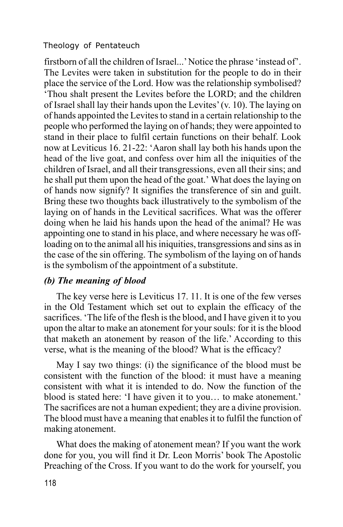firstborn of all the children of Israel...' Notice the phrase 'instead of'. The Levites were taken in substitution for the people to do in their place the service of the Lord. How was the relationship symbolised? 'Thou shalt present the Levites before the LORD; and the children of Israel shall lay their hands upon the Levites' (v. 10). The laying on of hands appointed the Levites to stand in a certain relationship to the people who performed the laying on of hands; they were appointed to stand in their place to fulfil certain functions on their behalf. Look now at Leviticus 16. 21-22: 'Aaron shall lay both his hands upon the head of the live goat, and confess over him all the iniquities of the children of Israel, and all their transgressions, even all their sins; and he shall put them upon the head of the goat.' What does the laying on of hands now signify? It signifies the transference of sin and guilt. Bring these two thoughts back illustratively to the symbolism of the laying on of hands in the Levitical sacrifices. What was the offerer doing when he laid his hands upon the head of the animal? He was appointing one to stand in his place, and where necessary he was offloading on to the animal all his iniquities, transgressions and sins as in the case of the sin offering. The symbolism of the laying on of hands is the symbolism of the appointment of a substitute.

## *(b) The meaning of blood*

The key verse here is Leviticus 17. 11. It is one of the few verses in the Old Testament which set out to explain the efficacy of the sacrifices. 'The life of the flesh is the blood, and I have given it to you upon the altar to make an atonement for your souls: for it is the blood that maketh an atonement by reason of the life.' According to this verse, what is the meaning of the blood? What is the efficacy?

May I say two things: (i) the significance of the blood must be consistent with the function of the blood: it must have a meaning consistent with what it is intended to do. Now the function of the blood is stated here: 'I have given it to you… to make atonement.' The sacrifices are not a human expedient; they are a divine provision. The blood must have a meaning that enables it to fulfil the function of making atonement.

What does the making of atonement mean? If you want the work done for you, you will find it Dr. Leon Morris' book The Apostolic Preaching of the Cross. If you want to do the work for yourself, you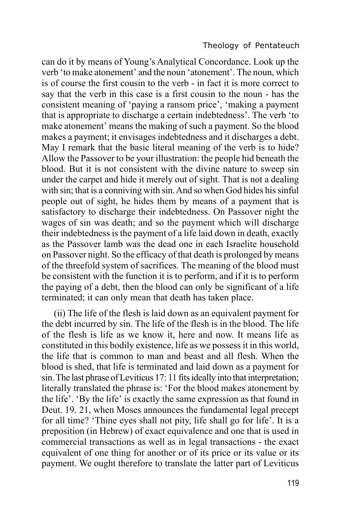can do it by means of Young's Analytical Concordance. Look up the verb 'to make atonement' and the noun 'atonement'. The noun, which is of course the first cousin to the verb - in fact it is more correct to say that the verb in this case is a first cousin to the noun - has the consistent meaning of 'paying a ransom price', 'making a payment that is appropriate to discharge a certain indebtedness'. The verb 'to make atonement' means the making of such a payment. So the blood makes a payment; it envisages indebtedness and it discharges a debt. May I remark that the basic literal meaning of the verb is to hide? Allow the Passover to be your illustration: the people hid beneath the blood. But it is not consistent with the divine nature to sweep sin under the carpet and hide it merely out of sight. That is not a dealing with sin; that is a conniving with sin. And so when God hides his sinful people out of sight, he hides them by means of a payment that is satisfactory to discharge their indebtedness. On Passover night the wages of sin was death; and so the payment which will discharge their indebtedness is the payment of a life laid down in death, exactly as the Passover lamb was the dead one in each Israelite household on Passover night. So the efficacy of that death is prolonged by means of the threefold system of sacrifices. The meaning of the blood must be consistent with the function it is to perform, and if it is to perform the paying of a debt, then the blood can only be significant of a life terminated; it can only mean that death has taken place.

(ii) The life of the flesh is laid down as an equivalent payment for the debt incurred by sin. The life of the flesh is in the blood. The life of the flesh is life as we know it, here and now. It means life as constituted in this bodily existence, life as we possess it in this world, the life that is common to man and beast and all flesh. When the blood is shed, that life is terminated and laid down as a payment for sin. The last phrase of Leviticus 17: 11 fits ideally into that interpretation; literally translated the phrase is: 'For the blood makes atonement by the life'. 'By the life' is exactly the same expression as that found in Deut. 19. 21, when Moses announces the fundamental legal precept for all time? 'Thine eyes shall not pity, life shall go for life'. It is a preposition (in Hebrew) of exact equivalence and one that is used in commercial transactions as well as in legal transactions - the exact equivalent of one thing for another or of its price or its value or its payment. We ought therefore to translate the latter part of Leviticus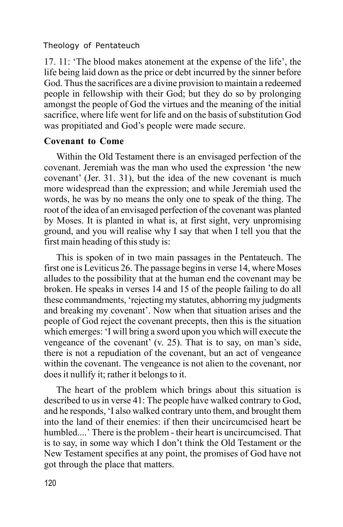17. 11: 'The blood makes atonement at the expense of the life', the life being laid down as the price or debt incurred by the sinner before God. Thus the sacrifices are a divine provision to maintain a redeemed people in fellowship with their God; but they do so by prolonging amongst the people of God the virtues and the meaning of the initial sacrifice, where life went for life and on the basis of substitution God was propitiated and God's people were made secure.

## **Covenant to Come**

Within the Old Testament there is an envisaged perfection of the covenant. Jeremiah was the man who used the expression 'the new covenant' (Jer. 31. 31), but the idea of the new covenant is much more widespread than the expression; and while Jeremiah used the words, he was by no means the only one to speak of the thing. The root of the idea of an envisaged perfection of the covenant was planted by Moses. It is planted in what is, at first sight, very unpromising ground, and you will realise why I say that when I tell you that the first main heading of this study is:

This is spoken of in two main passages in the Pentateuch. The first one is Leviticus 26. The passage begins in verse 14, where Moses alludes to the possibility that at the human end the covenant may be broken. He speaks in verses 14 and 15 of the people failing to do all these commandments, 'rejecting my statutes, abhorring my judgments and breaking my covenant'. Now when that situation arises and the people of God reject the covenant precepts, then this is the situation which emerges: 'I will bring a sword upon you which will execute the vengeance of the covenant' (v. 25). That is to say, on man's side, there is not a repudiation of the covenant, but an act of vengeance within the covenant. The vengeance is not alien to the covenant, nor does it nullify it; rather it belongs to it.

The heart of the problem which brings about this situation is described to us in verse 41: The people have walked contrary to God, and he responds, 'I also walked contrary unto them, and brought them into the land of their enemies: if then their uncircumcised heart be humbled....' There is the problem - their heart is uncircumcised. That is to say, in some way which I don't think the Old Testament or the New Testament specifies at any point, the promises of God have not got through the place that matters.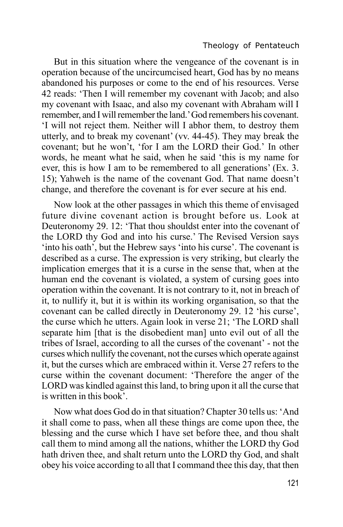But in this situation where the vengeance of the covenant is in operation because of the uncircumcised heart, God has by no means abandoned his purposes or come to the end of his resources. Verse 42 reads: 'Then I will remember my covenant with Jacob; and also my covenant with Isaac, and also my covenant with Abraham will I remember, and I will remember the land.' God remembers his covenant. 'I will not reject them. Neither will I abhor them, to destroy them utterly, and to break my covenant' (vv. 44-45). They may break the covenant; but he won't, 'for I am the LORD their God.' In other words, he meant what he said, when he said 'this is my name for ever, this is how I am to be remembered to all generations' (Ex. 3. 15); Yahweh is the name of the covenant God. That name doesn't change, and therefore the covenant is for ever secure at his end.

Now look at the other passages in which this theme of envisaged future divine covenant action is brought before us. Look at Deuteronomy 29. 12: 'That thou shouldst enter into the covenant of the LORD thy God and into his curse.' The Revised Version says 'into his oath', but the Hebrew says 'into his curse'. The covenant is described as a curse. The expression is very striking, but clearly the implication emerges that it is a curse in the sense that, when at the human end the covenant is violated, a system of cursing goes into operation within the covenant. It is not contrary to it, not in breach of it, to nullify it, but it is within its working organisation, so that the covenant can be called directly in Deuteronomy 29. 12 'his curse', the curse which he utters. Again look in verse 21; 'The LORD shall separate him [that is the disobedient man] unto evil out of all the tribes of Israel, according to all the curses of the covenant' - not the curses which nullify the covenant, not the curses which operate against it, but the curses which are embraced within it. Verse 27 refers to the curse within the covenant document: 'Therefore the anger of the LORD was kindled against this land, to bring upon it all the curse that is written in this book'.

Now what does God do in that situation? Chapter 30 tells us: 'And it shall come to pass, when all these things are come upon thee, the blessing and the curse which I have set before thee, and thou shalt call them to mind among all the nations, whither the LORD thy God hath driven thee, and shalt return unto the LORD thy God, and shalt obey his voice according to all that I command thee this day, that then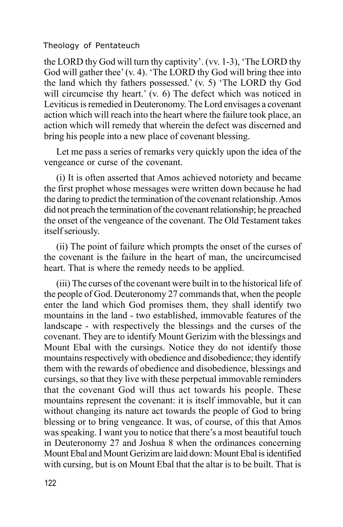the LORD thy God will turn thy captivity'. (vv. 1-3), 'The LORD thy God will gather thee' (v. 4). 'The LORD thy God will bring thee into the land which thy fathers possessed.' (v. 5) 'The LORD thy God will circumcise thy heart.' (v. 6) The defect which was noticed in Leviticus is remedied in Deuteronomy. The Lord envisages a covenant action which will reach into the heart where the failure took place, an action which will remedy that wherein the defect was discerned and bring his people into a new place of covenant blessing.

Let me pass a series of remarks very quickly upon the idea of the vengeance or curse of the covenant.

(i) It is often asserted that Amos achieved notoriety and became the first prophet whose messages were written down because he had the daring to predict the termination of the covenant relationship. Amos did not preach the termination of the covenant relationship; he preached the onset of the vengeance of the covenant. The Old Testament takes itself seriously.

(ii) The point of failure which prompts the onset of the curses of the covenant is the failure in the heart of man, the uncircumcised heart. That is where the remedy needs to be applied.

(iii) The curses of the covenant were built in to the historical life of the people of God. Deuteronomy 27 commands that, when the people enter the land which God promises them, they shall identify two mountains in the land - two established, immovable features of the landscape - with respectively the blessings and the curses of the covenant. They are to identify Mount Gerizim with the blessings and Mount Ebal with the cursings. Notice they do not identify those mountains respectively with obedience and disobedience; they identify them with the rewards of obedience and disobedience, blessings and cursings, so that they live with these perpetual immovable reminders that the covenant God will thus act towards his people. These mountains represent the covenant: it is itself immovable, but it can without changing its nature act towards the people of God to bring blessing or to bring vengeance. It was, of course, of this that Amos was speaking. I want you to notice that there's a most beautiful touch in Deuteronomy 27 and Joshua 8 when the ordinances concerning Mount Ebal and Mount Gerizim are laid down: Mount Ebal is identified with cursing, but is on Mount Ebal that the altar is to be built. That is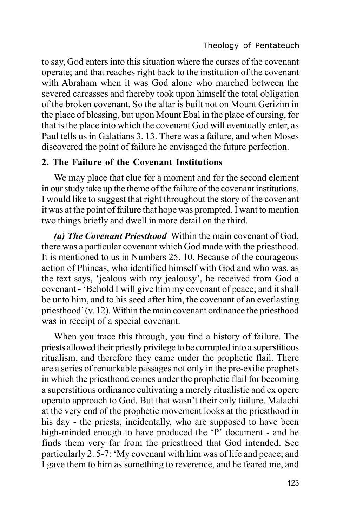to say, God enters into this situation where the curses of the covenant operate; and that reaches right back to the institution of the covenant with Abraham when it was God alone who marched between the severed carcasses and thereby took upon himself the total obligation of the broken covenant. So the altar is built not on Mount Gerizim in the place of blessing, but upon Mount Ebal in the place of cursing, for that is the place into which the covenant God will eventually enter, as Paul tells us in Galatians 3. 13. There was a failure, and when Moses discovered the point of failure he envisaged the future perfection.

## **2. The Failure of the Covenant Institutions**

We may place that clue for a moment and for the second element in our study take up the theme of the failure of the covenant institutions. I would like to suggest that right throughout the story of the covenant it was at the point of failure that hope was prompted. I want to mention two things briefly and dwell in more detail on the third.

*(a) The Covenant Priesthood* Within the main covenant of God, there was a particular covenant which God made with the priesthood. It is mentioned to us in Numbers 25. 10. Because of the courageous action of Phineas, who identified himself with God and who was, as the text says, 'jealous with my jealousy', he received from God a covenant - 'Behold I will give him my covenant of peace; and it shall be unto him, and to his seed after him, the covenant of an everlasting priesthood' (v. 12). Within the main covenant ordinance the priesthood was in receipt of a special covenant.

When you trace this through, you find a history of failure. The priests allowed their priestly privilege to be corrupted into a superstitious ritualism, and therefore they came under the prophetic flail. There are a series of remarkable passages not only in the pre-exilic prophets in which the priesthood comes under the prophetic flail for becoming a superstitious ordinance cultivating a merely ritualistic and ex opere operato approach to God. But that wasn't their only failure. Malachi at the very end of the prophetic movement looks at the priesthood in his day - the priests, incidentally, who are supposed to have been high-minded enough to have produced the 'P' document - and he finds them very far from the priesthood that God intended. See particularly 2. 5-7: 'My covenant with him was of life and peace; and I gave them to him as something to reverence, and he feared me, and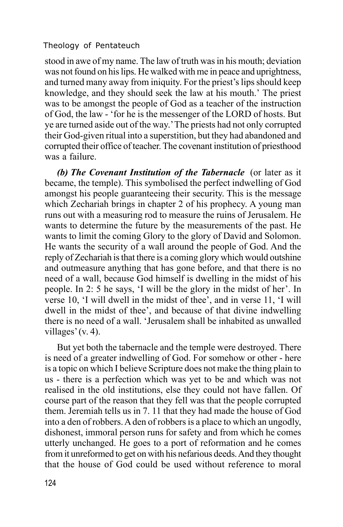stood in awe of my name. The law of truth was in his mouth; deviation was not found on his lips. He walked with me in peace and uprightness, and turned many away from iniquity. For the priest's lips should keep knowledge, and they should seek the law at his mouth.' The priest was to be amongst the people of God as a teacher of the instruction of God, the law - 'for he is the messenger of the LORD of hosts. But ye are turned aside out of the way.'The priests had not only corrupted their God-given ritual into a superstition, but they had abandoned and corrupted their office of teacher. The covenant institution of priesthood was a failure.

*(b) The Covenant Institution of the Tabernacle* (or later as it became, the temple). This symbolised the perfect indwelling of God amongst his people guaranteeing their security. This is the message which Zechariah brings in chapter 2 of his prophecy. A young man runs out with a measuring rod to measure the ruins of Jerusalem. He wants to determine the future by the measurements of the past. He wants to limit the coming Glory to the glory of David and Solomon. He wants the security of a wall around the people of God. And the reply of Zechariah is that there is a coming glory which would outshine and outmeasure anything that has gone before, and that there is no need of a wall, because God himself is dwelling in the midst of his people. In 2: 5 he says, 'I will be the glory in the midst of her'. In verse 10, 'I will dwell in the midst of thee', and in verse 11, 'I will dwell in the midst of thee', and because of that divine indwelling there is no need of a wall. 'Jerusalem shall be inhabited as unwalled villages' (v. 4).

But yet both the tabernacle and the temple were destroyed. There is need of a greater indwelling of God. For somehow or other - here is a topic on which I believe Scripture does not make the thing plain to us - there is a perfection which was yet to be and which was not realised in the old institutions, else they could not have fallen. Of course part of the reason that they fell was that the people corrupted them. Jeremiah tells us in 7. 11 that they had made the house of God into a den of robbers. A den of robbers is a place to which an ungodly, dishonest, immoral person runs for safety and from which he comes utterly unchanged. He goes to a port of reformation and he comes from it unreformed to get on with his nefarious deeds. And they thought that the house of God could be used without reference to moral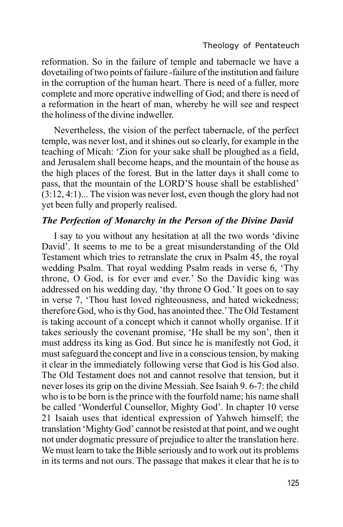reformation. So in the failure of temple and tabernacle we have a dovetailing of two points of failure -failure of the institution and failure in the corruption of the human heart. There is need of a fuller, more complete and more operative indwelling of God; and there is need of a reformation in the heart of man, whereby he will see and respect the holiness of the divine indweller.

Nevertheless, the vision of the perfect tabernacle, of the perfect temple, was never lost, and it shines out so clearly, for example in the teaching of Micah: 'Zion for your sake shall be ploughed as a field, and Jerusalem shall become heaps, and the mountain of the house as the high places of the forest. But in the latter days it shall come to pass, that the mountain of the LORD'S house shall be established' (3:12, 4:1)... The vision was never lost, even though the glory had not yet been fully and properly realised.

## *The Perfection of Monarchy in the Person of the Divine David*

I say to you without any hesitation at all the two words 'divine David'. It seems to me to be a great misunderstanding of the Old Testament which tries to retranslate the crux in Psalm 45, the royal wedding Psalm. That royal wedding Psalm reads in verse 6, 'Thy throne, O God, is for ever and ever.' So the Davidic king was addressed on his wedding day, 'thy throne O God.' It goes on to say in verse 7, 'Thou hast loved righteousness, and hated wickedness; therefore God, who is thy God, has anointed thee.'The Old Testament is taking account of a concept which it cannot wholly organise. If it takes seriously the covenant promise, 'He shall be my son', then it must address its king as God. But since he is manifestly not God, it must safeguard the concept and live in a conscious tension, by making it clear in the immediately following verse that God is his God also. The Old Testament does not and cannot resolve that tension, but it never loses its grip on the divine Messiah. See Isaiah 9. 6-7: the child who is to be born is the prince with the fourfold name; his name shall be called 'Wonderful Counsellor, Mighty God'. In chapter 10 verse 21 Isaiah uses that identical expression of Yahweh himself; the translation 'Mighty God' cannot be resisted at that point, and we ought not under dogmatic pressure of prejudice to alter the translation here. We must learn to take the Bible seriously and to work out its problems in its terms and not ours. The passage that makes it clear that he is to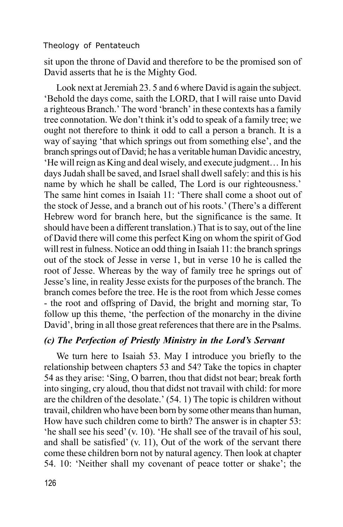sit upon the throne of David and therefore to be the promised son of David asserts that he is the Mighty God.

Look next at Jeremiah 23. 5 and 6 where David is again the subject. 'Behold the days come, saith the LORD, that I will raise unto David a righteous Branch.' The word 'branch' in these contexts has a family tree connotation. We don't think it's odd to speak of a family tree; we ought not therefore to think it odd to call a person a branch. It is a way of saying 'that which springs out from something else', and the branch springs out of David; he has a veritable human Davidic ancestry, 'He will reign as King and deal wisely, and execute judgment… In his days Judah shall be saved, and Israel shall dwell safely: and this is his name by which he shall be called, The Lord is our righteousness.' The same hint comes in Isaiah 11: 'There shall come a shoot out of the stock of Jesse, and a branch out of his roots.' (There's a different Hebrew word for branch here, but the significance is the same. It should have been a different translation.) That is to say, out of the line of David there will come this perfect King on whom the spirit of God will rest in fulness. Notice an odd thing in Isaiah 11: the branch springs out of the stock of Jesse in verse 1, but in verse 10 he is called the root of Jesse. Whereas by the way of family tree he springs out of Jesse's line, in reality Jesse exists for the purposes of the branch. The branch comes before the tree. He is the root from which Jesse comes - the root and offspring of David, the bright and morning star, To follow up this theme, 'the perfection of the monarchy in the divine David', bring in all those great references that there are in the Psalms.

## *(c) The Perfection of Priestly Ministry in the Lord's Servant*

We turn here to Isaiah 53. May I introduce you briefly to the relationship between chapters 53 and 54? Take the topics in chapter 54 as they arise: 'Sing, O barren, thou that didst not bear; break forth into singing, cry aloud, thou that didst not travail with child: for more are the children of the desolate.' (54. 1) The topic is children without travail, children who have been born by some other means than human, How have such children come to birth? The answer is in chapter 53: 'he shall see his seed' (v. 10). 'He shall see of the travail of his soul, and shall be satisfied' (v. 11), Out of the work of the servant there come these children born not by natural agency. Then look at chapter 54. 10: 'Neither shall my covenant of peace totter or shake'; the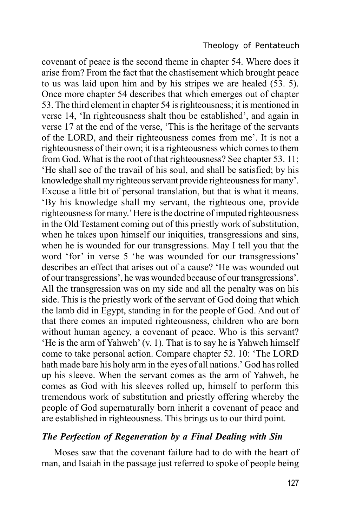covenant of peace is the second theme in chapter 54. Where does it arise from? From the fact that the chastisement which brought peace to us was laid upon him and by his stripes we are healed (53. 5). Once more chapter 54 describes that which emerges out of chapter 53. The third element in chapter 54 is righteousness; it is mentioned in verse 14, 'In righteousness shalt thou be established', and again in verse 17 at the end of the verse, 'This is the heritage of the servants of the LORD, and their righteousness comes from me'. It is not a righteousness of their own; it is a righteousness which comes to them from God. What is the root of that righteousness? See chapter 53. 11; 'He shall see of the travail of his soul, and shall be satisfied; by his knowledge shall my righteous servant provide righteousness for many'. Excuse a little bit of personal translation, but that is what it means. 'By his knowledge shall my servant, the righteous one, provide righteousness for many.' Here is the doctrine of imputed righteousness in the Old Testament coming out of this priestly work of substitution, when he takes upon himself our iniquities, transgressions and sins, when he is wounded for our transgressions. May I tell you that the word 'for' in verse 5 'he was wounded for our transgressions' describes an effect that arises out of a cause? 'He was wounded out of our transgressions', he was wounded because of our transgressions'. All the transgression was on my side and all the penalty was on his side. This is the priestly work of the servant of God doing that which the lamb did in Egypt, standing in for the people of God. And out of that there comes an imputed righteousness, children who are born without human agency, a covenant of peace. Who is this servant? 'He is the arm of Yahweh' (v. 1). That is to say he is Yahweh himself come to take personal action. Compare chapter 52. 10: 'The LORD hath made bare his holy arm in the eyes of all nations.' God has rolled up his sleeve. When the servant comes as the arm of Yahweh, he comes as God with his sleeves rolled up, himself to perform this tremendous work of substitution and priestly offering whereby the people of God supernaturally born inherit a covenant of peace and are established in righteousness. This brings us to our third point.

## *The Perfection of Regeneration by a Final Dealing with Sin*

Moses saw that the covenant failure had to do with the heart of man, and Isaiah in the passage just referred to spoke of people being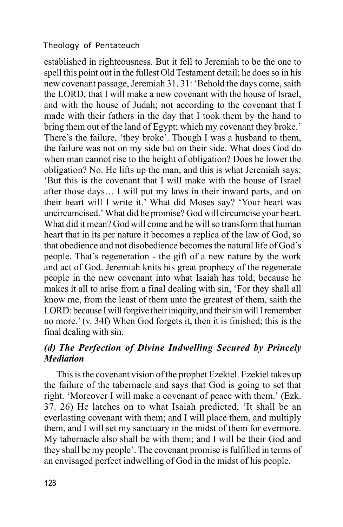established in righteousness. But it fell to Jeremiah to be the one to spell this point out in the fullest Old Testament detail; he does so in his new covenant passage, Jeremiah 31. 31: 'Behold the days come, saith the LORD, that I will make a new covenant with the house of Israel, and with the house of Judah; not according to the covenant that I made with their fathers in the day that I took them by the hand to bring them out of the land of Egypt; which my covenant they broke.' There's the failure, 'they broke'. Though I was a husband to them, the failure was not on my side but on their side. What does God do when man cannot rise to the height of obligation? Does he lower the obligation? No. He lifts up the man, and this is what Jeremiah says: 'But this is the covenant that I will make with the house of Israel after those days… I will put my laws in their inward parts, and on their heart will I write it.' What did Moses say? 'Your heart was uncircumcised.' What did he promise? God will circumcise your heart. What did it mean? God will come and he will so transform that human heart that in its per nature it becomes a replica of the law of God, so that obedience and not disobedience becomes the natural life of God's people. That's regeneration - the gift of a new nature by the work and act of God. Jeremiah knits his great prophecy of the regenerate people in the new covenant into what Isaiah has told, because he makes it all to arise from a final dealing with sin, 'For they shall all know me, from the least of them unto the greatest of them, saith the LORD: because I will forgive their iniquity, and their sin will I remember no more.' (v. 34f) When God forgets it, then it is finished; this is the final dealing with sin.

## *(d) The Perfection of Divine Indwelling Secured by Princely Mediation*

This is the covenant vision of the prophet Ezekiel. Ezekiel takes up the failure of the tabernacle and says that God is going to set that right. 'Moreover I will make a covenant of peace with them.' (Ezk. 37. 26) He latches on to what Isaiah predicted, 'It shall be an everlasting covenant with them; and I will place them, and multiply them, and I will set my sanctuary in the midst of them for evermore. My tabernacle also shall be with them; and I will be their God and they shall be my people'. The covenant promise is fulfilled in terms of an envisaged perfect indwelling of God in the midst of his people.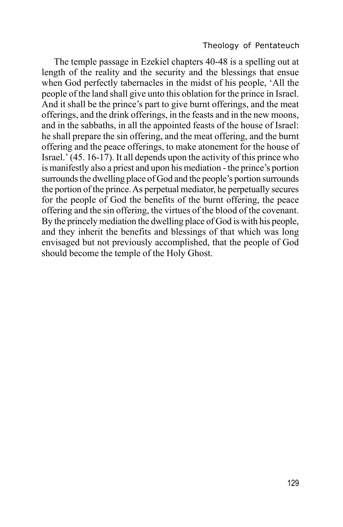The temple passage in Ezekiel chapters 40-48 is a spelling out at length of the reality and the security and the blessings that ensue when God perfectly tabernacles in the midst of his people, 'All the people of the land shall give unto this oblation for the prince in Israel. And it shall be the prince's part to give burnt offerings, and the meat offerings, and the drink offerings, in the feasts and in the new moons, and in the sabbaths, in all the appointed feasts of the house of Israel: he shall prepare the sin offering, and the meat offering, and the burnt offering and the peace offerings, to make atonement for the house of Israel.' (45. 16-17). It all depends upon the activity of this prince who is manifestly also a priest and upon his mediation - the prince's portion surrounds the dwelling place of God and the people's portion surrounds the portion of the prince. As perpetual mediator, he perpetually secures for the people of God the benefits of the burnt offering, the peace offering and the sin offering, the virtues of the blood of the covenant. By the princely mediation the dwelling place of God is with his people, and they inherit the benefits and blessings of that which was long envisaged but not previously accomplished, that the people of God should become the temple of the Holy Ghost.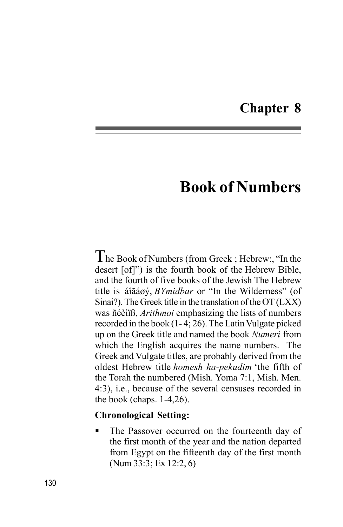## **Chapter 8**

# **Book of Numbers**

The Book of Numbers (from Greek ; Hebrew:, "In the desert [of]") is the fourth book of the Hebrew Bible, and the fourth of five books of the Jewish The Hebrew title is áîãáøý, *BYmidbar* or "In the Wilderness" (of Sinai?). The Greek title in the translation of the OT (LXX) was ñéèìïß, *Arithmoi* emphasizing the lists of numbers recorded in the book (1- 4; 26). The Latin Vulgate picked up on the Greek title and named the book *Numeri* from which the English acquires the name numbers. The Greek and Vulgate titles, are probably derived from the oldest Hebrew title *homesh ha-pekudim* 'the fifth of the Torah the numbered (Mish. Yoma 7:1, Mish. Men. 4:3), i.e., because of the several censuses recorded in the book (chaps. 1-4,26).

#### **Chronological Setting:**

The Passover occurred on the fourteenth day of the first month of the year and the nation departed from Egypt on the fifteenth day of the first month (Num 33:3; Ex 12:2, 6)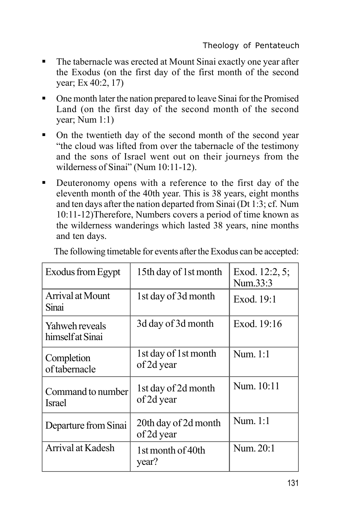- ß The tabernacle was erected at Mount Sinai exactly one year after the Exodus (on the first day of the first month of the second year; Ex 40:2, 17)
- One month later the nation prepared to leave Sinai for the Promised Land (on the first day of the second month of the second year; Num 1:1)
- On the twentieth day of the second month of the second year "the cloud was lifted from over the tabernacle of the testimony and the sons of Israel went out on their journeys from the wilderness of Sinai" (Num 10:11-12).
- **•** Deuteronomy opens with a reference to the first day of the eleventh month of the 40th year. This is 38 years, eight months and ten days after the nation departed from Sinai (Dt 1:3; cf. Num 10:11-12)Therefore, Numbers covers a period of time known as the wilderness wanderings which lasted 38 years, nine months and ten days.

| 15th day of 1st month                          | Exod. 12:2, 5;<br>Num.33:3 |
|------------------------------------------------|----------------------------|
| 1st day of 3d month                            | Exod. 19:1                 |
| 3d day of 3d month                             | Exod. 19:16                |
| 1st day of 1st month<br>of 2d year             | Num. 1:1                   |
| 1st day of 2d month<br>of 2d year              | Num. 10:11                 |
| Num. 1:1<br>20th day of 2d month<br>of 2d year |                            |
| 1st month of 40th<br>year?                     | Num. 20:1                  |
| Command to number                              |                            |

The following timetable for events after the Exodus can be accepted: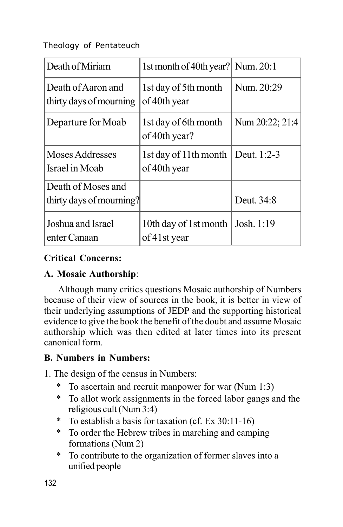| Death of Miriam                               | 1st month of 40th year? Num. 20:1     |                 |
|-----------------------------------------------|---------------------------------------|-----------------|
| Death of Aaron and<br>thirty days of mourning | 1st day of 5th month<br>of 40th year  | Num. 20:29      |
| Departure for Moab                            | 1st day of 6th month<br>of 40th year? | Num 20:22; 21:4 |
| Moses Addresses<br>Israel in Moab             | 1st day of 11th month<br>of 40th year | Deut. 1:2-3     |
| Death of Moses and                            |                                       |                 |
| thirty days of mourning?                      |                                       | Deut. 34:8      |
| Joshua and Israel<br>enter Canaan             | 10th day of 1st month<br>of 41st year | Josh. 1:19      |

## **Critical Concerns:**

## **A. Mosaic Authorship**:

Although many critics questions Mosaic authorship of Numbers because of their view of sources in the book, it is better in view of their underlying assumptions of JEDP and the supporting historical evidence to give the book the benefit of the doubt and assume Mosaic authorship which was then edited at later times into its present canonical form.

## **B. Numbers in Numbers:**

- 1. The design of the census in Numbers:
	- To ascertain and recruit manpower for war (Num 1:3)
	- \* To allot work assignments in the forced labor gangs and the religious cult (Num 3:4)
	- \* To establish a basis for taxation (cf. Ex 30:11-16)
	- \* To order the Hebrew tribes in marching and camping formations (Num 2)
	- \* To contribute to the organization of former slaves into a unified people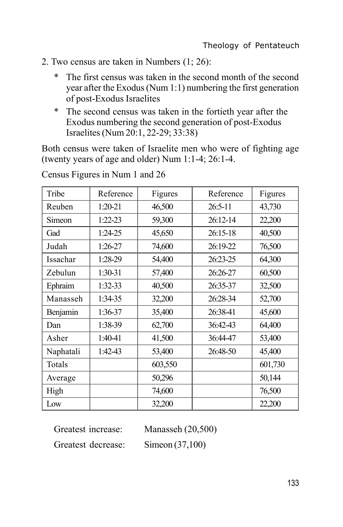- 2. Two census are taken in Numbers (1; 26):
	- \* The first census was taken in the second month of the second year after the Exodus (Num 1:1) numbering the first generation of post-Exodus Israelites
	- \* The second census was taken in the fortieth year after the Exodus numbering the second generation of post-Exodus Israelites (Num 20:1, 22-29; 33:38)

Both census were taken of Israelite men who were of fighting age (twenty years of age and older) Num 1:1-4; 26:1-4.

| Tribe     | Reference | Figures | Reference  | Figures |
|-----------|-----------|---------|------------|---------|
| Reuben    | 1:20-21   | 46,500  | 26:5-11    | 43,730  |
| Simeon    | $1:22-23$ | 59,300  | $26:12-14$ | 22,200  |
| Gad       | $1:24-25$ | 45,650  | $26:15-18$ | 40,500  |
| Judah     | 1:26-27   | 74,600  | 26:19-22   | 76,500  |
| Issachar  | 1:28-29   | 54,400  | 26:23-25   | 64,300  |
| Zebulun   | 1:30-31   | 57,400  | 26:26-27   | 60,500  |
| Ephraim   | 1:32-33   | 40,500  | 26:35-37   | 32,500  |
| Manasseh  | 1:34-35   | 32,200  | 26:28-34   | 52,700  |
| Benjamin  | 1:36-37   | 35,400  | 26:38-41   | 45,600  |
| Dan       | 1:38-39   | 62,700  | 36:42-43   | 64,400  |
| Asher     | 1:40-41   | 41,500  | 36:44-47   | 53,400  |
| Naphatali | 1:42-43   | 53,400  | 26:48-50   | 45,400  |
| Totals    |           | 603,550 |            | 601,730 |
| Average   |           | 50,296  |            | 50,144  |
| High      |           | 74,600  |            | 76,500  |
| Low       |           | 32,200  |            | 22,200  |

Census Figures in Num 1 and 26

| Greatest increase: | Manasseh $(20,500)$ |
|--------------------|---------------------|
| Greatest decrease: | Simeon $(37,100)$   |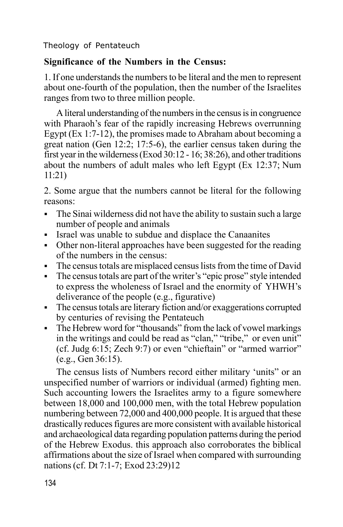## **Significance of the Numbers in the Census:**

1. If one understands the numbers to be literal and the men to represent about one-fourth of the population, then the number of the Israelites ranges from two to three million people.

A literal understanding of the numbers in the census is in congruence with Pharaoh's fear of the rapidly increasing Hebrews overrunning Egypt (Ex 1:7-12), the promises made to Abraham about becoming a great nation (Gen 12:2; 17:5-6), the earlier census taken during the first year in the wilderness (Exod 30:12 - 16; 38:26), and other traditions about the numbers of adult males who left Egypt (Ex 12:37; Num 11:21)

2. Some argue that the numbers cannot be literal for the following reasons:

- $\blacksquare$  The Sinai wilderness did not have the ability to sustain such a large number of people and animals
- ß Israel was unable to subdue and displace the Canaanites
- Other non-literal approaches have been suggested for the reading of the numbers in the census:
- ß The census totals are misplaced census lists from the time of David
- The census totals are part of the writer's "epic prose" style intended to express the wholeness of Israel and the enormity of YHWH's deliverance of the people (e.g., figurative)
- The census totals are literary fiction and/or exaggerations corrupted by centuries of revising the Pentateuch
- The Hebrew word for "thousands" from the lack of vowel markings in the writings and could be read as "clan," "tribe," or even unit" (cf. Judg 6:15; Zech 9:7) or even "chieftain" or "armed warrior" (e.g., Gen 36:15).

The census lists of Numbers record either military 'units" or an unspecified number of warriors or individual (armed) fighting men. Such accounting lowers the Israelites army to a figure somewhere between 18,000 and 100,000 men, with the total Hebrew population numbering between 72,000 and 400,000 people. It is argued that these drastically reduces figures are more consistent with available historical and archaeological data regarding population patterns during the period of the Hebrew Exodus. this approach also corroborates the biblical affirmations about the size of Israel when compared with surrounding nations (cf. Dt 7:1-7; Exod 23:29)12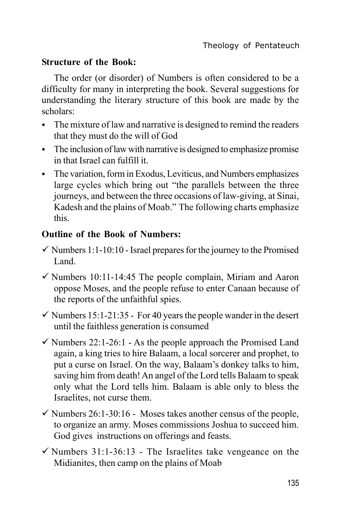## **Structure of the Book:**

The order (or disorder) of Numbers is often considered to be a difficulty for many in interpreting the book. Several suggestions for understanding the literary structure of this book are made by the scholars:

- The mixture of law and narrative is designed to remind the readers that they must do the will of God
- $\blacksquare$  The inclusion of law with narrative is designed to emphasize promise in that Israel can fulfill it.
- The variation, form in Exodus, Leviticus, and Numbers emphasizes large cycles which bring out "the parallels between the three journeys, and between the three occasions of law-giving, at Sinai, Kadesh and the plains of Moab." The following charts emphasize this.

## **Outline of the Book of Numbers:**

- $\checkmark$  Numbers 1:1-10:10 Israel prepares for the journey to the Promised Land.
- $\checkmark$  Numbers 10:11-14:45 The people complain, Miriam and Aaron oppose Moses, and the people refuse to enter Canaan because of the reports of the unfaithful spies.
- $\checkmark$  Numbers 15:1-21:35 For 40 years the people wander in the desert until the faithless generation is consumed
- $\checkmark$  Numbers 22:1-26:1 As the people approach the Promised Land again, a king tries to hire Balaam, a local sorcerer and prophet, to put a curse on Israel. On the way, Balaam's donkey talks to him, saving him from death! An angel of the Lord tells Balaam to speak only what the Lord tells him. Balaam is able only to bless the Israelites, not curse them.
- $\checkmark$  Numbers 26:1-30:16 Moses takes another census of the people, to organize an army. Moses commissions Joshua to succeed him. God gives instructions on offerings and feasts.
- $\checkmark$  Numbers 31:1-36:13 The Israelites take vengeance on the Midianites, then camp on the plains of Moab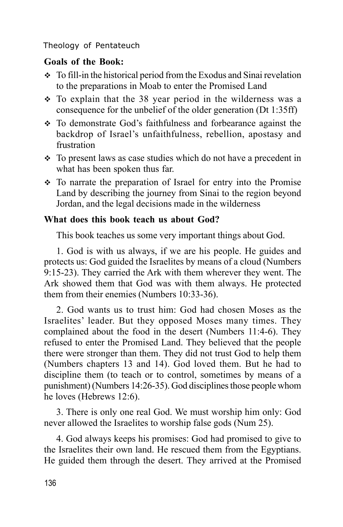## **Goals of the Book:**

- $\div$  To fill-in the historical period from the Exodus and Sinai revelation to the preparations in Moab to enter the Promised Land
- $\div$  To explain that the 38 year period in the wilderness was a consequence for the unbelief of the older generation (Dt 1:35ff)
- v To demonstrate God's faithfulness and forbearance against the backdrop of Israel's unfaithfulness, rebellion, apostasy and frustration
- $\cdot$  To present laws as case studies which do not have a precedent in what has been spoken thus far.
- To narrate the preparation of Israel for entry into the Promise Land by describing the journey from Sinai to the region beyond Jordan, and the legal decisions made in the wilderness

## **What does this book teach us about God?**

This book teaches us some very important things about God.

1. God is with us always, if we are his people. He guides and protects us: God guided the Israelites by means of a cloud (Numbers 9:15-23). They carried the Ark with them wherever they went. The Ark showed them that God was with them always. He protected them from their enemies (Numbers 10:33-36).

2. God wants us to trust him: God had chosen Moses as the Israelites' leader. But they opposed Moses many times. They complained about the food in the desert (Numbers 11:4-6). They refused to enter the Promised Land. They believed that the people there were stronger than them. They did not trust God to help them (Numbers chapters 13 and 14). God loved them. But he had to discipline them (to teach or to control, sometimes by means of a punishment) (Numbers 14:26-35). God disciplines those people whom he loves (Hebrews 12:6).

3. There is only one real God. We must worship him only: God never allowed the Israelites to worship false gods (Num 25).

4. God always keeps his promises: God had promised to give to the Israelites their own land. He rescued them from the Egyptians. He guided them through the desert. They arrived at the Promised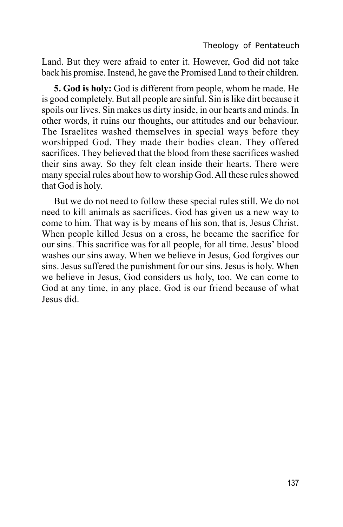Land. But they were afraid to enter it. However, God did not take back his promise. Instead, he gave the Promised Land to their children.

**5. God is holy:** God is different from people, whom he made. He is good completely. But all people are sinful. Sin is like dirt because it spoils our lives. Sin makes us dirty inside, in our hearts and minds. In other words, it ruins our thoughts, our attitudes and our behaviour. The Israelites washed themselves in special ways before they worshipped God. They made their bodies clean. They offered sacrifices. They believed that the blood from these sacrifices washed their sins away. So they felt clean inside their hearts. There were many special rules about how to worship God. All these rules showed that God is holy.

But we do not need to follow these special rules still. We do not need to kill animals as sacrifices. God has given us a new way to come to him. That way is by means of his son, that is, Jesus Christ. When people killed Jesus on a cross, he became the sacrifice for our sins. This sacrifice was for all people, for all time. Jesus' blood washes our sins away. When we believe in Jesus, God forgives our sins. Jesus suffered the punishment for our sins. Jesus is holy. When we believe in Jesus, God considers us holy, too. We can come to God at any time, in any place. God is our friend because of what Jesus did.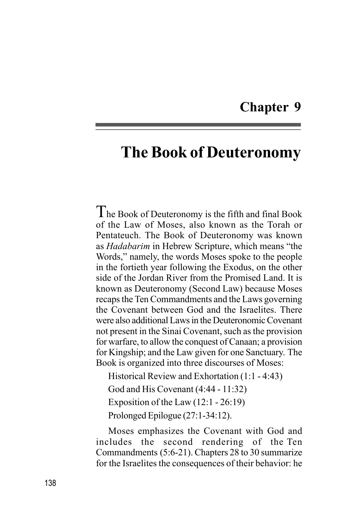## **Chapter 9**

# **The Book of Deuteronomy**

 $T$ he Book of Deuteronomy is the fifth and final Book of the Law of Moses, also known as the Torah or Pentateuch. The Book of Deuteronomy was known as *Hadabarim* in Hebrew Scripture, which means "the Words," namely, the words Moses spoke to the people in the fortieth year following the Exodus, on the other side of the Jordan River from the Promised Land. It is known as Deuteronomy (Second Law) because Moses recaps the Ten Commandments and the Laws governing the Covenant between God and the Israelites. There were also additional Laws in the Deuteronomic Covenant not present in the Sinai Covenant, such as the provision for warfare, to allow the conquest of Canaan; a provision for Kingship; and the Law given for one Sanctuary. The Book is organized into three discourses of Moses:

Historical Review and Exhortation (1:1 - 4:43)

God and His Covenant (4:44 - 11:32)

Exposition of the Law (12:1 - 26:19)

Prolonged Epilogue (27:1-34:12).

Moses emphasizes the Covenant with God and includes the second rendering of the Ten Commandments (5:6-21). Chapters 28 to 30 summarize for the Israelites the consequences of their behavior: he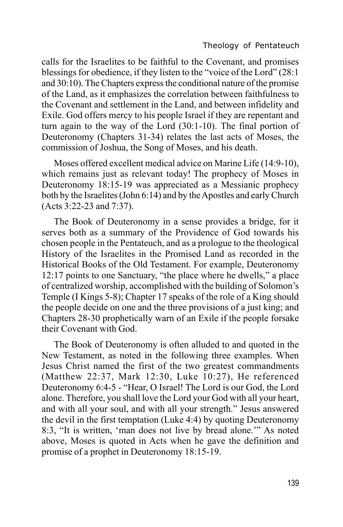calls for the Israelites to be faithful to the Covenant, and promises blessings for obedience, if they listen to the "voice of the Lord" (28:1 and 30:10). The Chapters express the conditional nature of the promise of the Land, as it emphasizes the correlation between faithfulness to the Covenant and settlement in the Land, and between infidelity and Exile. God offers mercy to his people Israel if they are repentant and turn again to the way of the Lord (30:1-10). The final portion of Deuteronomy (Chapters 31-34) relates the last acts of Moses, the commission of Joshua, the Song of Moses, and his death.

Moses offered excellent medical advice on Marine Life (14:9-10), which remains just as relevant today! The prophecy of Moses in Deuteronomy 18:15-19 was appreciated as a Messianic prophecy both by the Israelites (John 6:14) and by the Apostles and early Church (Acts 3:22-23 and 7:37).

The Book of Deuteronomy in a sense provides a bridge, for it serves both as a summary of the Providence of God towards his chosen people in the Pentateuch, and as a prologue to the theological History of the Israelites in the Promised Land as recorded in the Historical Books of the Old Testament. For example, Deuteronomy 12:17 points to one Sanctuary, "the place where he dwells," a place of centralized worship, accomplished with the building of Solomon's Temple (I Kings 5-8); Chapter 17 speaks of the role of a King should the people decide on one and the three provisions of a just king; and Chapters 28-30 prophetically warn of an Exile if the people forsake their Covenant with God.

The Book of Deuteronomy is often alluded to and quoted in the New Testament, as noted in the following three examples. When Jesus Christ named the first of the two greatest commandments (Matthew 22:37, Mark 12:30, Luke 10:27), He referenced Deuteronomy 6:4-5 - "Hear, O Israel! The Lord is our God, the Lord alone. Therefore, you shall love the Lord your God with all your heart, and with all your soul, and with all your strength." Jesus answered the devil in the first temptation (Luke 4:4) by quoting Deuteronomy 8:3, "It is written, 'man does not live by bread alone.'" As noted above, Moses is quoted in Acts when he gave the definition and promise of a prophet in Deuteronomy 18:15-19.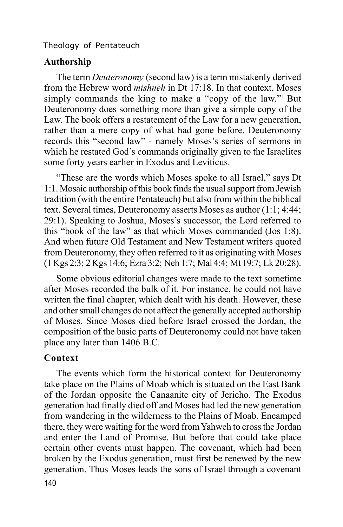#### **Authorship**

The term *Deuteronomy* (second law) is a term mistakenly derived from the Hebrew word *mishneh* in Dt 17:18. In that context, Moses simply commands the king to make a "copy of the law."<sup>1</sup> But Deuteronomy does something more than give a simple copy of the Law. The book offers a restatement of the Law for a new generation, rather than a mere copy of what had gone before. Deuteronomy records this "second law" - namely Moses's series of sermons in which he restated God's commands originally given to the Israelites some forty years earlier in Exodus and Leviticus.

"These are the words which Moses spoke to all Israel," says Dt 1:1. Mosaic authorship of this book finds the usual support from Jewish tradition (with the entire Pentateuch) but also from within the biblical text. Several times, Deuteronomy asserts Moses as author (1:1; 4:44; 29:1). Speaking to Joshua, Moses's successor, the Lord referred to this "book of the law" as that which Moses commanded (Jos 1:8). And when future Old Testament and New Testament writers quoted from Deuteronomy, they often referred to it as originating with Moses (1 Kgs 2:3; 2 Kgs 14:6; Ezra 3:2; Neh 1:7; Mal 4:4; Mt 19:7; Lk 20:28).

Some obvious editorial changes were made to the text sometime after Moses recorded the bulk of it. For instance, he could not have written the final chapter, which dealt with his death. However, these and other small changes do not affect the generally accepted authorship of Moses. Since Moses died before Israel crossed the Jordan, the composition of the basic parts of Deuteronomy could not have taken place any later than 1406 B.C.

## **Context**

140 The events which form the historical context for Deuteronomy take place on the Plains of Moab which is situated on the East Bank of the Jordan opposite the Canaanite city of Jericho. The Exodus generation had finally died off and Moses had led the new generation from wandering in the wilderness to the Plains of Moab. Encamped there, they were waiting for the word from Yahweh to cross the Jordan and enter the Land of Promise. But before that could take place certain other events must happen. The covenant, which had been broken by the Exodus generation, must first be renewed by the new generation. Thus Moses leads the sons of Israel through a covenant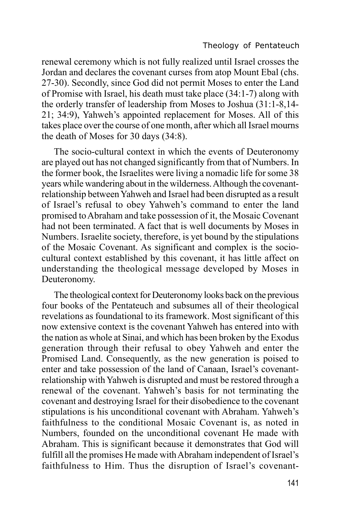renewal ceremony which is not fully realized until Israel crosses the Jordan and declares the covenant curses from atop Mount Ebal (chs. 27-30). Secondly, since God did not permit Moses to enter the Land of Promise with Israel, his death must take place (34:1-7) along with the orderly transfer of leadership from Moses to Joshua (31:1-8,14- 21; 34:9), Yahweh's appointed replacement for Moses. All of this takes place over the course of one month, after which all Israel mourns the death of Moses for 30 days (34:8).

The socio-cultural context in which the events of Deuteronomy are played out has not changed significantly from that of Numbers. In the former book, the Israelites were living a nomadic life for some 38 years while wandering about in the wilderness. Although the covenantrelationship between Yahweh and Israel had been disrupted as a result of Israel's refusal to obey Yahweh's command to enter the land promised to Abraham and take possession of it, the Mosaic Covenant had not been terminated. A fact that is well documents by Moses in Numbers. Israelite society, therefore, is yet bound by the stipulations of the Mosaic Covenant. As significant and complex is the sociocultural context established by this covenant, it has little affect on understanding the theological message developed by Moses in Deuteronomy.

The theological context for Deuteronomy looks back on the previous four books of the Pentateuch and subsumes all of their theological revelations as foundational to its framework. Most significant of this now extensive context is the covenant Yahweh has entered into with the nation as whole at Sinai, and which has been broken by the Exodus generation through their refusal to obey Yahweh and enter the Promised Land. Consequently, as the new generation is poised to enter and take possession of the land of Canaan, Israel's covenantrelationship with Yahweh is disrupted and must be restored through a renewal of the covenant. Yahweh's basis for not terminating the covenant and destroying Israel for their disobedience to the covenant stipulations is his unconditional covenant with Abraham. Yahweh's faithfulness to the conditional Mosaic Covenant is, as noted in Numbers, founded on the unconditional covenant He made with Abraham. This is significant because it demonstrates that God will fulfill all the promises He made with Abraham independent of Israel's faithfulness to Him. Thus the disruption of Israel's covenant-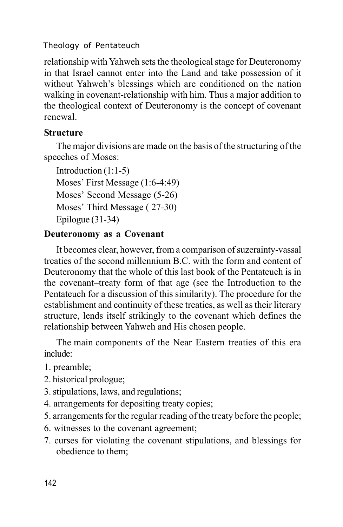relationship with Yahweh sets the theological stage for Deuteronomy in that Israel cannot enter into the Land and take possession of it without Yahweh's blessings which are conditioned on the nation walking in covenant-relationship with him. Thus a major addition to the theological context of Deuteronomy is the concept of covenant renewal.

## **Structure**

The major divisions are made on the basis of the structuring of the speeches of Moses:

Introduction (1:1-5) Moses' First Message (1:6-4:49) Moses' Second Message (5-26) Moses' Third Message ( 27-30) Epilogue (31-34)

## **Deuteronomy as a Covenant**

It becomes clear, however, from a comparison of suzerainty-vassal treaties of the second millennium B.C. with the form and content of Deuteronomy that the whole of this last book of the Pentateuch is in the covenant–treaty form of that age (see the Introduction to the Pentateuch for a discussion of this similarity). The procedure for the establishment and continuity of these treaties, as well as their literary structure, lends itself strikingly to the covenant which defines the relationship between Yahweh and His chosen people.

The main components of the Near Eastern treaties of this era include:

- 1. preamble;
- 2. historical prologue;
- 3. stipulations, laws, and regulations;
- 4. arrangements for depositing treaty copies;
- 5. arrangements for the regular reading of the treaty before the people;
- 6. witnesses to the covenant agreement;
- 7. curses for violating the covenant stipulations, and blessings for obedience to them;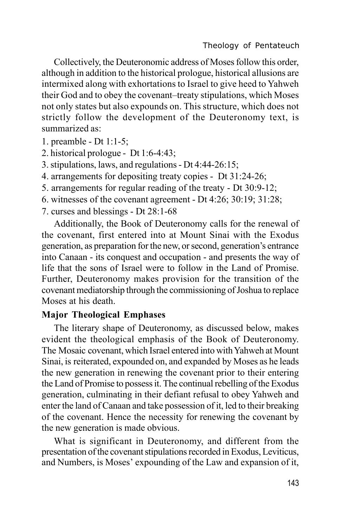Collectively, the Deuteronomic address of Moses follow this order, although in addition to the historical prologue, historical allusions are intermixed along with exhortations to Israel to give heed to Yahweh their God and to obey the covenant–treaty stipulations, which Moses not only states but also expounds on. This structure, which does not strictly follow the development of the Deuteronomy text, is summarized as:

1. preamble - Dt 1:1-5;

2. historical prologue - Dt 1:6-4:43;

3. stipulations, laws, and regulations - Dt 4:44-26:15;

4. arrangements for depositing treaty copies - Dt 31:24-26;

5. arrangements for regular reading of the treaty - Dt 30:9-12;

6. witnesses of the covenant agreement - Dt 4:26; 30:19; 31:28;

7. curses and blessings - Dt 28:1-68

Additionally, the Book of Deuteronomy calls for the renewal of the covenant, first entered into at Mount Sinai with the Exodus generation, as preparation for the new, or second, generation's entrance into Canaan - its conquest and occupation - and presents the way of life that the sons of Israel were to follow in the Land of Promise. Further, Deuteronomy makes provision for the transition of the covenant mediatorship through the commissioning of Joshua to replace Moses at his death.

## **Major Theological Emphases**

The literary shape of Deuteronomy, as discussed below, makes evident the theological emphasis of the Book of Deuteronomy. The Mosaic covenant, which Israel entered into with Yahweh at Mount Sinai, is reiterated, expounded on, and expanded by Moses as he leads the new generation in renewing the covenant prior to their entering the Land of Promise to possess it. The continual rebelling of the Exodus generation, culminating in their defiant refusal to obey Yahweh and enter the land of Canaan and take possession of it, led to their breaking of the covenant. Hence the necessity for renewing the covenant by the new generation is made obvious.

What is significant in Deuteronomy, and different from the presentation of the covenant stipulations recorded in Exodus, Leviticus, and Numbers, is Moses' expounding of the Law and expansion of it,